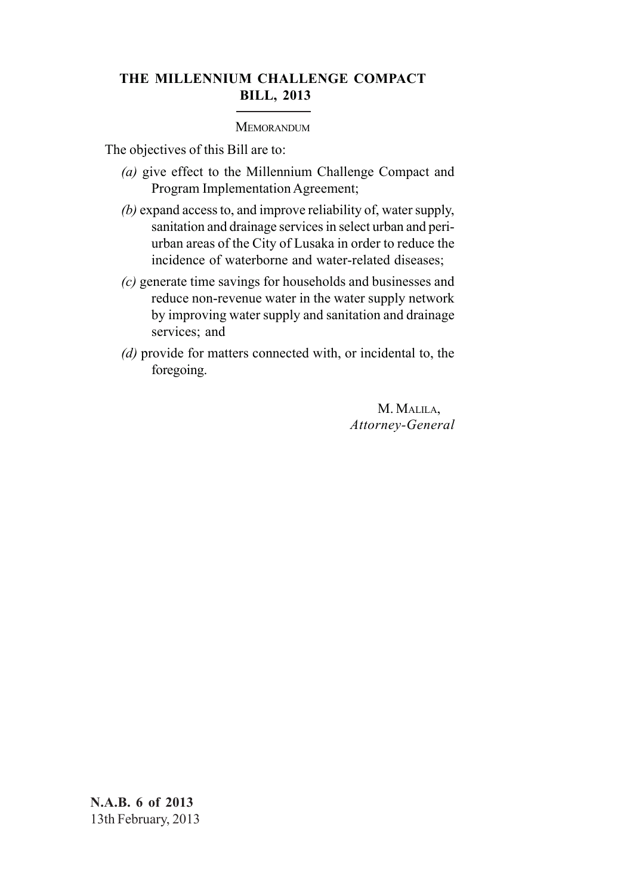# **THE MILLENNIUM CHALLENGE COMPACT BILL, 2013**

# **MEMORANDUM**

The objectives of this Bill are to:

- *(a)* give effect to the Millennium Challenge Compact and Program Implementation Agreement;
- *(b)* expand access to, and improve reliability of, water supply, sanitation and drainage services in select urban and periurban areas of the City of Lusaka in order to reduce the incidence of waterborne and water-related diseases;
- *(c)* generate time savings for households and businesses and reduce non-revenue water in the water supply network by improving water supply and sanitation and drainage services; and
- *(d)* provide for matters connected with, or incidental to, the foregoing.

M. MALILA, *Attorney-General*

**N.A.B. 6 of 2013** 13th February, 2013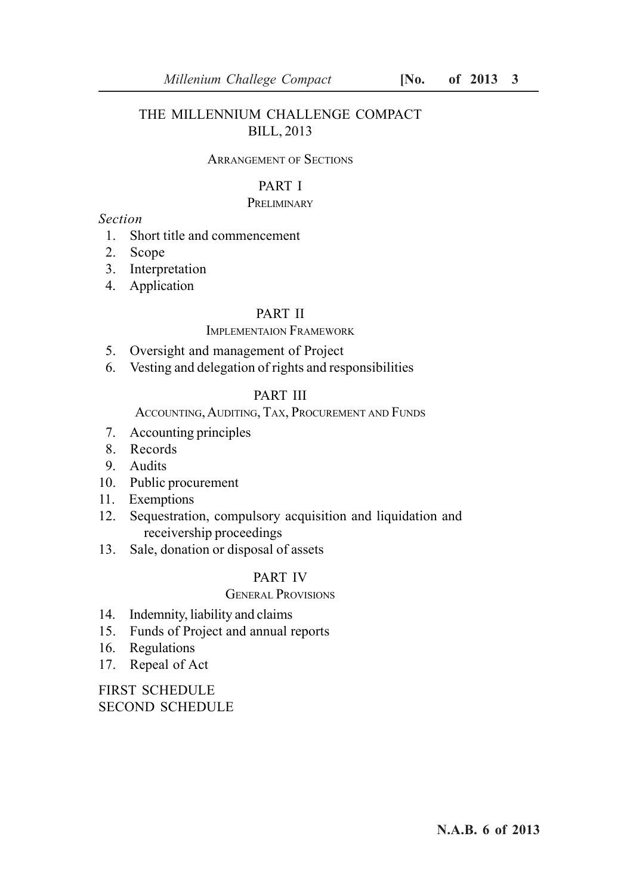# THE MILLENNIUM CHALLENGE COMPACT BILL, 2013

# ARRANGEMENT OF SECTIONS

# PART I

# **PRELIMINARY**

# *Section*

- 1. Short title and commencement
- 2. Scope
- 3. Interpretation
- 4. Application

### PART II

# IMPLEMENTAION FRAMEWORK

- 5. Oversight and management of Project
- 6. Vesting and delegation of rights and responsibilities

# PART III

# ACCOUNTING, AUDITING, TAX, PROCUREMENT AND FUNDS

- 7. Accounting principles
- 8. Records
- 9. Audits
- 10. Public procurement
- 11. Exemptions
- 12. Sequestration, compulsory acquisition and liquidation and receivership proceedings
- 13. Sale, donation or disposal of assets

# PART IV

# GENERAL PROVISIONS

- 14. Indemnity, liability and claims
- 15. Funds of Project and annual reports
- 16. Regulations
- 17. Repeal of Act

FIRST SCHEDULE SECOND SCHEDULE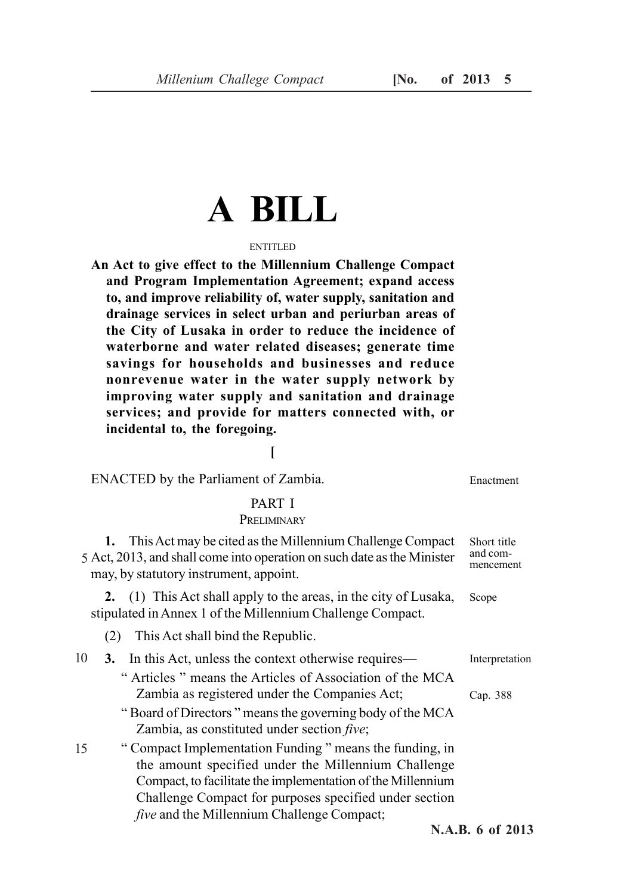# **A BILL**

# ENTITLED.

**An Act to give effect to the Millennium Challenge Compact and Program Implementation Agreement; expand access to, and improve reliability of, water supply, sanitation and drainage services in select urban and periurban areas of the City of Lusaka in order to reduce the incidence of waterborne and water related diseases; generate time savings for households and businesses and reduce nonrevenue water in the water supply network by improving water supply and sanitation and drainage services; and provide for matters connected with, or incidental to, the foregoing.**

# **[**

ENACTED by the Parliament of Zambia.

# PART I

# **PRELIMINARY**

**1.** This Act may be cited as the Millennium Challenge Compact 5 Act, 2013, and shall come into operation on such date as the Minister may, by statutory instrument, appoint. Short title and commencement

**2.** (1) This Act shall apply to the areas, in the city of Lusaka, stipulated in Annex 1 of the Millennium Challenge Compact. Scope

(2) This Act shall bind the Republic.

|  | 10 <b>3.</b> In this Act, unless the context otherwise requires— | Interpretation |
|--|------------------------------------------------------------------|----------------|
|  | "Articles" means the Articles of Association of the MCA          |                |
|  | Zambia as registered under the Companies Act;                    | Cap. 388       |
|  |                                                                  |                |

- " Board of Directors " means the governing body of the MCA Zambia, as constituted under section *five*;
- " Compact Implementation Funding " means the funding, in the amount specified under the Millennium Challenge Compact, to facilitate the implementation of the Millennium Challenge Compact for purposes specified under section *five* and the Millennium Challenge Compact; 15

Enactment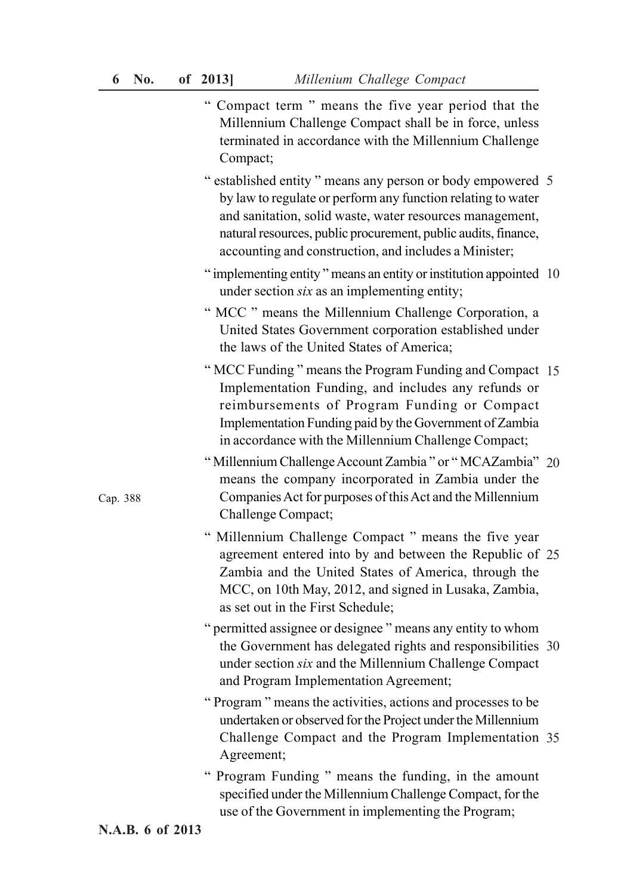- " Compact term " means the five year period that the Millennium Challenge Compact shall be in force, unless terminated in accordance with the Millennium Challenge Compact;
- " established entity " means any person or body empowered 5 by law to regulate or perform any function relating to water and sanitation, solid waste, water resources management, natural resources, public procurement, public audits, finance, accounting and construction, and includes a Minister;
- " implementing entity " means an entity or institution appointed 10 under section *six* as an implementing entity;
- " MCC " means the Millennium Challenge Corporation, a United States Government corporation established under the laws of the United States of America;
- " MCC Funding " means the Program Funding and Compact 15 Implementation Funding, and includes any refunds or reimbursements of Program Funding or Compact Implementation Funding paid by the Government of Zambia in accordance with the Millennium Challenge Compact;
- "Millennium Challenge Account Zambia" or "MCAZambia" 20 means the company incorporated in Zambia under the Companies Act for purposes of this Act and the Millennium Challenge Compact;
- " Millennium Challenge Compact " means the five year agreement entered into by and between the Republic of 25 Zambia and the United States of America, through the MCC, on 10th May, 2012, and signed in Lusaka, Zambia, as set out in the First Schedule;
- " permitted assignee or designee " means any entity to whom the Government has delegated rights and responsibilities 30 under section *six* and the Millennium Challenge Compact and Program Implementation Agreement;
- " Program " means the activities, actions and processes to be undertaken or observed for the Project under the Millennium Challenge Compact and the Program Implementation 35Agreement;
- " Program Funding " means the funding, in the amount specified under the Millennium Challenge Compact, for the use of the Government in implementing the Program;

Cap. 388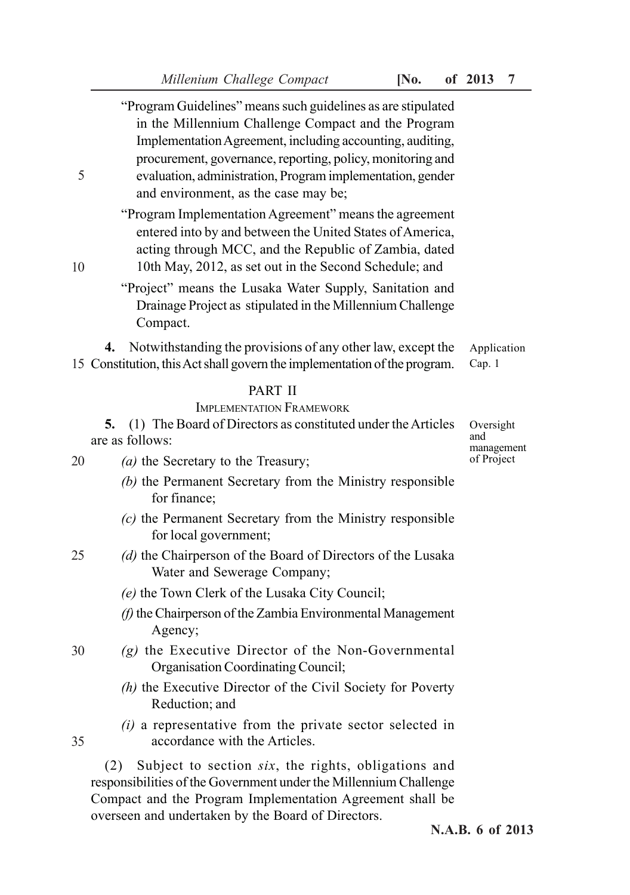| 5  | "Program Guidelines" means such guidelines as are stipulated<br>in the Millennium Challenge Compact and the Program<br>Implementation Agreement, including accounting, auditing,<br>procurement, governance, reporting, policy, monitoring and<br>evaluation, administration, Program implementation, gender<br>and environment, as the case may be; |                          |
|----|------------------------------------------------------------------------------------------------------------------------------------------------------------------------------------------------------------------------------------------------------------------------------------------------------------------------------------------------------|--------------------------|
| 10 | "Program Implementation Agreement" means the agreement<br>entered into by and between the United States of America,<br>acting through MCC, and the Republic of Zambia, dated<br>10th May, 2012, as set out in the Second Schedule; and                                                                                                               |                          |
|    | "Project" means the Lusaka Water Supply, Sanitation and<br>Drainage Project as stipulated in the Millennium Challenge<br>Compact.                                                                                                                                                                                                                    |                          |
|    | Notwithstanding the provisions of any other law, except the<br>4.<br>15 Constitution, this Act shall govern the implementation of the program.                                                                                                                                                                                                       | Application<br>Cap. 1    |
|    | <b>PART II</b><br><b>IMPLEMENTATION FRAMEWORK</b><br>(1) The Board of Directors as constituted under the Articles<br>5.<br>are as follows:                                                                                                                                                                                                           | Oversight<br>and         |
| 20 | (a) the Secretary to the Treasury;                                                                                                                                                                                                                                                                                                                   | management<br>of Project |
|    | (b) the Permanent Secretary from the Ministry responsible                                                                                                                                                                                                                                                                                            |                          |
|    | for finance;                                                                                                                                                                                                                                                                                                                                         |                          |
|    | (c) the Permanent Secretary from the Ministry responsible<br>for local government;                                                                                                                                                                                                                                                                   |                          |
| 25 | (d) the Chairperson of the Board of Directors of the Lusaka<br>Water and Sewerage Company;                                                                                                                                                                                                                                                           |                          |
|    | (e) the Town Clerk of the Lusaka City Council;                                                                                                                                                                                                                                                                                                       |                          |
|    | (f) the Chairperson of the Zambia Environmental Management<br>Agency;                                                                                                                                                                                                                                                                                |                          |
| 30 | $(g)$ the Executive Director of the Non-Governmental<br>Organisation Coordinating Council;                                                                                                                                                                                                                                                           |                          |
|    | (h) the Executive Director of the Civil Society for Poverty<br>Reduction; and                                                                                                                                                                                                                                                                        |                          |
| 35 | $(i)$ a representative from the private sector selected in<br>accordance with the Articles.                                                                                                                                                                                                                                                          |                          |

Compact and the Program Implementation Agreement shall be

overseen and undertaken by the Board of Directors.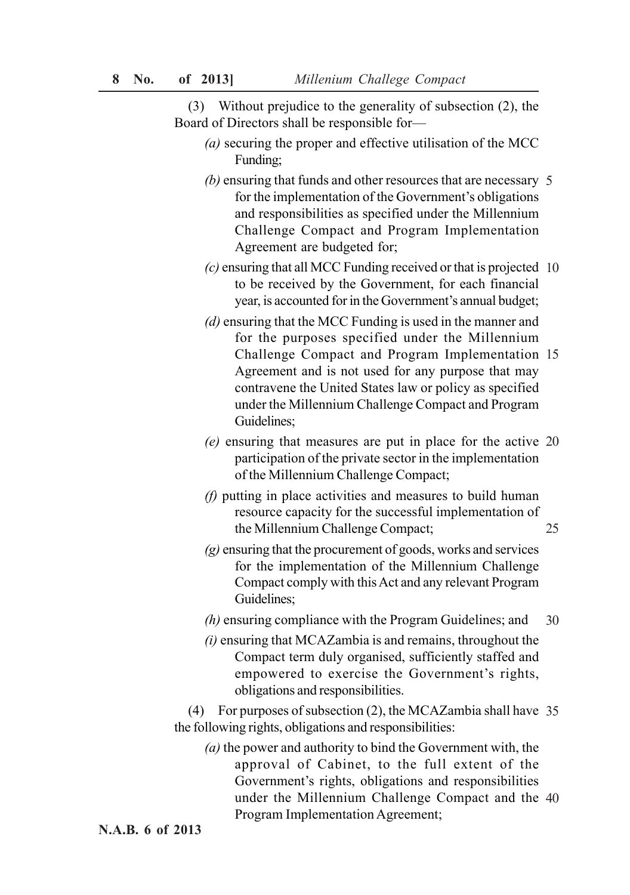(3) Without prejudice to the generality of subsection (2), the Board of Directors shall be responsible for—

- *(a)* securing the proper and effective utilisation of the MCC Funding;
- *(b)* ensuring that funds and other resources that are necessary 5 for the implementation of the Government's obligations and responsibilities as specified under the Millennium Challenge Compact and Program Implementation Agreement are budgeted for;
- *(c)* ensuring that all MCC Funding received or that is projected 10 to be received by the Government, for each financial year, is accounted for in the Government's annual budget;
- *(d)* ensuring that the MCC Funding is used in the manner and for the purposes specified under the Millennium Challenge Compact and Program Implementation 15 Agreement and is not used for any purpose that may contravene the United States law or policy as specified under the Millennium Challenge Compact and Program Guidelines;
- *(e)* ensuring that measures are put in place for the active 20 participation of the private sector in the implementation of the Millennium Challenge Compact;
- *(f)* putting in place activities and measures to build human resource capacity for the successful implementation of the Millennium Challenge Compact; 25
- *(g)* ensuring that the procurement of goods, works and services for the implementation of the Millennium Challenge Compact comply with this Act and any relevant Program Guidelines;
- *(h)* ensuring compliance with the Program Guidelines; and 30
- *(i)* ensuring that MCAZambia is and remains, throughout the Compact term duly organised, sufficiently staffed and empowered to exercise the Government's rights, obligations and responsibilities.

(4) For purposes of subsection (2), the MCAZambia shall have 35 the following rights, obligations and responsibilities:

*(a)* the power and authority to bind the Government with, the approval of Cabinet, to the full extent of the Government's rights, obligations and responsibilities under the Millennium Challenge Compact and the 40Program Implementation Agreement;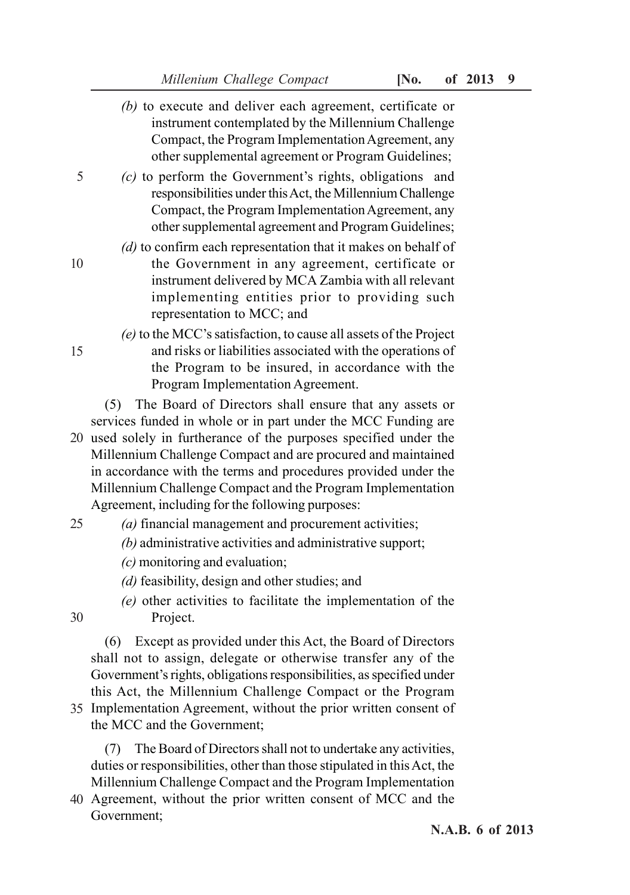- *(b)* to execute and deliver each agreement, certificate or instrument contemplated by the Millennium Challenge Compact, the Program Implementation Agreement, any other supplemental agreement or Program Guidelines; *(c)* to perform the Government's rights, obligations and responsibilities under this Act, the Millennium Challenge Compact, the Program Implementation Agreement, any other supplemental agreement and Program Guidelines; *(d)* to confirm each representation that it makes on behalf of the Government in any agreement, certificate or instrument delivered by MCA Zambia with all relevant implementing entities prior to providing such representation to MCC; and *(e)* to the MCC's satisfaction, to cause all assets of the Project and risks or liabilities associated with the operations of the Program to be insured, in accordance with the Program Implementation Agreement. (5) The Board of Directors shall ensure that any assets or 5 10 15
- services funded in whole or in part under the MCC Funding are 20 used solely in furtherance of the purposes specified under the Millennium Challenge Compact and are procured and maintained in accordance with the terms and procedures provided under the Millennium Challenge Compact and the Program Implementation Agreement, including for the following purposes:
- *(a)* financial management and procurement activities; 25
	- *(b)* administrative activities and administrative support;
	- *(c)* monitoring and evaluation;
	- *(d)* feasibility, design and other studies; and
	- *(e)* other activities to facilitate the implementation of the Project.
- (6) Except as provided under this Act, the Board of Directors shall not to assign, delegate or otherwise transfer any of the Government's rights, obligations responsibilities, as specified under this Act, the Millennium Challenge Compact or the Program 35 Implementation Agreement, without the prior written consent of the MCC and the Government;

(7) The Board of Directors shall not to undertake any activities, duties or responsibilities, other than those stipulated in this Act, the Millennium Challenge Compact and the Program Implementation

Agreement, without the prior written consent of MCC and the 40Government;

30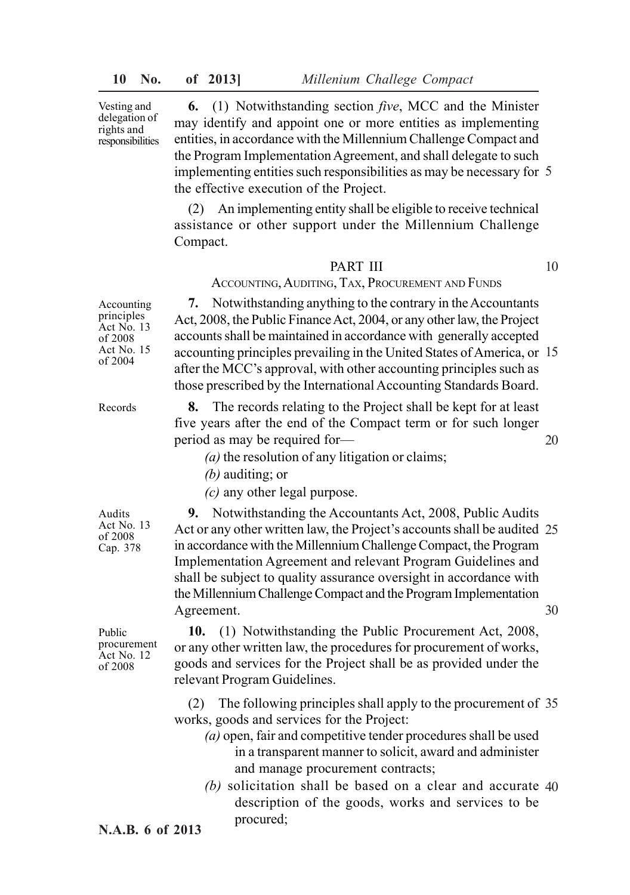Vesting and delegation of rights and responsibilities

**6.** (1) Notwithstanding section *five*, MCC and the Minister may identify and appoint one or more entities as implementing entities, in accordance with the Millennium Challenge Compact and the Program Implementation Agreement, and shall delegate to such implementing entities such responsibilities as may be necessary for 5 the effective execution of the Project.

(2) An implementing entity shall be eligible to receive technical assistance or other support under the Millennium Challenge Compact.

# PART III

10

20

# ACCOUNTING, AUDITING, TAX, PROCUREMENT AND FUNDS

**7.** Notwithstanding anything to the contrary in the Accountants Act, 2008, the Public Finance Act, 2004, or any other law, the Project accounts shall be maintained in accordance with generally accepted accounting principles prevailing in the United States of America, or 15 after the MCC's approval, with other accounting principles such as those prescribed by the International Accounting Standards Board.

Records

Accounting principles Act No. 13 of 2008 Act No. 15 of 2004

> **8.** The records relating to the Project shall be kept for at least five years after the end of the Compact term or for such longer period as may be required for—

*(a)* the resolution of any litigation or claims;

- *(b)* auditing; or
- *(c)* any other legal purpose.

Audits Act No. 13 of 2008 Cap. 378

**9.** Notwithstanding the Accountants Act, 2008, Public Audits Act or any other written law, the Project's accounts shall be audited 25 in accordance with the Millennium Challenge Compact, the Program Implementation Agreement and relevant Program Guidelines and shall be subject to quality assurance oversight in accordance with the Millennium Challenge Compact and the Program Implementation Agreement. 30

Public procurement Act No. 12 of 2008

**10.** (1) Notwithstanding the Public Procurement Act, 2008, or any other written law, the procedures for procurement of works, goods and services for the Project shall be as provided under the relevant Program Guidelines.

(2) The following principles shall apply to the procurement of 35 works, goods and services for the Project:

- *(a)* open, fair and competitive tender procedures shall be used in a transparent manner to solicit, award and administer and manage procurement contracts;
- *(b)* solicitation shall be based on a clear and accurate 40description of the goods, works and services to be procured;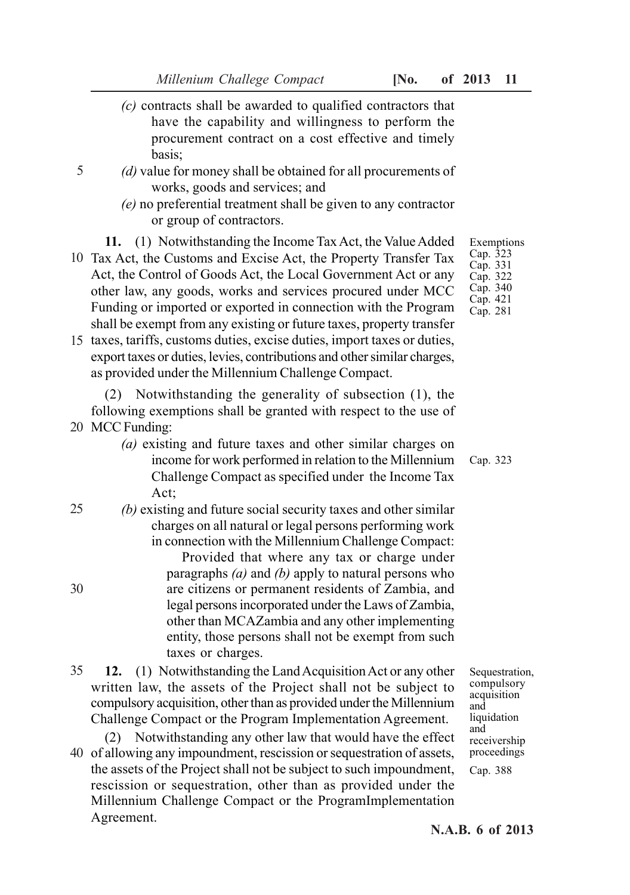- *(c)* contracts shall be awarded to qualified contractors that have the capability and willingness to perform the procurement contract on a cost effective and timely basis;
- *(d)* value for money shall be obtained for all procurements of works, goods and services; and
	- *(e)* no preferential treatment shall be given to any contractor or group of contractors.
	- **11.** (1) Notwithstanding the Income Tax Act, the Value Added
- 10 Tax Act, the Customs and Excise Act, the Property Transfer Tax Act, the Control of Goods Act, the Local Government Act or any other law, any goods, works and services procured under MCC Funding or imported or exported in connection with the Program shall be exempt from any existing or future taxes, property transfer
- 15 taxes, tariffs, customs duties, excise duties, import taxes or duties, export taxes or duties, levies, contributions and other similar charges, as provided under the Millennium Challenge Compact.

(2) Notwithstanding the generality of subsection (1), the following exemptions shall be granted with respect to the use of 20 MCC Funding:

- *(a)* existing and future taxes and other similar charges on income for work performed in relation to the Millennium Challenge Compact as specified under the Income Tax Act;
- *(b)* existing and future social security taxes and other similar charges on all natural or legal persons performing work in connection with the Millennium Challenge Compact: Provided that where any tax or charge under paragraphs *(a)* and *(b)* apply to natural persons who are citizens or permanent residents of Zambia, and legal persons incorporated under the Laws of Zambia, other than MCAZambia and any other implementing entity, those persons shall not be exempt from such taxes or charges. 25 30
- **12.** (1) Notwithstanding the Land Acquisition Act or any other written law, the assets of the Project shall not be subject to compulsory acquisition, other than as provided under the Millennium Challenge Compact or the Program Implementation Agreement. 35
- (2) Notwithstanding any other law that would have the effect 40 of allowing any impoundment, rescission or sequestration of assets, the assets of the Project shall not be subject to such impoundment, rescission or sequestration, other than as provided under the Millennium Challenge Compact or the ProgramImplementation Agreement.

Exemptions Cap. 323 Cap. 331 Cap. 322 Cap. 340 Cap. 421 Cap. 281

Cap. 323

Sequestration, compulsory acquisition and liquidation and receivership proceedings Cap. 388

**N.A.B. 6 of 2013**

5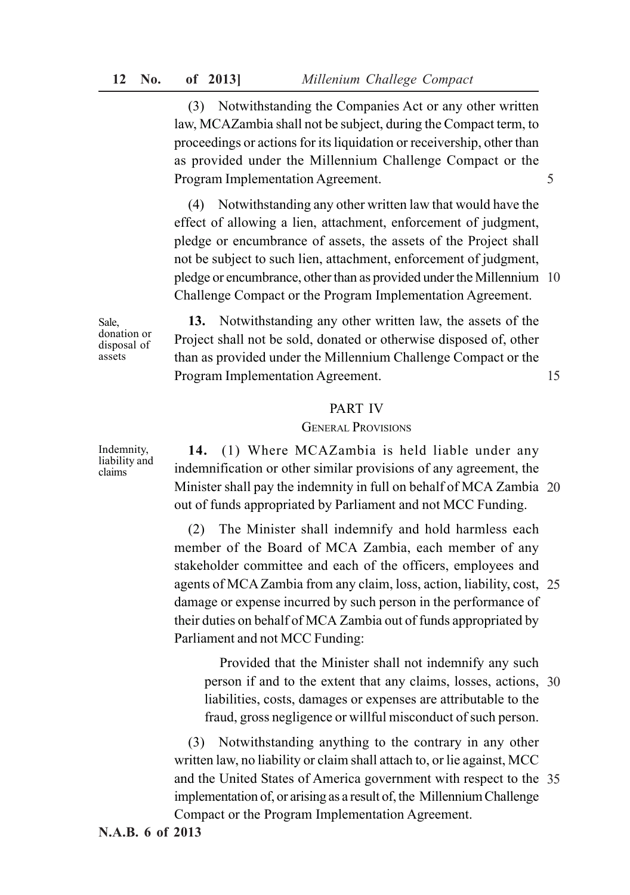(3) Notwithstanding the Companies Act or any other written law, MCAZambia shall not be subject, during the Compact term, to proceedings or actions for its liquidation or receivership, other than as provided under the Millennium Challenge Compact or the Program Implementation Agreement.

5

pledge or encumbrance, other than as provided under the Millennium 10 (4) Notwithstanding any other written law that would have the effect of allowing a lien, attachment, enforcement of judgment, pledge or encumbrance of assets, the assets of the Project shall not be subject to such lien, attachment, enforcement of judgment, Challenge Compact or the Program Implementation Agreement.

Sale, donation or disposal of assets

15 **13.** Notwithstanding any other written law, the assets of the Project shall not be sold, donated or otherwise disposed of, other than as provided under the Millennium Challenge Compact or the Program Implementation Agreement.

# PART IV

# GENERAL PROVISIONS

Minister shall pay the indemnity in full on behalf of MCA Zambia 20 **14.** (1) Where MCAZambia is held liable under any indemnification or other similar provisions of any agreement, the out of funds appropriated by Parliament and not MCC Funding.

agents of MCA Zambia from any claim, loss, action, liability, cost, 25 (2) The Minister shall indemnify and hold harmless each member of the Board of MCA Zambia, each member of any stakeholder committee and each of the officers, employees and damage or expense incurred by such person in the performance of their duties on behalf of MCA Zambia out of funds appropriated by Parliament and not MCC Funding:

person if and to the extent that any claims, losses, actions, 30 Provided that the Minister shall not indemnify any such liabilities, costs, damages or expenses are attributable to the fraud, gross negligence or willful misconduct of such person.

and the United States of America government with respect to the 35 (3) Notwithstanding anything to the contrary in any other written law, no liability or claim shall attach to, or lie against, MCC implementation of, or arising as a result of, the Millennium Challenge Compact or the Program Implementation Agreement.

Indemnity, liability and claims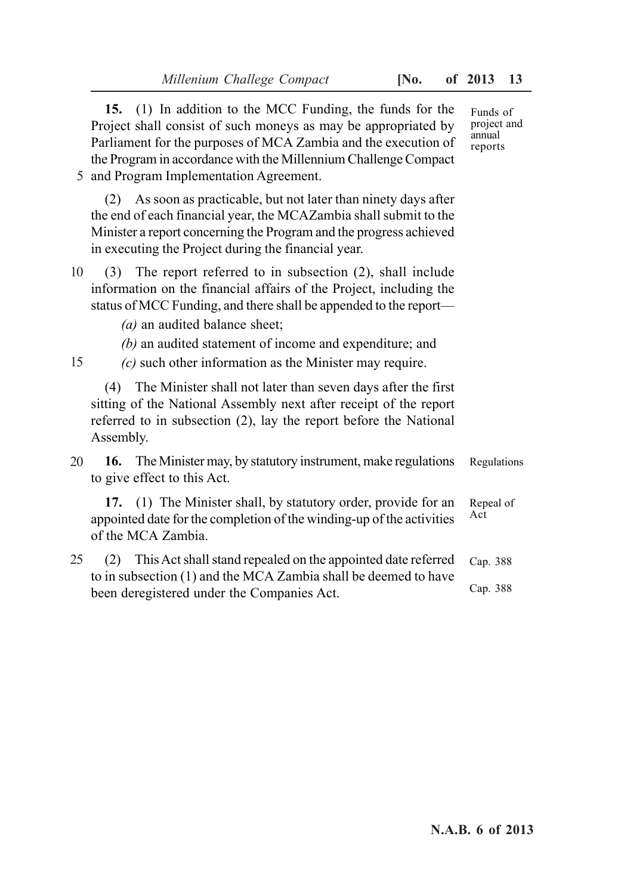|    | 15. (1) In addition to the MCC Funding, the funds for the<br>Project shall consist of such moneys as may be appropriated by<br>Parliament for the purposes of MCA Zambia and the execution of<br>the Program in accordance with the Millennium Challenge Compact<br>5 and Program Implementation Agreement. | Funds of<br>project and<br>annual<br>reports |
|----|-------------------------------------------------------------------------------------------------------------------------------------------------------------------------------------------------------------------------------------------------------------------------------------------------------------|----------------------------------------------|
|    | As soon as practicable, but not later than ninety days after<br>(2)<br>the end of each financial year, the MCAZambia shall submit to the<br>Minister a report concerning the Program and the progress achieved<br>in executing the Project during the financial year.                                       |                                              |
| 10 | The report referred to in subsection (2), shall include<br>(3)<br>information on the financial affairs of the Project, including the<br>status of MCC Funding, and there shall be appended to the report—<br>$(a)$ an audited balance sheet;                                                                |                                              |
| 15 | $(b)$ an audited statement of income and expenditure; and<br>$(c)$ such other information as the Minister may require.                                                                                                                                                                                      |                                              |
|    | The Minister shall not later than seven days after the first<br>(4)<br>sitting of the National Assembly next after receipt of the report<br>referred to in subsection (2), lay the report before the National<br>Assembly.                                                                                  |                                              |
| 20 | The Minister may, by statutory instrument, make regulations<br>16.<br>to give effect to this Act.                                                                                                                                                                                                           | Regulations                                  |
|    | 17. (1) The Minister shall, by statutory order, provide for an<br>appointed date for the completion of the winding-up of the activities<br>of the MCA Zambia.                                                                                                                                               | Repeal of<br>Act                             |
| 25 | This Act shall stand repealed on the appointed date referred<br>(2)<br>to in subsection (1) and the MCA Zambia shall be deemed to have                                                                                                                                                                      | Cap. 388<br>Cap. 388                         |
|    | been deregistered under the Companies Act.                                                                                                                                                                                                                                                                  |                                              |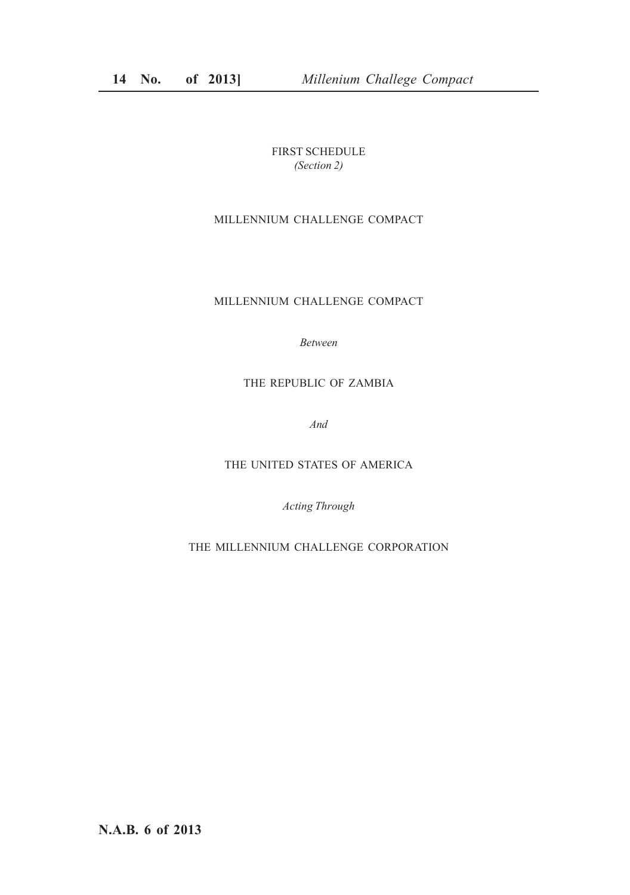FIRST SCHEDULE *(Section 2)*

# MILLENNIUM CHALLENGE COMPACT

# MILLENNIUM CHALLENGE COMPACT

*Between*

# THE REPUBLIC OF ZAMBIA

*And*

THE UNITED STATES OF AMERICA

*Acting Through*

THE MILLENNIUM CHALLENGE CORPORATION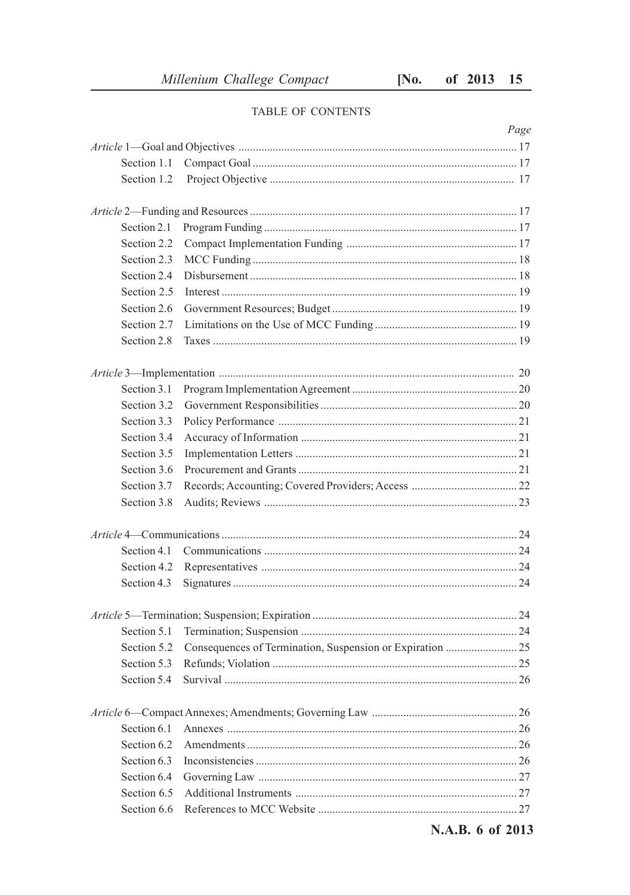# TABLE OF CONTENTS

|             | Page             |
|-------------|------------------|
|             |                  |
| Section 1.1 |                  |
| Section 1.2 |                  |
|             |                  |
| Section 2.1 |                  |
| Section 2.2 |                  |
| Section 2.3 |                  |
| Section 2.4 |                  |
| Section 2.5 |                  |
| Section 2.6 |                  |
| Section 2.7 |                  |
| Section 2.8 |                  |
|             |                  |
| Section 3.1 |                  |
| Section 3.2 |                  |
| Section 3.3 |                  |
| Section 3.4 |                  |
| Section 3.5 |                  |
| Section 3.6 |                  |
| Section 3.7 |                  |
| Section 3.8 |                  |
|             |                  |
| Section 4.1 |                  |
| Section 4.2 |                  |
| Section 4.3 |                  |
|             |                  |
| Section 5.1 |                  |
| Section 5.2 |                  |
| Section 5.3 |                  |
| Section 5.4 |                  |
|             |                  |
| Section 6.1 |                  |
| Section 6.2 |                  |
| Section 6.3 |                  |
| Section 6.4 |                  |
| Section 6.5 |                  |
| Section 6.6 |                  |
|             | N.A.B. 6 of 2013 |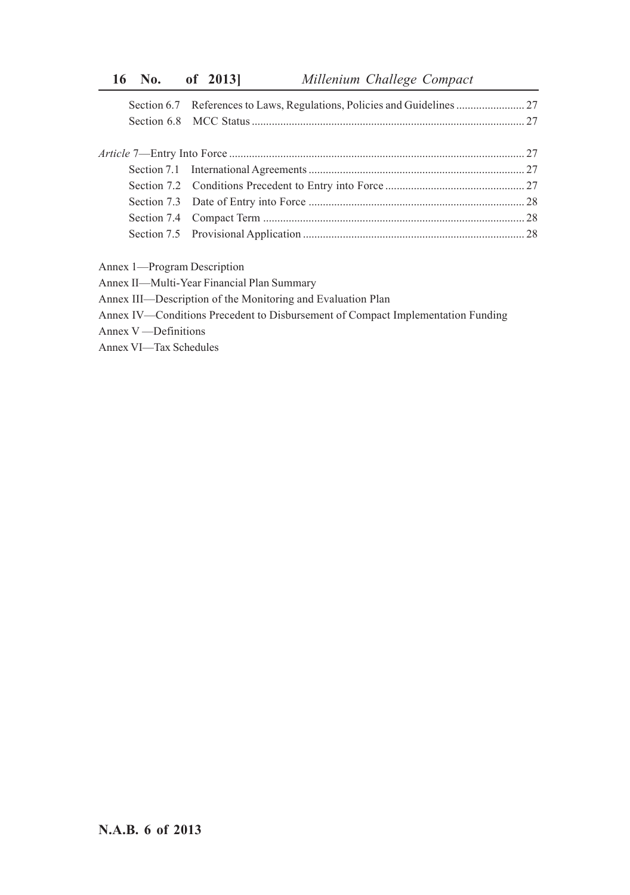- Annex 1—Program Description
- Annex II—Multi-Year Financial Plan Summary
- Annex III—Description of the Monitoring and Evaluation Plan
- Annex IV—Conditions Precedent to Disbursement of Compact Implementation Funding
- Annex V —Definitions
- Annex VI—Tax Schedules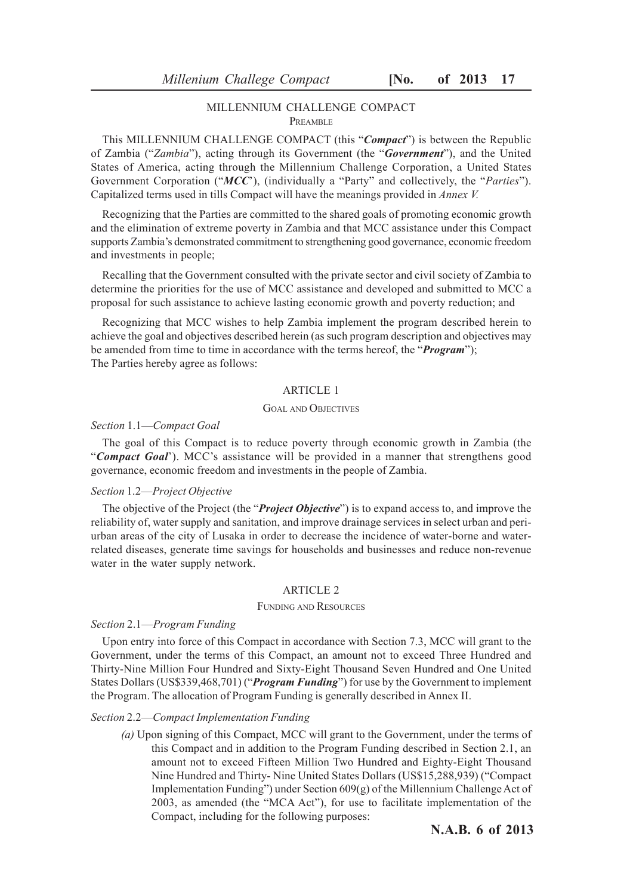### MILLENNIUM CHALLENGE COMPACT **PDEAMBLE**

This MILLENNIUM CHALLENGE COMPACT (this "*Compact*") is between the Republic of Zambia ("*Zambia*"), acting through its Government (the "*Government*"), and the United States of America, acting through the Millennium Challenge Corporation, a United States Government Corporation ("*MCC*'), (individually a "Party" and collectively, the "*Parties*"). Capitalized terms used in tills Compact will have the meanings provided in *Annex V.*

Recognizing that the Parties are committed to the shared goals of promoting economic growth and the elimination of extreme poverty in Zambia and that MCC assistance under this Compact supports Zambia's demonstrated commitment to strengthening good governance, economic freedom and investments in people;

Recalling that the Government consulted with the private sector and civil society of Zambia to determine the priorities for the use of MCC assistance and developed and submitted to MCC a proposal for such assistance to achieve lasting economic growth and poverty reduction; and

Recognizing that MCC wishes to help Zambia implement the program described herein to achieve the goal and objectives described herein (as such program description and objectives may be amended from time to time in accordance with the terms hereof, the "*Program*"); The Parties hereby agree as follows:

### ARTICLE 1

### GOAL AND OBJECTIVES

### *Section* 1.1—*Compact Goal*

The goal of this Compact is to reduce poverty through economic growth in Zambia (the "*Compact Goal*'). MCC's assistance will be provided in a manner that strengthens good governance, economic freedom and investments in the people of Zambia.

### *Section* 1.2—*Project Objective*

The objective of the Project (the "*Project Objective*") is to expand access to, and improve the reliability of, water supply and sanitation, and improve drainage services in select urban and periurban areas of the city of Lusaka in order to decrease the incidence of water-borne and waterrelated diseases, generate time savings for households and businesses and reduce non-revenue water in the water supply network.

### ARTICLE 2

### FUNDING AND RESOURCES

### *Section* 2.1—*Program Funding*

Upon entry into force of this Compact in accordance with Section 7.3, MCC will grant to the Government, under the terms of this Compact, an amount not to exceed Three Hundred and Thirty-Nine Million Four Hundred and Sixty-Eight Thousand Seven Hundred and One United States Dollars (US\$339,468,701) ("*Program Funding*") for use by the Government to implement the Program. The allocation of Program Funding is generally described in Annex II.

#### *Section* 2.2—*Compact Implementation Funding*

*(a)* Upon signing of this Compact, MCC will grant to the Government, under the terms of this Compact and in addition to the Program Funding described in Section 2.1, an amount not to exceed Fifteen Million Two Hundred and Eighty-Eight Thousand Nine Hundred and Thirty- Nine United States Dollars (US\$15,288,939) ("Compact Implementation Funding") under Section 609(g) of the Millennium Challenge Act of 2003, as amended (the "MCA Act"), for use to facilitate implementation of the Compact, including for the following purposes: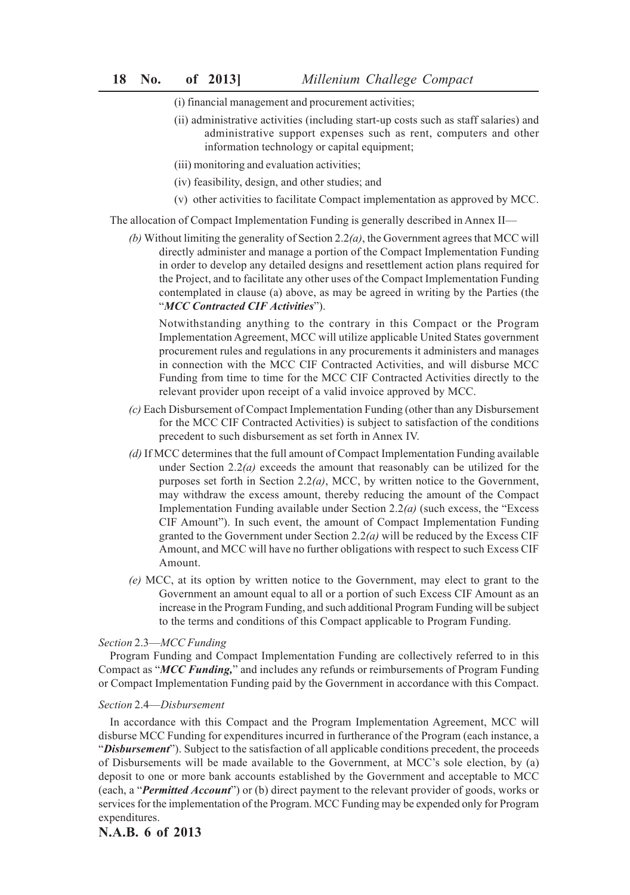- (i) financial management and procurement activities;
- (ii) administrative activities (including start-up costs such as staff salaries) and administrative support expenses such as rent, computers and other information technology or capital equipment;
- (iii) monitoring and evaluation activities;
- (iv) feasibility, design, and other studies; and
- (v) other activities to facilitate Compact implementation as approved by MCC.

The allocation of Compact Implementation Funding is generally described in Annex II—

*(b)* Without limiting the generality of Section 2.2*(a)*, the Government agrees that MCC will directly administer and manage a portion of the Compact Implementation Funding in order to develop any detailed designs and resettlement action plans required for the Project, and to facilitate any other uses of the Compact Implementation Funding contemplated in clause (a) above, as may be agreed in writing by the Parties (the "*MCC Contracted CIF Activities*").

Notwithstanding anything to the contrary in this Compact or the Program Implementation Agreement, MCC will utilize applicable United States government procurement rules and regulations in any procurements it administers and manages in connection with the MCC CIF Contracted Activities, and will disburse MCC Funding from time to time for the MCC CIF Contracted Activities directly to the relevant provider upon receipt of a valid invoice approved by MCC.

- *(c)* Each Disbursement of Compact Implementation Funding (other than any Disbursement for the MCC CIF Contracted Activities) is subject to satisfaction of the conditions precedent to such disbursement as set forth in Annex IV.
- *(d)* If MCC determines that the full amount of Compact Implementation Funding available under Section 2.2*(a)* exceeds the amount that reasonably can be utilized for the purposes set forth in Section 2.2*(a)*, MCC, by written notice to the Government, may withdraw the excess amount, thereby reducing the amount of the Compact Implementation Funding available under Section 2.2*(a)* (such excess, the "Excess CIF Amount"). In such event, the amount of Compact Implementation Funding granted to the Government under Section 2.2*(a)* will be reduced by the Excess CIF Amount, and MCC will have no further obligations with respect to such Excess CIF Amount.
- *(e)* MCC, at its option by written notice to the Government, may elect to grant to the Government an amount equal to all or a portion of such Excess CIF Amount as an increase in the Program Funding, and such additional Program Funding will be subject to the terms and conditions of this Compact applicable to Program Funding.

### *Section* 2.3—*MCC Funding*

Program Funding and Compact Implementation Funding are collectively referred to in this Compact as "*MCC Funding,*" and includes any refunds or reimbursements of Program Funding or Compact Implementation Funding paid by the Government in accordance with this Compact.

### *Section* 2.4—*Disbursement*

In accordance with this Compact and the Program Implementation Agreement, MCC will disburse MCC Funding for expenditures incurred in furtherance of the Program (each instance, a "*Disbursement*"). Subject to the satisfaction of all applicable conditions precedent, the proceeds of Disbursements will be made available to the Government, at MCC's sole election, by (a) deposit to one or more bank accounts established by the Government and acceptable to MCC (each, a "*Permitted Account*") or (b) direct payment to the relevant provider of goods, works or services for the implementation of the Program. MCC Funding may be expended only for Program expenditures.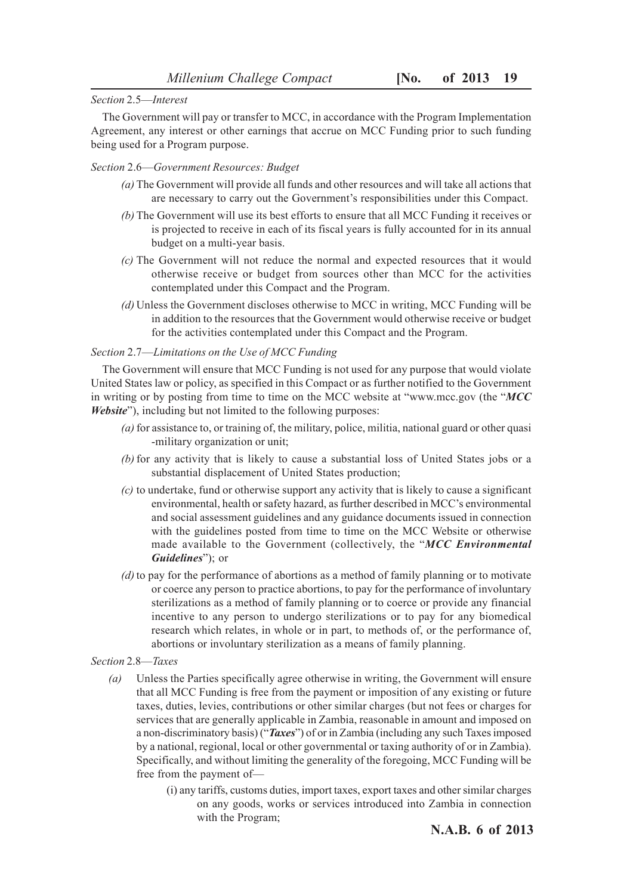### *Section* 2.5—*Interest*

The Government will pay or transfer to MCC, in accordance with the Program Implementation Agreement, any interest or other earnings that accrue on MCC Funding prior to such funding being used for a Program purpose.

### *Section* 2.6—*Government Resources: Budget*

- *(a)* The Government will provide all funds and other resources and will take all actions that are necessary to carry out the Government's responsibilities under this Compact.
- *(b)* The Government will use its best efforts to ensure that all MCC Funding it receives or is projected to receive in each of its fiscal years is fully accounted for in its annual budget on a multi-year basis.
- *(c)* The Government will not reduce the normal and expected resources that it would otherwise receive or budget from sources other than MCC for the activities contemplated under this Compact and the Program.
- *(d)* Unless the Government discloses otherwise to MCC in writing, MCC Funding will be in addition to the resources that the Government would otherwise receive or budget for the activities contemplated under this Compact and the Program.

### *Section* 2.7—*Limitations on the Use of MCC Funding*

The Government will ensure that MCC Funding is not used for any purpose that would violate United States law or policy, as specified in this Compact or as further notified to the Government in writing or by posting from time to time on the MCC website at "www.mcc.gov (the "*MCC Website*"), including but not limited to the following purposes:

- *(a)* for assistance to, or training of, the military, police, militia, national guard or other quasi -military organization or unit;
- *(b)* for any activity that is likely to cause a substantial loss of United States jobs or a substantial displacement of United States production;
- *(c)* to undertake, fund or otherwise support any activity that is likely to cause a significant environmental, health or safety hazard, as further described in MCC's environmental and social assessment guidelines and any guidance documents issued in connection with the guidelines posted from time to time on the MCC Website or otherwise made available to the Government (collectively, the "*MCC Environmental Guidelines*"); or
- *(d)* to pay for the performance of abortions as a method of family planning or to motivate or coerce any person to practice abortions, to pay for the performance of involuntary sterilizations as a method of family planning or to coerce or provide any financial incentive to any person to undergo sterilizations or to pay for any biomedical research which relates, in whole or in part, to methods of, or the performance of, abortions or involuntary sterilization as a means of family planning.

### *Section* 2.8—*Taxes*

- *(a)* Unless the Parties specifically agree otherwise in writing, the Government will ensure that all MCC Funding is free from the payment or imposition of any existing or future taxes, duties, levies, contributions or other similar charges (but not fees or charges for services that are generally applicable in Zambia, reasonable in amount and imposed on a non-discriminatory basis) ("*Taxes*") of or in Zambia (including any such Taxes imposed by a national, regional, local or other governmental or taxing authority of or in Zambia). Specifically, and without limiting the generality of the foregoing, MCC Funding will be free from the payment of—
	- (i) any tariffs, customs duties, import taxes, export taxes and other similar charges on any goods, works or services introduced into Zambia in connection with the Program;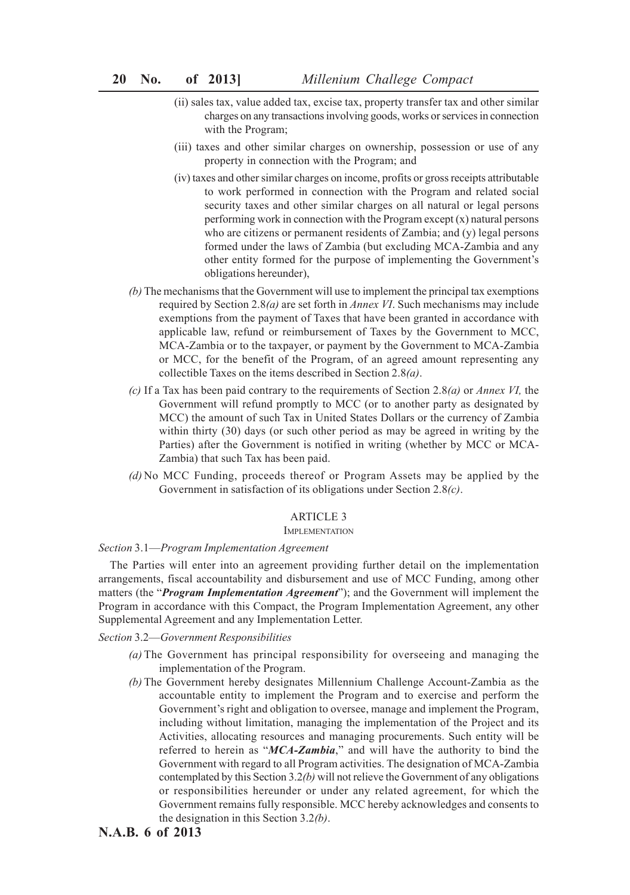- (ii) sales tax, value added tax, excise tax, property transfer tax and other similar charges on any transactions involving goods, works or services in connection with the Program;
- (iii) taxes and other similar charges on ownership, possession or use of any property in connection with the Program; and
- (iv) taxes and other similar charges on income, profits or gross receipts attributable to work performed in connection with the Program and related social security taxes and other similar charges on all natural or legal persons performing work in connection with the Program except  $(x)$  natural persons who are citizens or permanent residents of Zambia; and (y) legal persons formed under the laws of Zambia (but excluding MCA-Zambia and any other entity formed for the purpose of implementing the Government's obligations hereunder),
- *(b)* The mechanisms that the Government will use to implement the principal tax exemptions required by Section 2.8*(a)* are set forth in *Annex VI*. Such mechanisms may include exemptions from the payment of Taxes that have been granted in accordance with applicable law, refund or reimbursement of Taxes by the Government to MCC, MCA-Zambia or to the taxpayer, or payment by the Government to MCA-Zambia or MCC, for the benefit of the Program, of an agreed amount representing any collectible Taxes on the items described in Section 2.8*(a)*.
- *(c)* If a Tax has been paid contrary to the requirements of Section 2.8*(a)* or *Annex VI,* the Government will refund promptly to MCC (or to another party as designated by MCC) the amount of such Tax in United States Dollars or the currency of Zambia within thirty (30) days (or such other period as may be agreed in writing by the Parties) after the Government is notified in writing (whether by MCC or MCA-Zambia) that such Tax has been paid.
- *(d)* No MCC Funding, proceeds thereof or Program Assets may be applied by the Government in satisfaction of its obligations under Section 2.8*(c)*.

# ARTICLE 3

### **IMPLEMENTATION**

### *Section* 3.1—*Program Implementation Agreement*

The Parties will enter into an agreement providing further detail on the implementation arrangements, fiscal accountability and disbursement and use of MCC Funding, among other matters (the "*Program Implementation Agreement*"); and the Government will implement the Program in accordance with this Compact, the Program Implementation Agreement, any other Supplemental Agreement and any Implementation Letter.

# *Section* 3.2—*Government Responsibilities*

- *(a)* The Government has principal responsibility for overseeing and managing the implementation of the Program.
- *(b)* The Government hereby designates Millennium Challenge Account-Zambia as the accountable entity to implement the Program and to exercise and perform the Government's right and obligation to oversee, manage and implement the Program, including without limitation, managing the implementation of the Project and its Activities, allocating resources and managing procurements. Such entity will be referred to herein as "*MCA-Zambia*," and will have the authority to bind the Government with regard to all Program activities. The designation of MCA-Zambia contemplated by this Section 3.2*(b)* will not relieve the Government of any obligations or responsibilities hereunder or under any related agreement, for which the Government remains fully responsible. MCC hereby acknowledges and consents to the designation in this Section 3.2*(b)*.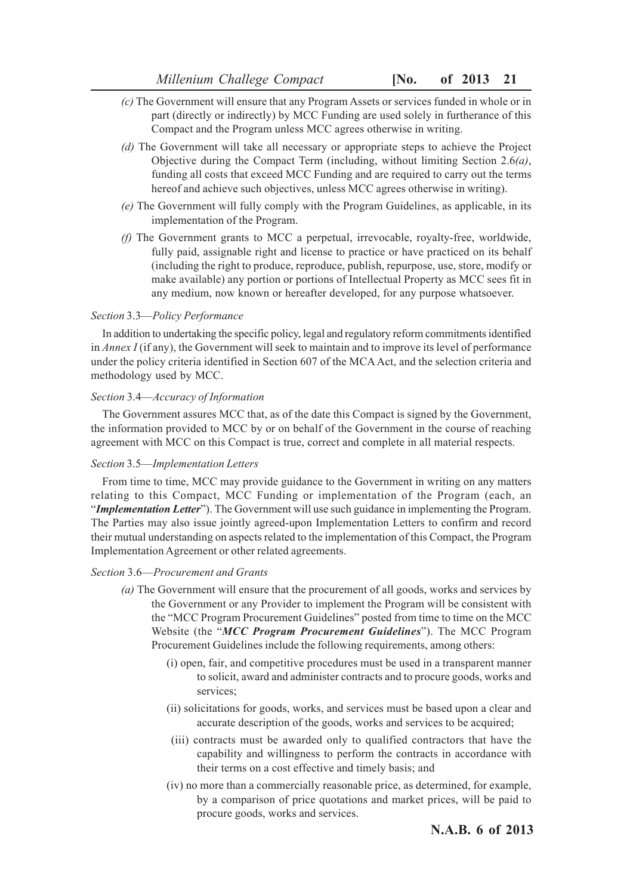- *(c)* The Government will ensure that any Program Assets or services funded in whole or in part (directly or indirectly) by MCC Funding are used solely in furtherance of this Compact and the Program unless MCC agrees otherwise in writing.
- *(d)* The Government will take all necessary or appropriate steps to achieve the Project Objective during the Compact Term (including, without limiting Section 2.6*(a)*, funding all costs that exceed MCC Funding and are required to carry out the terms hereof and achieve such objectives, unless MCC agrees otherwise in writing).
- *(e)* The Government will fully comply with the Program Guidelines, as applicable, in its implementation of the Program.
- *(f)* The Government grants to MCC a perpetual, irrevocable, royalty-free, worldwide, fully paid, assignable right and license to practice or have practiced on its behalf (including the right to produce, reproduce, publish, repurpose, use, store, modify or make available) any portion or portions of Intellectual Property as MCC sees fit in any medium, now known or hereafter developed, for any purpose whatsoever.

### *Section* 3.3—*Policy Performance*

In addition to undertaking the specific policy, legal and regulatory reform commitments identified in *Annex I* (if any), the Government will seek to maintain and to improve its level of performance under the policy criteria identified in Section 607 of the MCA Act, and the selection criteria and methodology used by MCC.

### *Section* 3.4—*Accuracy of Information*

The Government assures MCC that, as of the date this Compact is signed by the Government, the information provided to MCC by or on behalf of the Government in the course of reaching agreement with MCC on this Compact is true, correct and complete in all material respects.

### *Section* 3.5—*Implementation Letters*

From time to time, MCC may provide guidance to the Government in writing on any matters relating to this Compact, MCC Funding or implementation of the Program (each, an "*Implementation Letter*"). The Government will use such guidance in implementing the Program. The Parties may also issue jointly agreed-upon Implementation Letters to confirm and record their mutual understanding on aspects related to the implementation of this Compact, the Program Implementation Agreement or other related agreements.

### *Section* 3.6—*Procurement and Grants*

- *(a)* The Government will ensure that the procurement of all goods, works and services by the Government or any Provider to implement the Program will be consistent with the "MCC Program Procurement Guidelines" posted from time to time on the MCC Website (the "*MCC Program Procurement Guidelines*"). The MCC Program Procurement Guidelines include the following requirements, among others:
	- (i) open, fair, and competitive procedures must be used in a transparent manner to solicit, award and administer contracts and to procure goods, works and services;
	- (ii) solicitations for goods, works, and services must be based upon a clear and accurate description of the goods, works and services to be acquired;
	- (iii) contracts must be awarded only to qualified contractors that have the capability and willingness to perform the contracts in accordance with their terms on a cost effective and timely basis; and
	- (iv) no more than a commercially reasonable price, as determined, for example, by a comparison of price quotations and market prices, will be paid to procure goods, works and services.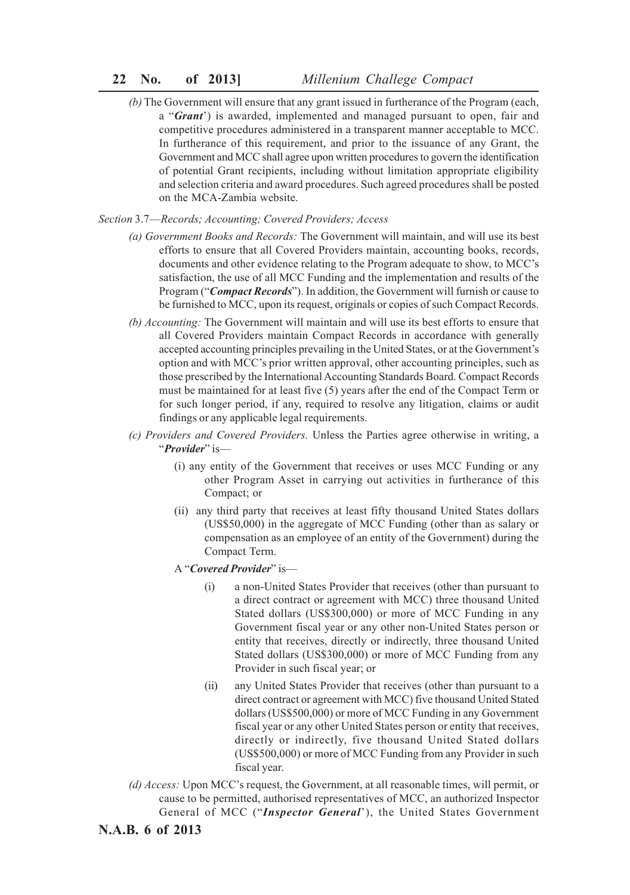# **22 No. of 2013]** *Millenium Challege Compact*

*(b)* The Government will ensure that any grant issued in furtherance of the Program (each, a "*Grant*') is awarded, implemented and managed pursuant to open, fair and competitive procedures administered in a transparent manner acceptable to MCC. In furtherance of this requirement, and prior to the issuance of any Grant, the Government and MCC shall agree upon written procedures to govern the identification of potential Grant recipients, including without limitation appropriate eligibility and selection criteria and award procedures. Such agreed procedures shall be posted on the MCA-Zambia website.

*Section* 3.7—*Records; Accounting; Covered Providers; Access*

- *(a) Government Books and Records:* The Government will maintain, and will use its best efforts to ensure that all Covered Providers maintain, accounting books, records, documents and other evidence relating to the Program adequate to show, to MCC's satisfaction, the use of all MCC Funding and the implementation and results of the Program ("*Compact Records*"). In addition, the Government will furnish or cause to be furnished to MCC, upon its request, originals or copies of such Compact Records.
- *(b) Accounting:* The Government will maintain and will use its best efforts to ensure that all Covered Providers maintain Compact Records in accordance with generally accepted accounting principles prevailing in the United States, or at the Government's option and with MCC's prior written approval, other accounting principles, such as those prescribed by the International Accounting Standards Board. Compact Records must be maintained for at least five (5) years after the end of the Compact Term or for such longer period, if any, required to resolve any litigation, claims or audit findings or any applicable legal requirements.
- *(c) Providers and Covered Providers.* Unless the Parties agree otherwise in writing, a "*Provider*" is—
	- (i) any entity of the Government that receives or uses MCC Funding or any other Program Asset in carrying out activities in furtherance of this Compact; or
	- (ii) any third party that receives at least fifty thousand United States dollars (US\$50,000) in the aggregate of MCC Funding (other than as salary or compensation as an employee of an entity of the Government) during the Compact Term.

A "*Covered Provider*" is—

- (i) a non-United States Provider that receives (other than pursuant to a direct contract or agreement with MCC) three thousand United Stated dollars (US\$300,000) or more of MCC Funding in any Government fiscal year or any other non-United States person or entity that receives, directly or indirectly, three thousand United Stated dollars (US\$300,000) or more of MCC Funding from any Provider in such fiscal year; or
- (ii) any United States Provider that receives (other than pursuant to a direct contract or agreement with MCC) five thousand United Stated dollars (US\$500,000) or more of MCC Funding in any Government fiscal year or any other United States person or entity that receives, directly or indirectly, five thousand United Stated dollars (US\$500,000) or more of MCC Funding from any Provider in such fiscal year.
- *(d) Access:* Upon MCC's request, the Government, at all reasonable times, will permit, or cause to be permitted, authorised representatives of MCC, an authorized Inspector General of MCC ("*Inspector General*'), the United States Government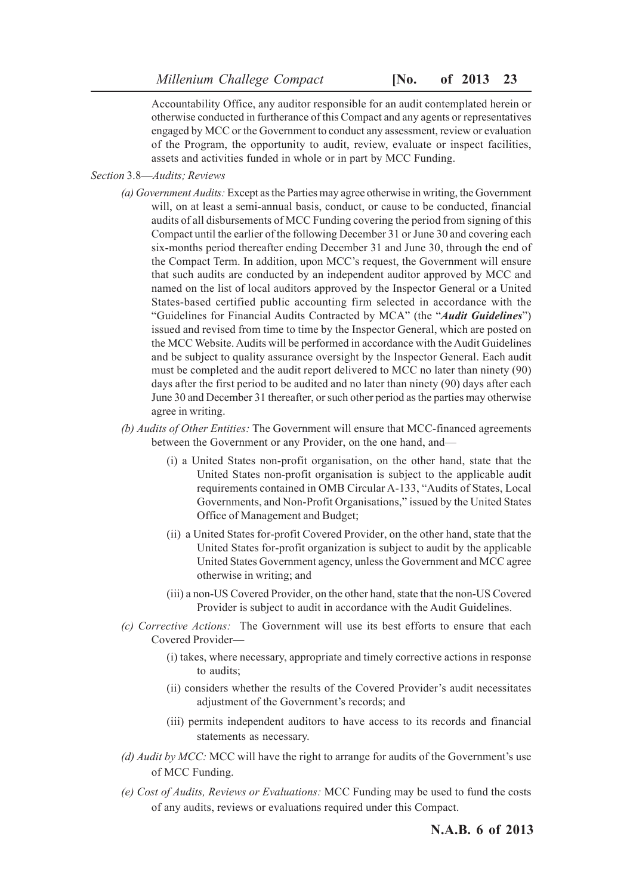Accountability Office, any auditor responsible for an audit contemplated herein or otherwise conducted in furtherance of this Compact and any agents or representatives engaged by MCC or the Government to conduct any assessment, review or evaluation of the Program, the opportunity to audit, review, evaluate or inspect facilities, assets and activities funded in whole or in part by MCC Funding.

- *Section* 3.8—*Audits; Reviews*
	- *(a) Government Audits:* Except as the Parties may agree otherwise in writing, the Government will, on at least a semi-annual basis, conduct, or cause to be conducted, financial audits of all disbursements of MCC Funding covering the period from signing of this Compact until the earlier of the following December 31 or June 30 and covering each six-months period thereafter ending December 31 and June 30, through the end of the Compact Term. In addition, upon MCC's request, the Government will ensure that such audits are conducted by an independent auditor approved by MCC and named on the list of local auditors approved by the Inspector General or a United States-based certified public accounting firm selected in accordance with the "Guidelines for Financial Audits Contracted by MCA" (the "*Audit Guidelines*") issued and revised from time to time by the Inspector General, which are posted on the MCC Website. Audits will be performed in accordance with the Audit Guidelines and be subject to quality assurance oversight by the Inspector General. Each audit must be completed and the audit report delivered to MCC no later than ninety (90) days after the first period to be audited and no later than ninety (90) days after each June 30 and December 31 thereafter, or such other period as the parties may otherwise agree in writing.
	- *(b) Audits of Other Entities:* The Government will ensure that MCC-financed agreements between the Government or any Provider, on the one hand, and—
		- (i) a United States non-profit organisation, on the other hand, state that the United States non-profit organisation is subject to the applicable audit requirements contained in OMB Circular A-133, "Audits of States, Local Governments, and Non-Profit Organisations," issued by the United States Office of Management and Budget;
		- (ii) a United States for-profit Covered Provider, on the other hand, state that the United States for-profit organization is subject to audit by the applicable United States Government agency, unless the Government and MCC agree otherwise in writing; and
		- (iii) a non-US Covered Provider, on the other hand, state that the non-US Covered Provider is subject to audit in accordance with the Audit Guidelines.
	- *(c) Corrective Actions:* The Government will use its best efforts to ensure that each Covered Provider—
		- (i) takes, where necessary, appropriate and timely corrective actions in response to audits;
		- (ii) considers whether the results of the Covered Provider's audit necessitates adjustment of the Government's records; and
		- (iii) permits independent auditors to have access to its records and financial statements as necessary.
	- *(d) Audit by MCC:* MCC will have the right to arrange for audits of the Government's use of MCC Funding.
	- *(e) Cost of Audits, Reviews or Evaluations:* MCC Funding may be used to fund the costs of any audits, reviews or evaluations required under this Compact.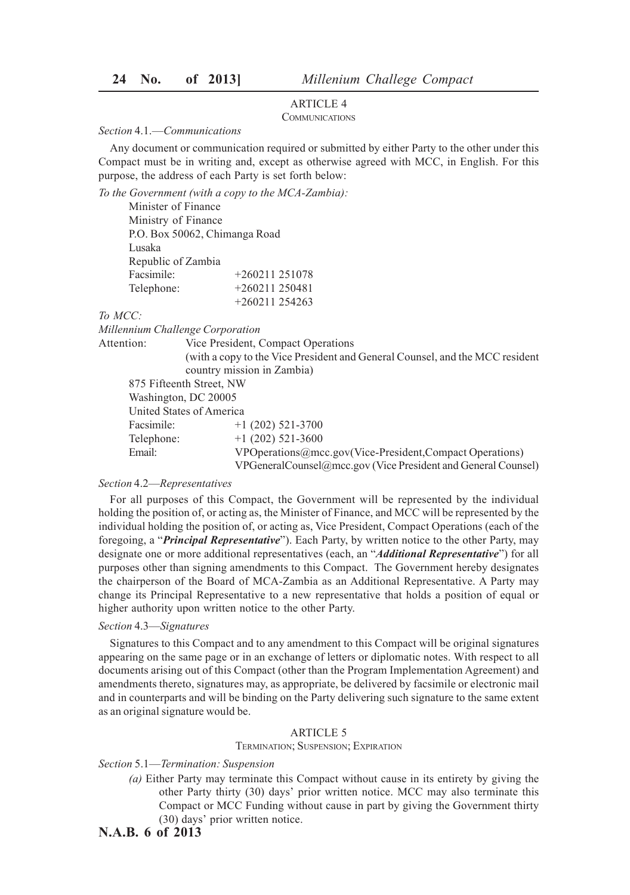# ARTICLE 4

# COMMUNICATIONS

### *Section* 4.1.—*Communications*

Any document or communication required or submitted by either Party to the other under this Compact must be in writing and, except as otherwise agreed with MCC, in English. For this purpose, the address of each Party is set forth below:

*To the Government (with a copy to the MCA-Zambia):*

Minister of Finance Ministry of Finance P.O. Box 50062, Chimanga Road Lusaka Republic of Zambia Facsimile: +260211 251078 Telephone: +260211 250481 +260211 254263

*To MCC:*

*Millennium Challenge Corporation*

Attention: Vice President, Compact Operations (with a copy to the Vice President and General Counsel, and the MCC resident country mission in Zambia)

875 Fifteenth Street, NW Washington, DC 20005 United States of America Facsimile: +1 (202) 521-3700 Telephone:  $+1$  (202) 521-3600

Email: VPOperations@mcc.gov(Vice-President,Compact Operations)

VPGeneralCounsel@mcc.gov (Vice President and General Counsel)

### *Section* 4.2—*Representatives*

For all purposes of this Compact, the Government will be represented by the individual holding the position of, or acting as, the Minister of Finance, and MCC will be represented by the individual holding the position of, or acting as, Vice President, Compact Operations (each of the foregoing, a "*Principal Representative*"). Each Party, by written notice to the other Party, may designate one or more additional representatives (each, an "*Additional Representative*") for all purposes other than signing amendments to this Compact. The Government hereby designates the chairperson of the Board of MCA-Zambia as an Additional Representative. A Party may change its Principal Representative to a new representative that holds a position of equal or higher authority upon written notice to the other Party.

### *Section* 4.3—*Signatures*

Signatures to this Compact and to any amendment to this Compact will be original signatures appearing on the same page or in an exchange of letters or diplomatic notes. With respect to all documents arising out of this Compact (other than the Program Implementation Agreement) and amendments thereto, signatures may, as appropriate, be delivered by facsimile or electronic mail and in counterparts and will be binding on the Party delivering such signature to the same extent as an original signature would be.

### ARTICLE 5

### TERMINATION; SUSPENSION; EXPIRATION

### *Section* 5.1—*Termination: Suspension*

- *(a)* Either Party may terminate this Compact without cause in its entirety by giving the other Party thirty (30) days' prior written notice. MCC may also terminate this Compact or MCC Funding without cause in part by giving the Government thirty (30) days' prior written notice.
- **N.A.B. 6 of 2013**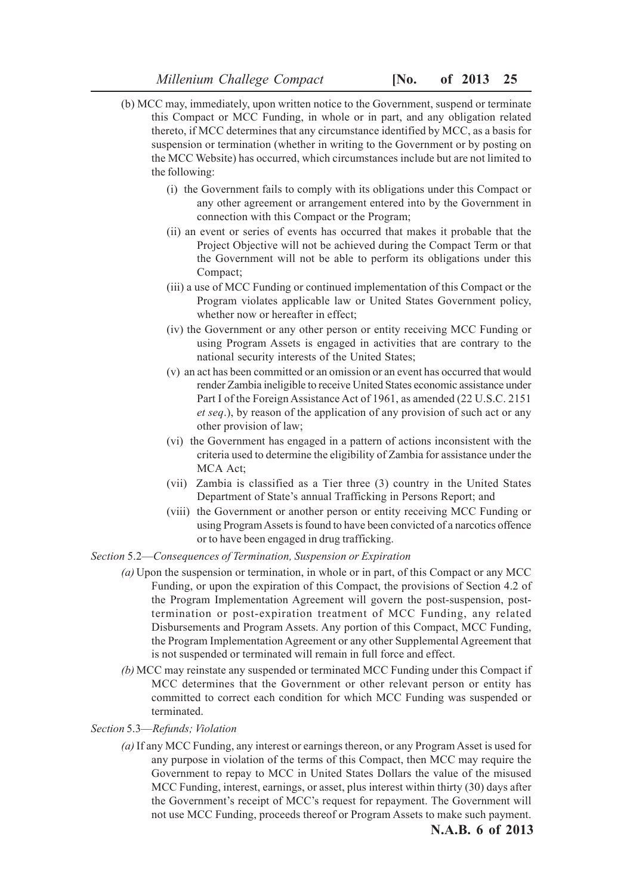- (b) MCC may, immediately, upon written notice to the Government, suspend or terminate this Compact or MCC Funding, in whole or in part, and any obligation related thereto, if MCC determines that any circumstance identified by MCC, as a basis for suspension or termination (whether in writing to the Government or by posting on the MCC Website) has occurred, which circumstances include but are not limited to the following:
	- (i) the Government fails to comply with its obligations under this Compact or any other agreement or arrangement entered into by the Government in connection with this Compact or the Program;
	- (ii) an event or series of events has occurred that makes it probable that the Project Objective will not be achieved during the Compact Term or that the Government will not be able to perform its obligations under this Compact;
	- (iii) a use of MCC Funding or continued implementation of this Compact or the Program violates applicable law or United States Government policy, whether now or hereafter in effect;
	- (iv) the Government or any other person or entity receiving MCC Funding or using Program Assets is engaged in activities that are contrary to the national security interests of the United States;
	- (v) an act has been committed or an omission or an event has occurred that would render Zambia ineligible to receive United States economic assistance under Part I of the Foreign Assistance Act of 1961, as amended (22 U.S.C. 2151 *et seq*.), by reason of the application of any provision of such act or any other provision of law;
	- (vi) the Government has engaged in a pattern of actions inconsistent with the criteria used to determine the eligibility of Zambia for assistance under the MCA Act;
	- (vii) Zambia is classified as a Tier three (3) country in the United States Department of State's annual Trafficking in Persons Report; and
	- (viii) the Government or another person or entity receiving MCC Funding or using Program Assets is found to have been convicted of a narcotics offence or to have been engaged in drug trafficking.

### *Section* 5.2—*Consequences of Termination, Suspension or Expiration*

- *(a)* Upon the suspension or termination, in whole or in part, of this Compact or any MCC Funding, or upon the expiration of this Compact, the provisions of Section 4.2 of the Program Implementation Agreement will govern the post-suspension, posttermination or post-expiration treatment of MCC Funding, any related Disbursements and Program Assets. Any portion of this Compact, MCC Funding, the Program Implementation Agreement or any other Supplemental Agreement that is not suspended or terminated will remain in full force and effect.
- *(b)* MCC may reinstate any suspended or terminated MCC Funding under this Compact if MCC determines that the Government or other relevant person or entity has committed to correct each condition for which MCC Funding was suspended or terminated.

### *Section* 5.3—*Refunds; Violation*

*(a)* If any MCC Funding, any interest or earnings thereon, or any Program Asset is used for any purpose in violation of the terms of this Compact, then MCC may require the Government to repay to MCC in United States Dollars the value of the misused MCC Funding, interest, earnings, or asset, plus interest within thirty (30) days after the Government's receipt of MCC's request for repayment. The Government will not use MCC Funding, proceeds thereof or Program Assets to make such payment.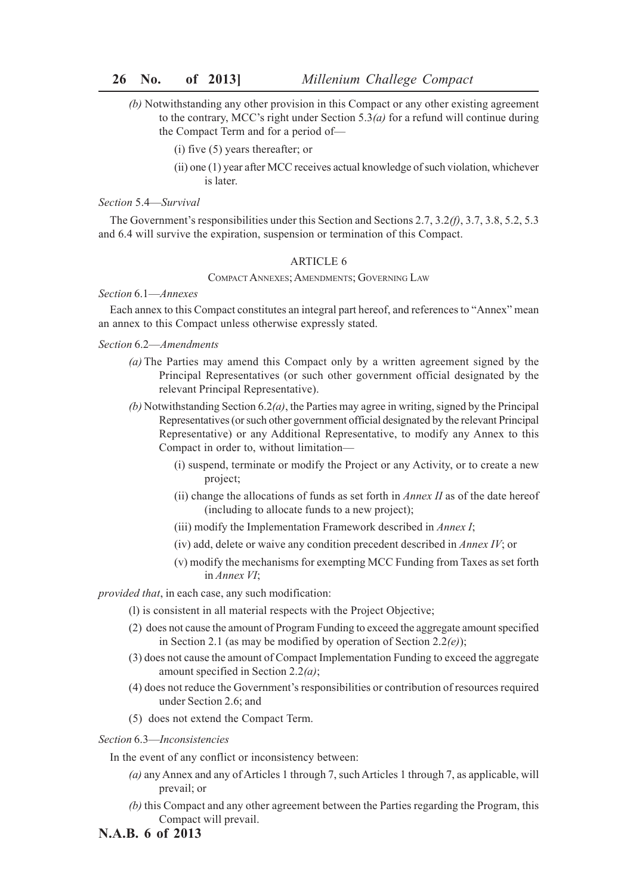- *(b)* Notwithstanding any other provision in this Compact or any other existing agreement to the contrary, MCC's right under Section 5.3*(a)* for a refund will continue during the Compact Term and for a period of—
	- (i) five (5) years thereafter; or
	- (ii) one (1) year after MCC receives actual knowledge of such violation, whichever is later.

### *Section* 5.4—*Survival*

The Government's responsibilities under this Section and Sections 2.7, 3.2*(f)*, 3.7, 3.8, 5.2, 5.3 and 6.4 will survive the expiration, suspension or termination of this Compact.

### ARTICLE 6

COMPACT ANNEXES; AMENDMENTS; GOVERNING LAW

### *Section* 6.1—*Annexes*

Each annex to this Compact constitutes an integral part hereof, and references to "Annex" mean an annex to this Compact unless otherwise expressly stated.

### *Section* 6.2—*Amendments*

- *(a)* The Parties may amend this Compact only by a written agreement signed by the Principal Representatives (or such other government official designated by the relevant Principal Representative).
- *(b)* Notwithstanding Section 6.2*(a)*, the Parties may agree in writing, signed by the Principal Representatives (or such other government official designated by the relevant Principal Representative) or any Additional Representative, to modify any Annex to this Compact in order to, without limitation—
	- (i) suspend, terminate or modify the Project or any Activity, or to create a new project;
	- (ii) change the allocations of funds as set forth in *Annex II* as of the date hereof (including to allocate funds to a new project);
	- (iii) modify the Implementation Framework described in *Annex I*;
	- (iv) add, delete or waive any condition precedent described in *Annex IV*; or
	- (v) modify the mechanisms for exempting MCC Funding from Taxes as set forth in *Annex VI*;

*provided that*, in each case, any such modification:

- (l) is consistent in all material respects with the Project Objective;
- (2) does not cause the amount of Program Funding to exceed the aggregate amount specified in Section 2.1 (as may be modified by operation of Section 2.2*(e)*);
- (3) does not cause the amount of Compact Implementation Funding to exceed the aggregate amount specified in Section 2.2*(a)*;
- (4) does not reduce the Government's responsibilities or contribution of resources required under Section 2.6; and
- (5) does not extend the Compact Term.

### *Section* 6.3—*Inconsistencies*

In the event of any conflict or inconsistency between:

- *(a)* any Annex and any of Articles 1 through 7, such Articles 1 through 7, as applicable, will prevail; or
- *(b)* this Compact and any other agreement between the Parties regarding the Program, this Compact will prevail.
- **N.A.B. 6 of 2013**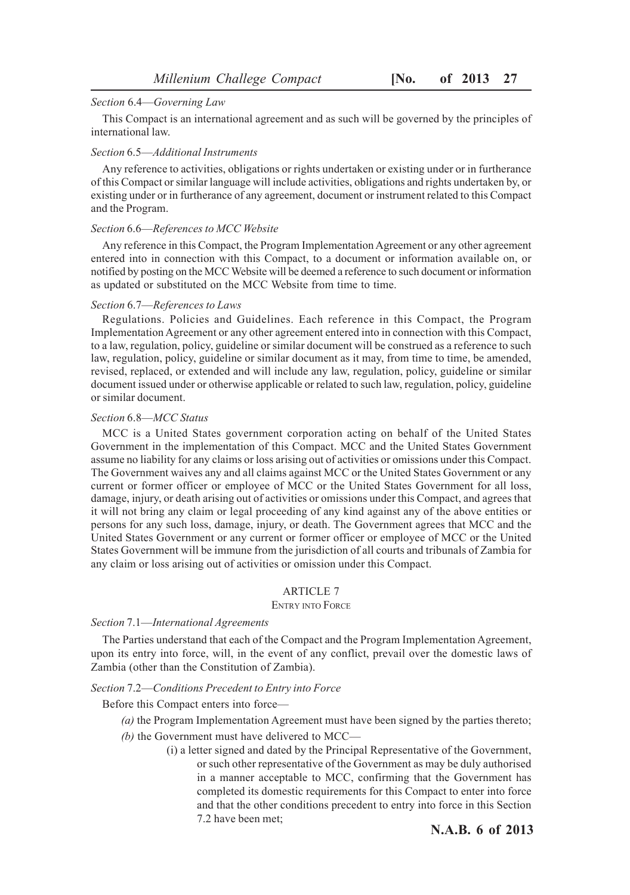### *Section* 6.4—*Governing Law*

This Compact is an international agreement and as such will be governed by the principles of international law.

### *Section* 6.5—*Additional Instruments*

Any reference to activities, obligations or rights undertaken or existing under or in furtherance of this Compact or similar language will include activities, obligations and rights undertaken by, or existing under or in furtherance of any agreement, document or instrument related to this Compact and the Program.

### *Section* 6.6—*References to MCC Website*

Any reference in this Compact, the Program Implementation Agreement or any other agreement entered into in connection with this Compact, to a document or information available on, or notified by posting on the MCC Website will be deemed a reference to such document or information as updated or substituted on the MCC Website from time to time.

### *Section* 6.7—*References to Laws*

Regulations. Policies and Guidelines. Each reference in this Compact, the Program Implementation Agreement or any other agreement entered into in connection with this Compact, to a law, regulation, policy, guideline or similar document will be construed as a reference to such law, regulation, policy, guideline or similar document as it may, from time to time, be amended, revised, replaced, or extended and will include any law, regulation, policy, guideline or similar document issued under or otherwise applicable or related to such law, regulation, policy, guideline or similar document.

### *Section* 6.8—*MCC Status*

MCC is a United States government corporation acting on behalf of the United States Government in the implementation of this Compact. MCC and the United States Government assume no liability for any claims or loss arising out of activities or omissions under this Compact. The Government waives any and all claims against MCC or the United States Government or any current or former officer or employee of MCC or the United States Government for all loss, damage, injury, or death arising out of activities or omissions under this Compact, and agrees that it will not bring any claim or legal proceeding of any kind against any of the above entities or persons for any such loss, damage, injury, or death. The Government agrees that MCC and the United States Government or any current or former officer or employee of MCC or the United States Government will be immune from the jurisdiction of all courts and tribunals of Zambia for any claim or loss arising out of activities or omission under this Compact.

# ARTICLE 7

### ENTRY INTO FORCE

### *Section* 7.1—*International Agreements*

The Parties understand that each of the Compact and the Program Implementation Agreement, upon its entry into force, will, in the event of any conflict, prevail over the domestic laws of Zambia (other than the Constitution of Zambia).

### *Section* 7.2—*Conditions Precedent to Entry into Force*

Before this Compact enters into force—

- *(a)* the Program Implementation Agreement must have been signed by the parties thereto;
- *(b)* the Government must have delivered to MCC—
	- (i) a letter signed and dated by the Principal Representative of the Government, or such other representative of the Government as may be duly authorised in a manner acceptable to MCC, confirming that the Government has completed its domestic requirements for this Compact to enter into force and that the other conditions precedent to entry into force in this Section 7.2 have been met;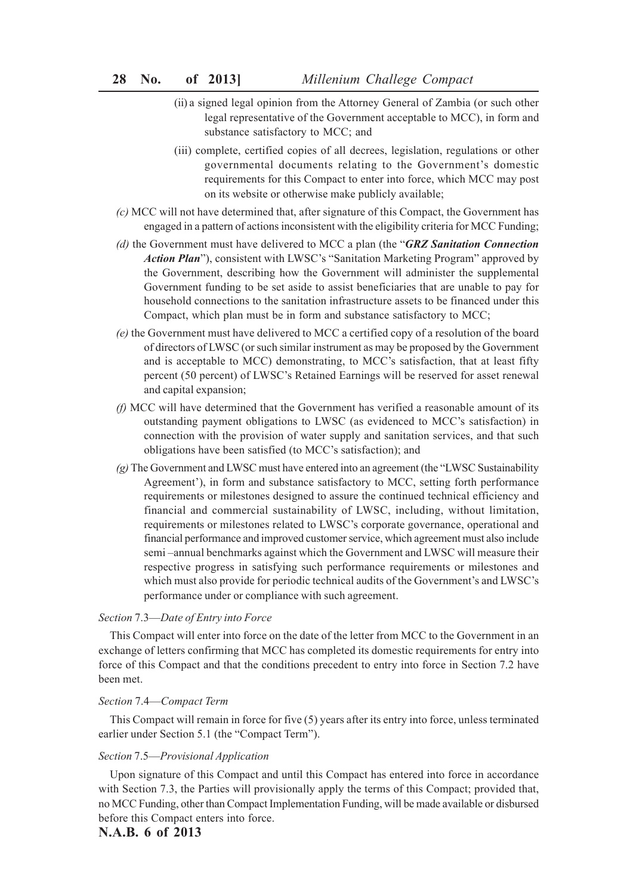- (ii) a signed legal opinion from the Attorney General of Zambia (or such other legal representative of the Government acceptable to MCC), in form and substance satisfactory to MCC; and
- (iii) complete, certified copies of all decrees, legislation, regulations or other governmental documents relating to the Government's domestic requirements for this Compact to enter into force, which MCC may post on its website or otherwise make publicly available;
- *(c)* MCC will not have determined that, after signature of this Compact, the Government has engaged in a pattern of actions inconsistent with the eligibility criteria for MCC Funding;
- *(d)* the Government must have delivered to MCC a plan (the "*GRZ Sanitation Connection Action Plan*"), consistent with LWSC's "Sanitation Marketing Program" approved by the Government, describing how the Government will administer the supplemental Government funding to be set aside to assist beneficiaries that are unable to pay for household connections to the sanitation infrastructure assets to be financed under this Compact, which plan must be in form and substance satisfactory to MCC;
- *(e)* the Government must have delivered to MCC a certified copy of a resolution of the board of directors of LWSC (or such similar instrument as may be proposed by the Government and is acceptable to MCC) demonstrating, to MCC's satisfaction, that at least fifty percent (50 percent) of LWSC's Retained Earnings will be reserved for asset renewal and capital expansion;
- *(f)* MCC will have determined that the Government has verified a reasonable amount of its outstanding payment obligations to LWSC (as evidenced to MCC's satisfaction) in connection with the provision of water supply and sanitation services, and that such obligations have been satisfied (to MCC's satisfaction); and
- *(g)* The Government and LWSC must have entered into an agreement (the "LWSC Sustainability Agreement'), in form and substance satisfactory to MCC, setting forth performance requirements or milestones designed to assure the continued technical efficiency and financial and commercial sustainability of LWSC, including, without limitation, requirements or milestones related to LWSC's corporate governance, operational and financial performance and improved customer service, which agreement must also include semi –annual benchmarks against which the Government and LWSC will measure their respective progress in satisfying such performance requirements or milestones and which must also provide for periodic technical audits of the Government's and LWSC's performance under or compliance with such agreement.

### *Section* 7.3—*Date of Entry into Force*

This Compact will enter into force on the date of the letter from MCC to the Government in an exchange of letters confirming that MCC has completed its domestic requirements for entry into force of this Compact and that the conditions precedent to entry into force in Section 7.2 have been met.

### *Section* 7.4—*Compact Term*

This Compact will remain in force for five (5) years after its entry into force, unless terminated earlier under Section 5.1 (the "Compact Term").

### *Section* 7.5—*Provisional Application*

Upon signature of this Compact and until this Compact has entered into force in accordance with Section 7.3, the Parties will provisionally apply the terms of this Compact; provided that, no MCC Funding, other than Compact Implementation Funding, will be made available or disbursed before this Compact enters into force.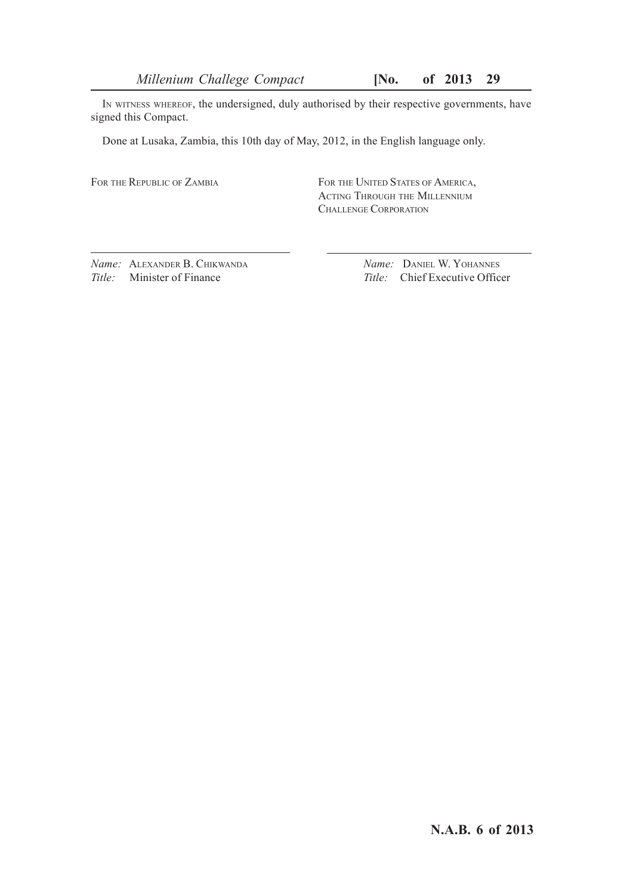*Millenium Challege Compact* **[No. of 2013 29**

IN WITNESS WHEREOF, the undersigned, duly authorised by their respective governments, have signed this Compact.

Done at Lusaka, Zambia, this 10th day of May, 2012, in the English language only.

FOR THE REPUBLIC OF ZAMBIA FOR THE UNITED STATES OF AMERICA, ACTING THROUGH THE MILLENNIUM CHALLENGE CORPORATION

*Name:* ALEXANDER B. CHIKWANDA *Name:* DANIEL W. YOHANNES *Title:* Minister of Finance *Title: Chief Executive Office* 

*Title:* Chief Executive Officer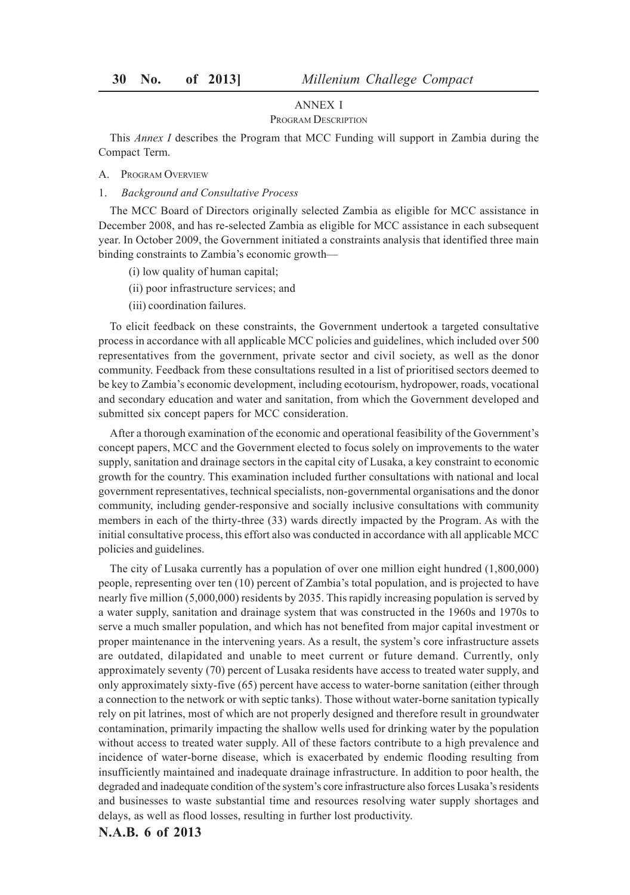### ANNEX I

### PROGRAM DESCRIPTION

This *Annex I* describes the Program that MCC Funding will support in Zambia during the Compact Term.

### A. PROGRAM OVERVIEW

1. *Background and Consultative Process*

The MCC Board of Directors originally selected Zambia as eligible for MCC assistance in December 2008, and has re-selected Zambia as eligible for MCC assistance in each subsequent year. In October 2009, the Government initiated a constraints analysis that identified three main binding constraints to Zambia's economic growth—

- (i) low quality of human capital;
- (ii) poor infrastructure services; and
- (iii) coordination failures.

To elicit feedback on these constraints, the Government undertook a targeted consultative process in accordance with all applicable MCC policies and guidelines, which included over 500 representatives from the government, private sector and civil society, as well as the donor community. Feedback from these consultations resulted in a list of prioritised sectors deemed to be key to Zambia's economic development, including ecotourism, hydropower, roads, vocational and secondary education and water and sanitation, from which the Government developed and submitted six concept papers for MCC consideration.

After a thorough examination of the economic and operational feasibility of the Government's concept papers, MCC and the Government elected to focus solely on improvements to the water supply, sanitation and drainage sectors in the capital city of Lusaka, a key constraint to economic growth for the country. This examination included further consultations with national and local government representatives, technical specialists, non-governmental organisations and the donor community, including gender-responsive and socially inclusive consultations with community members in each of the thirty-three (33) wards directly impacted by the Program. As with the initial consultative process, this effort also was conducted in accordance with all applicable MCC policies and guidelines.

The city of Lusaka currently has a population of over one million eight hundred (1,800,000) people, representing over ten (10) percent of Zambia's total population, and is projected to have nearly five million (5,000,000) residents by 2035. This rapidly increasing population is served by a water supply, sanitation and drainage system that was constructed in the 1960s and 1970s to serve a much smaller population, and which has not benefited from major capital investment or proper maintenance in the intervening years. As a result, the system's core infrastructure assets are outdated, dilapidated and unable to meet current or future demand. Currently, only approximately seventy (70) percent of Lusaka residents have access to treated water supply, and only approximately sixty-five (65) percent have access to water-borne sanitation (either through a connection to the network or with septic tanks). Those without water-borne sanitation typically rely on pit latrines, most of which are not properly designed and therefore result in groundwater contamination, primarily impacting the shallow wells used for drinking water by the population without access to treated water supply. All of these factors contribute to a high prevalence and incidence of water-borne disease, which is exacerbated by endemic flooding resulting from insufficiently maintained and inadequate drainage infrastructure. In addition to poor health, the degraded and inadequate condition of the system's core infrastructure also forces Lusaka's residents and businesses to waste substantial time and resources resolving water supply shortages and delays, as well as flood losses, resulting in further lost productivity.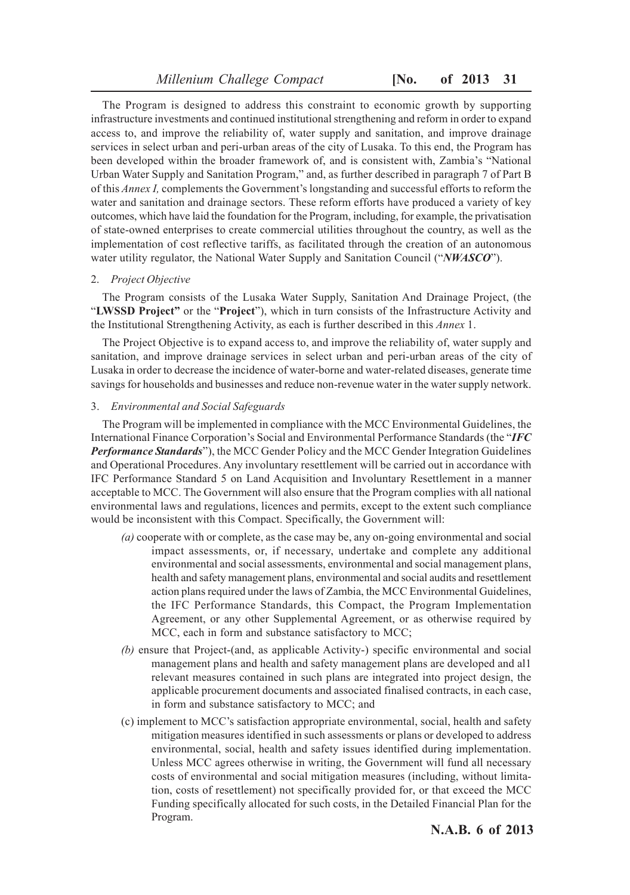The Program is designed to address this constraint to economic growth by supporting infrastructure investments and continued institutional strengthening and reform in order to expand access to, and improve the reliability of, water supply and sanitation, and improve drainage services in select urban and peri-urban areas of the city of Lusaka. To this end, the Program has been developed within the broader framework of, and is consistent with, Zambia's "National Urban Water Supply and Sanitation Program," and, as further described in paragraph 7 of Part B of this *Annex I,* complements the Government's longstanding and successful efforts to reform the water and sanitation and drainage sectors. These reform efforts have produced a variety of key outcomes, which have laid the foundation for the Program, including, for example, the privatisation of state-owned enterprises to create commercial utilities throughout the country, as well as the implementation of cost reflective tariffs, as facilitated through the creation of an autonomous water utility regulator, the National Water Supply and Sanitation Council ("*NWASCO*").

### 2. *Project Objective*

The Program consists of the Lusaka Water Supply, Sanitation And Drainage Project, (the "**LWSSD Project"** or the "**Project**"), which in turn consists of the Infrastructure Activity and the Institutional Strengthening Activity, as each is further described in this *Annex* 1.

The Project Objective is to expand access to, and improve the reliability of, water supply and sanitation, and improve drainage services in select urban and peri-urban areas of the city of Lusaka in order to decrease the incidence of water-borne and water-related diseases, generate time savings for households and businesses and reduce non-revenue water in the water supply network.

### 3. *Environmental and Social Safeguards*

The Program will be implemented in compliance with the MCC Environmental Guidelines, the International Finance Corporation's Social and Environmental Performance Standards (the "*IFC Performance Standards*"), the MCC Gender Policy and the MCC Gender Integration Guidelines and Operational Procedures. Any involuntary resettlement will be carried out in accordance with IFC Performance Standard 5 on Land Acquisition and Involuntary Resettlement in a manner acceptable to MCC. The Government will also ensure that the Program complies with all national environmental laws and regulations, licences and permits, except to the extent such compliance would be inconsistent with this Compact. Specifically, the Government will:

- *(a)* cooperate with or complete, as the case may be, any on-going environmental and social impact assessments, or, if necessary, undertake and complete any additional environmental and social assessments, environmental and social management plans, health and safety management plans, environmental and social audits and resettlement action plans required under the laws of Zambia, the MCC Environmental Guidelines, the IFC Performance Standards, this Compact, the Program Implementation Agreement, or any other Supplemental Agreement, or as otherwise required by MCC, each in form and substance satisfactory to MCC;
- *(b)* ensure that Project-(and, as applicable Activity-) specific environmental and social management plans and health and safety management plans are developed and al1 relevant measures contained in such plans are integrated into project design, the applicable procurement documents and associated finalised contracts, in each case, in form and substance satisfactory to MCC; and
- (c) implement to MCC's satisfaction appropriate environmental, social, health and safety mitigation measures identified in such assessments or plans or developed to address environmental, social, health and safety issues identified during implementation. Unless MCC agrees otherwise in writing, the Government will fund all necessary costs of environmental and social mitigation measures (including, without limitation, costs of resettlement) not specifically provided for, or that exceed the MCC Funding specifically allocated for such costs, in the Detailed Financial Plan for the Program.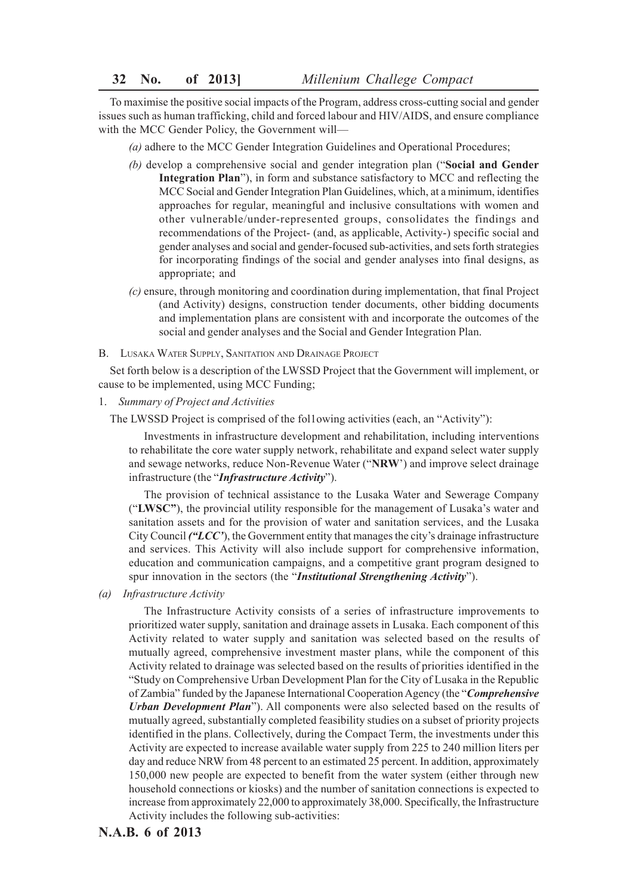To maximise the positive social impacts of the Program, address cross-cutting social and gender issues such as human trafficking, child and forced labour and HIV/AIDS, and ensure compliance with the MCC Gender Policy, the Government will—

- *(a)* adhere to the MCC Gender Integration Guidelines and Operational Procedures;
- *(b)* develop a comprehensive social and gender integration plan ("**Social and Gender Integration Plan**"), in form and substance satisfactory to MCC and reflecting the MCC Social and Gender Integration Plan Guidelines, which, at a minimum, identifies approaches for regular, meaningful and inclusive consultations with women and other vulnerable/under-represented groups, consolidates the findings and recommendations of the Project- (and, as applicable, Activity-) specific social and gender analyses and social and gender-focused sub-activities, and sets forth strategies for incorporating findings of the social and gender analyses into final designs, as appropriate; and
- *(c)* ensure, through monitoring and coordination during implementation, that final Project (and Activity) designs, construction tender documents, other bidding documents and implementation plans are consistent with and incorporate the outcomes of the social and gender analyses and the Social and Gender Integration Plan.
- B. LUSAKA WATER SUPPLY, SANITATION AND DRAINAGE PROJECT

Set forth below is a description of the LWSSD Project that the Government will implement, or cause to be implemented, using MCC Funding;

1. *Summary of Project and Activities*

The LWSSD Project is comprised of the fol1owing activities (each, an "Activity"):

Investments in infrastructure development and rehabilitation, including interventions to rehabilitate the core water supply network, rehabilitate and expand select water supply and sewage networks, reduce Non-Revenue Water ("**NRW**') and improve select drainage infrastructure (the "*Infrastructure Activity*").

The provision of technical assistance to the Lusaka Water and Sewerage Company ("**LWSC"**), the provincial utility responsible for the management of Lusaka's water and sanitation assets and for the provision of water and sanitation services, and the Lusaka City Council *("LCC'*), the Government entity that manages the city's drainage infrastructure and services. This Activity will also include support for comprehensive information, education and communication campaigns, and a competitive grant program designed to spur innovation in the sectors (the "*Institutional Strengthening Activity*").

*(a) Infrastructure Activity*

The Infrastructure Activity consists of a series of infrastructure improvements to prioritized water supply, sanitation and drainage assets in Lusaka. Each component of this Activity related to water supply and sanitation was selected based on the results of mutually agreed, comprehensive investment master plans, while the component of this Activity related to drainage was selected based on the results of priorities identified in the "Study on Comprehensive Urban Development Plan for the City of Lusaka in the Republic of Zambia" funded by the Japanese International Cooperation Agency (the "*Comprehensive Urban Development Plan*"). All components were also selected based on the results of mutually agreed, substantially completed feasibility studies on a subset of priority projects identified in the plans. Collectively, during the Compact Term, the investments under this Activity are expected to increase available water supply from 225 to 240 million liters per day and reduce NRW from 48 percent to an estimated 25 percent. In addition, approximately 150,000 new people are expected to benefit from the water system (either through new household connections or kiosks) and the number of sanitation connections is expected to increase from approximately 22,000 to approximately 38,000. Specifically, the Infrastructure Activity includes the following sub-activities: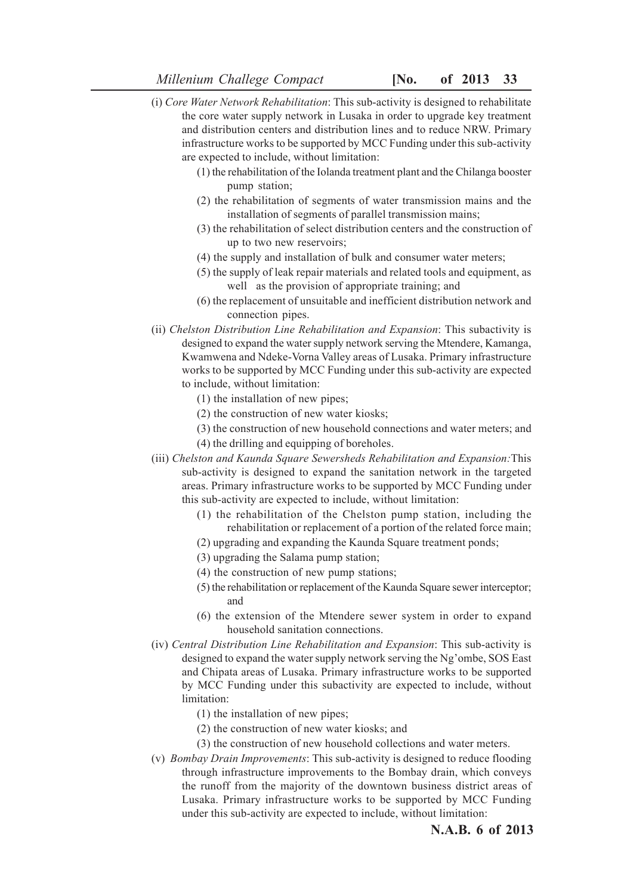- (i) *Core Water Network Rehabilitation*: This sub-activity is designed to rehabilitate the core water supply network in Lusaka in order to upgrade key treatment and distribution centers and distribution lines and to reduce NRW. Primary infrastructure works to be supported by MCC Funding under this sub-activity are expected to include, without limitation:
	- (1) the rehabilitation of the Iolanda treatment plant and the Chilanga booster pump station;
	- (2) the rehabilitation of segments of water transmission mains and the installation of segments of parallel transmission mains;
	- (3) the rehabilitation of select distribution centers and the construction of up to two new reservoirs;
	- (4) the supply and installation of bulk and consumer water meters;
	- (5) the supply of leak repair materials and related tools and equipment, as well as the provision of appropriate training; and
	- (6) the replacement of unsuitable and inefficient distribution network and connection pipes.
- (ii) *Chelston Distribution Line Rehabilitation and Expansion*: This subactivity is designed to expand the water supply network serving the Mtendere, Kamanga, Kwamwena and Ndeke-Vorna Valley areas of Lusaka. Primary infrastructure works to be supported by MCC Funding under this sub-activity are expected to include, without limitation:
	- (1) the installation of new pipes;
	- (2) the construction of new water kiosks;
	- (3) the construction of new household connections and water meters; and
	- (4) the drilling and equipping of boreholes.
- (iii) *Chelston and Kaunda Square Sewersheds Rehabilitation and Expansion:*This sub-activity is designed to expand the sanitation network in the targeted areas. Primary infrastructure works to be supported by MCC Funding under this sub-activity are expected to include, without limitation:
	- (1) the rehabilitation of the Chelston pump station, including the rehabilitation or replacement of a portion of the related force main;
	- (2) upgrading and expanding the Kaunda Square treatment ponds;
	- (3) upgrading the Salama pump station;
	- (4) the construction of new pump stations;
	- (5) the rehabilitation or replacement of the Kaunda Square sewer interceptor; and
	- (6) the extension of the Mtendere sewer system in order to expand household sanitation connections.
- (iv) *Central Distribution Line Rehabilitation and Expansion*: This sub-activity is designed to expand the water supply network serving the Ng'ombe, SOS East and Chipata areas of Lusaka. Primary infrastructure works to be supported by MCC Funding under this subactivity are expected to include, without limitation:
	- (1) the installation of new pipes;
	- (2) the construction of new water kiosks; and
	- (3) the construction of new household collections and water meters.
- (v) *Bombay Drain Improvements*: This sub-activity is designed to reduce flooding through infrastructure improvements to the Bombay drain, which conveys the runoff from the majority of the downtown business district areas of Lusaka. Primary infrastructure works to be supported by MCC Funding under this sub-activity are expected to include, without limitation: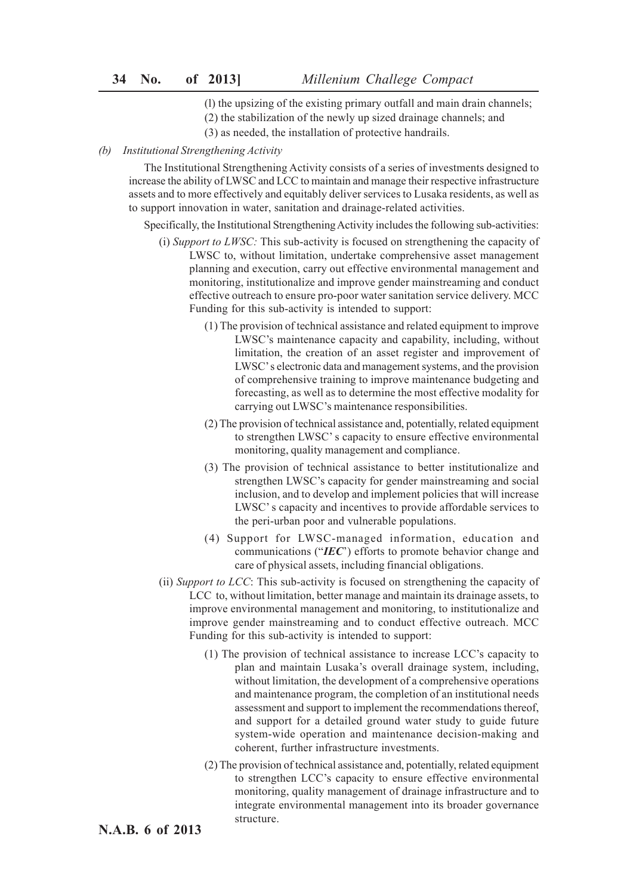- (l) the upsizing of the existing primary outfall and main drain channels;
- (2) the stabilization of the newly up sized drainage channels; and
- (3) as needed, the installation of protective handrails.

### *(b) Institutional Strengthening Activity*

The Institutional Strengthening Activity consists of a series of investments designed to increase the ability of LWSC and LCC to maintain and manage their respective infrastructure assets and to more effectively and equitably deliver services to Lusaka residents, as well as to support innovation in water, sanitation and drainage-related activities.

Specifically, the Institutional Strengthening Activity includes the following sub-activities:

- (i) *Support to LWSC:* This sub-activity is focused on strengthening the capacity of LWSC to, without limitation, undertake comprehensive asset management planning and execution, carry out effective environmental management and monitoring, institutionalize and improve gender mainstreaming and conduct effective outreach to ensure pro-poor water sanitation service delivery. MCC Funding for this sub-activity is intended to support:
	- (1) The provision of technical assistance and related equipment to improve LWSC's maintenance capacity and capability, including, without limitation, the creation of an asset register and improvement of LWSC' s electronic data and management systems, and the provision of comprehensive training to improve maintenance budgeting and forecasting, as well as to determine the most effective modality for carrying out LWSC's maintenance responsibilities.
	- (2) The provision of technical assistance and, potentially, related equipment to strengthen LWSC' s capacity to ensure effective environmental monitoring, quality management and compliance.
	- (3) The provision of technical assistance to better institutionalize and strengthen LWSC's capacity for gender mainstreaming and social inclusion, and to develop and implement policies that will increase LWSC' s capacity and incentives to provide affordable services to the peri-urban poor and vulnerable populations.
	- (4) Support for LWSC-managed information, education and communications ("*IEC*') efforts to promote behavior change and care of physical assets, including financial obligations.
- (ii) *Support to LCC*: This sub-activity is focused on strengthening the capacity of LCC to, without limitation, better manage and maintain its drainage assets, to improve environmental management and monitoring, to institutionalize and improve gender mainstreaming and to conduct effective outreach. MCC Funding for this sub-activity is intended to support:
	- (1) The provision of technical assistance to increase LCC's capacity to plan and maintain Lusaka's overall drainage system, including, without limitation, the development of a comprehensive operations and maintenance program, the completion of an institutional needs assessment and support to implement the recommendations thereof, and support for a detailed ground water study to guide future system-wide operation and maintenance decision-making and coherent, further infrastructure investments.
	- (2) The provision of technical assistance and, potentially, related equipment to strengthen LCC's capacity to ensure effective environmental monitoring, quality management of drainage infrastructure and to integrate environmental management into its broader governance structure.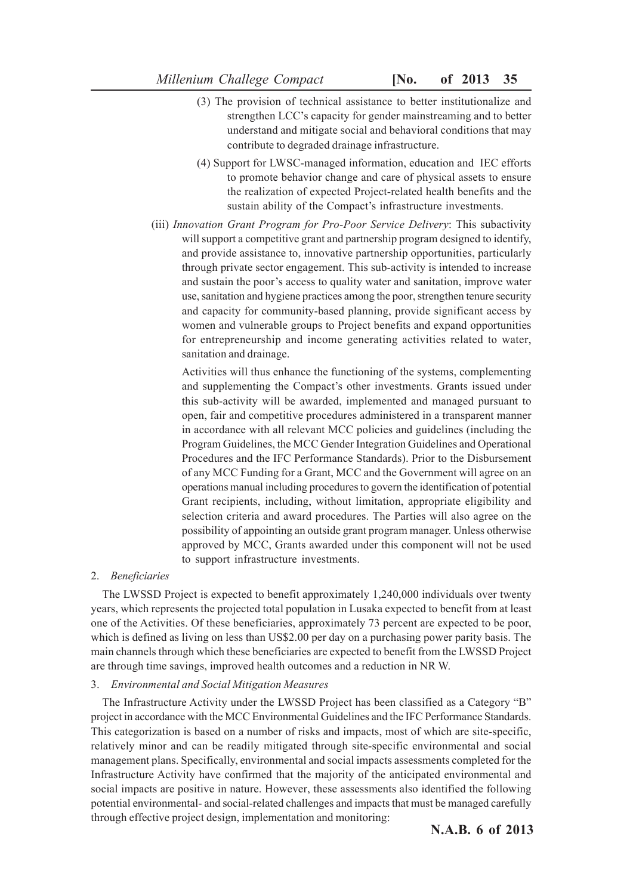- (3) The provision of technical assistance to better institutionalize and strengthen LCC's capacity for gender mainstreaming and to better understand and mitigate social and behavioral conditions that may contribute to degraded drainage infrastructure.
- (4) Support for LWSC-managed information, education and IEC efforts to promote behavior change and care of physical assets to ensure the realization of expected Project-related health benefits and the sustain ability of the Compact's infrastructure investments.
- (iii) *Innovation Grant Program for Pro-Poor Service Delivery*: This subactivity will support a competitive grant and partnership program designed to identify, and provide assistance to, innovative partnership opportunities, particularly through private sector engagement. This sub-activity is intended to increase and sustain the poor's access to quality water and sanitation, improve water use, sanitation and hygiene practices among the poor, strengthen tenure security and capacity for community-based planning, provide significant access by women and vulnerable groups to Project benefits and expand opportunities for entrepreneurship and income generating activities related to water, sanitation and drainage.

Activities will thus enhance the functioning of the systems, complementing and supplementing the Compact's other investments. Grants issued under this sub-activity will be awarded, implemented and managed pursuant to open, fair and competitive procedures administered in a transparent manner in accordance with all relevant MCC policies and guidelines (including the Program Guidelines, the MCC Gender Integration Guidelines and Operational Procedures and the IFC Performance Standards). Prior to the Disbursement of any MCC Funding for a Grant, MCC and the Government will agree on an operations manual including procedures to govern the identification of potential Grant recipients, including, without limitation, appropriate eligibility and selection criteria and award procedures. The Parties will also agree on the possibility of appointing an outside grant program manager. Unless otherwise approved by MCC, Grants awarded under this component will not be used to support infrastructure investments.

### 2. *Beneficiaries*

The LWSSD Project is expected to benefit approximately 1,240,000 individuals over twenty years, which represents the projected total population in Lusaka expected to benefit from at least one of the Activities. Of these beneficiaries, approximately 73 percent are expected to be poor, which is defined as living on less than US\$2.00 per day on a purchasing power parity basis. The main channels through which these beneficiaries are expected to benefit from the LWSSD Project are through time savings, improved health outcomes and a reduction in NR W.

### 3. *Environmental and Social Mitigation Measures*

The Infrastructure Activity under the LWSSD Project has been classified as a Category "B" project in accordance with the MCC Environmental Guidelines and the IFC Performance Standards. This categorization is based on a number of risks and impacts, most of which are site-specific, relatively minor and can be readily mitigated through site-specific environmental and social management plans. Specifically, environmental and social impacts assessments completed for the Infrastructure Activity have confirmed that the majority of the anticipated environmental and social impacts are positive in nature. However, these assessments also identified the following potential environmental- and social-related challenges and impacts that must be managed carefully through effective project design, implementation and monitoring: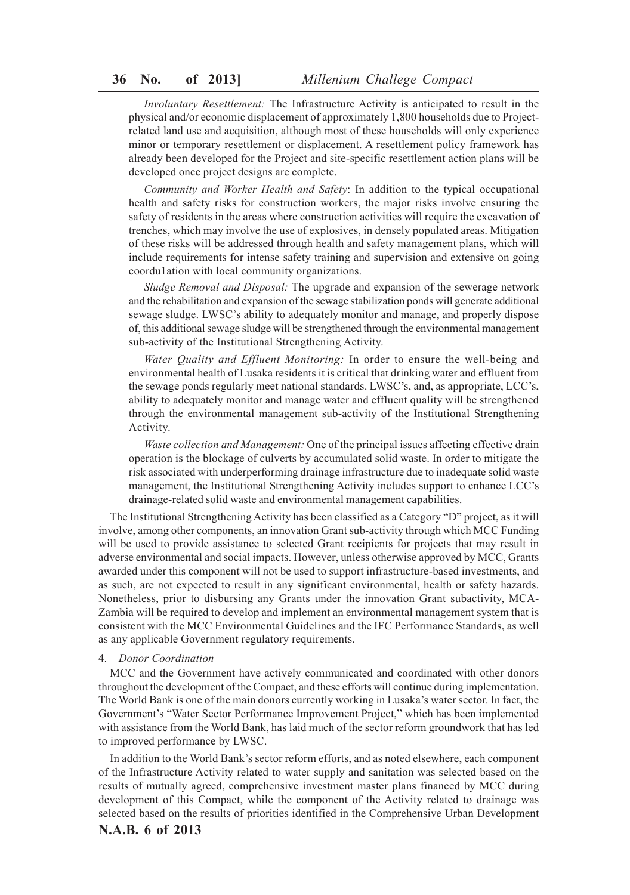*Involuntary Resettlement:* The Infrastructure Activity is anticipated to result in the physical and/or economic displacement of approximately 1,800 households due to Projectrelated land use and acquisition, although most of these households will only experience minor or temporary resettlement or displacement. A resettlement policy framework has already been developed for the Project and site-specific resettlement action plans will be developed once project designs are complete.

*Community and Worker Health and Safety*: In addition to the typical occupational health and safety risks for construction workers, the major risks involve ensuring the safety of residents in the areas where construction activities will require the excavation of trenches, which may involve the use of explosives, in densely populated areas. Mitigation of these risks will be addressed through health and safety management plans, which will include requirements for intense safety training and supervision and extensive on going coordu1ation with local community organizations.

*Sludge Removal and Disposal:* The upgrade and expansion of the sewerage network and the rehabilitation and expansion of the sewage stabilization ponds will generate additional sewage sludge. LWSC's ability to adequately monitor and manage, and properly dispose of, this additional sewage sludge will be strengthened through the environmental management sub-activity of the Institutional Strengthening Activity.

*Water Quality and Effluent Monitoring:* In order to ensure the well-being and environmental health of Lusaka residents it is critical that drinking water and effluent from the sewage ponds regularly meet national standards. LWSC's, and, as appropriate, LCC's, ability to adequately monitor and manage water and effluent quality will be strengthened through the environmental management sub-activity of the Institutional Strengthening Activity.

*Waste collection and Management:* One of the principal issues affecting effective drain operation is the blockage of culverts by accumulated solid waste. In order to mitigate the risk associated with underperforming drainage infrastructure due to inadequate solid waste management, the Institutional Strengthening Activity includes support to enhance LCC's drainage-related solid waste and environmental management capabilities.

The Institutional Strengthening Activity has been classified as a Category "D" project, as it will involve, among other components, an innovation Grant sub-activity through which MCC Funding will be used to provide assistance to selected Grant recipients for projects that may result in adverse environmental and social impacts. However, unless otherwise approved by MCC, Grants awarded under this component will not be used to support infrastructure-based investments, and as such, are not expected to result in any significant environmental, health or safety hazards. Nonetheless, prior to disbursing any Grants under the innovation Grant subactivity, MCA-Zambia will be required to develop and implement an environmental management system that is consistent with the MCC Environmental Guidelines and the IFC Performance Standards, as well as any applicable Government regulatory requirements.

### 4. *Donor Coordination*

MCC and the Government have actively communicated and coordinated with other donors throughout the development of the Compact, and these efforts will continue during implementation. The World Bank is one of the main donors currently working in Lusaka's water sector. In fact, the Government's "Water Sector Performance Improvement Project," which has been implemented with assistance from the World Bank, has laid much of the sector reform groundwork that has led to improved performance by LWSC.

In addition to the World Bank's sector reform efforts, and as noted elsewhere, each component of the Infrastructure Activity related to water supply and sanitation was selected based on the results of mutually agreed, comprehensive investment master plans financed by MCC during development of this Compact, while the component of the Activity related to drainage was selected based on the results of priorities identified in the Comprehensive Urban Development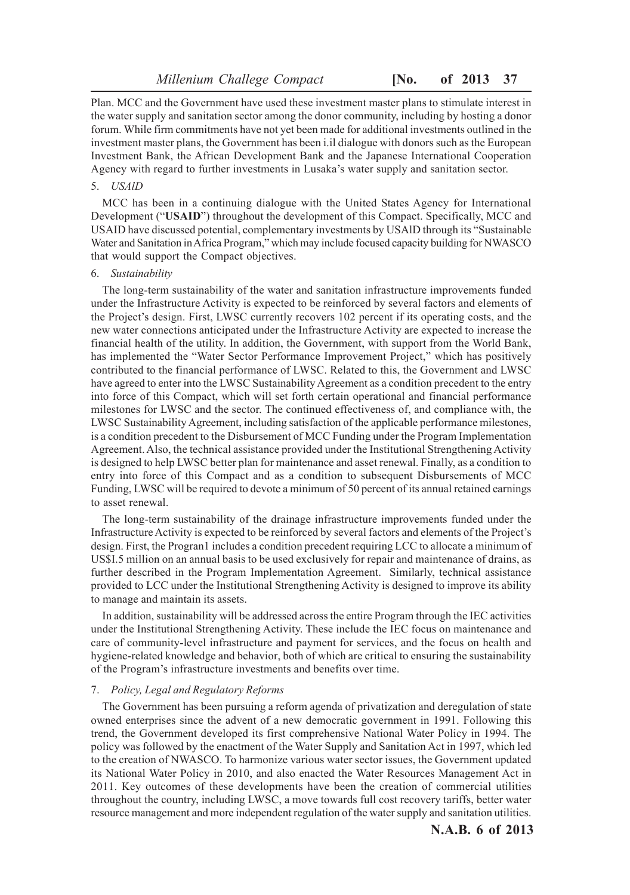Plan. MCC and the Government have used these investment master plans to stimulate interest in the water supply and sanitation sector among the donor community, including by hosting a donor forum. While firm commitments have not yet been made for additional investments outlined in the investment master plans, the Government has been i.il dialogue with donors such as the European Investment Bank, the African Development Bank and the Japanese International Cooperation Agency with regard to further investments in Lusaka's water supply and sanitation sector.

# 5. *USAlD*

MCC has been in a continuing dialogue with the United States Agency for International Development ("**USAID**") throughout the development of this Compact. Specifically, MCC and USAID have discussed potential, complementary investments by USAlD through its "Sustainable Water and Sanitation in Africa Program," which may include focused capacity building for NWASCO that would support the Compact objectives.

#### 6. *Sustainability*

The long-term sustainability of the water and sanitation infrastructure improvements funded under the Infrastructure Activity is expected to be reinforced by several factors and elements of the Project's design. First, LWSC currently recovers 102 percent if its operating costs, and the new water connections anticipated under the Infrastructure Activity are expected to increase the financial health of the utility. In addition, the Government, with support from the World Bank, has implemented the "Water Sector Performance Improvement Project," which has positively contributed to the financial performance of LWSC. Related to this, the Government and LWSC have agreed to enter into the LWSC Sustainability Agreement as a condition precedent to the entry into force of this Compact, which will set forth certain operational and financial performance milestones for LWSC and the sector. The continued effectiveness of, and compliance with, the LWSC Sustainability Agreement, including satisfaction of the applicable performance milestones, is a condition precedent to the Disbursement of MCC Funding under the Program Implementation Agreement. Also, the technical assistance provided under the Institutional Strengthening Activity is designed to help LWSC better plan for maintenance and asset renewal. Finally, as a condition to entry into force of this Compact and as a condition to subsequent Disbursements of MCC Funding, LWSC will be required to devote a minimum of 50 percent of its annual retained earnings to asset renewal.

The long-term sustainability of the drainage infrastructure improvements funded under the Infrastructure Activity is expected to be reinforced by several factors and elements of the Project's design. First, the Progran1 includes a condition precedent requiring LCC to allocate a minimum of US\$I.5 million on an annual basis to be used exclusively for repair and maintenance of drains, as further described in the Program Implementation Agreement. Similarly, technical assistance provided to LCC under the Institutional Strengthening Activity is designed to improve its ability to manage and maintain its assets.

In addition, sustainability will be addressed across the entire Program through the IEC activities under the Institutional Strengthening Activity. These include the IEC focus on maintenance and care of community-level infrastructure and payment for services, and the focus on health and hygiene-related knowledge and behavior, both of which are critical to ensuring the sustainability of the Program's infrastructure investments and benefits over time.

### 7. *Policy, Legal and Regulatory Reforms*

The Government has been pursuing a reform agenda of privatization and deregulation of state owned enterprises since the advent of a new democratic government in 1991. Following this trend, the Government developed its first comprehensive National Water Policy in 1994. The policy was followed by the enactment of the Water Supply and Sanitation Act in 1997, which led to the creation of NWASCO. To harmonize various water sector issues, the Government updated its National Water Policy in 2010, and also enacted the Water Resources Management Act in 2011. Key outcomes of these developments have been the creation of commercial utilities throughout the country, including LWSC, a move towards full cost recovery tariffs, better water resource management and more independent regulation of the water supply and sanitation utilities.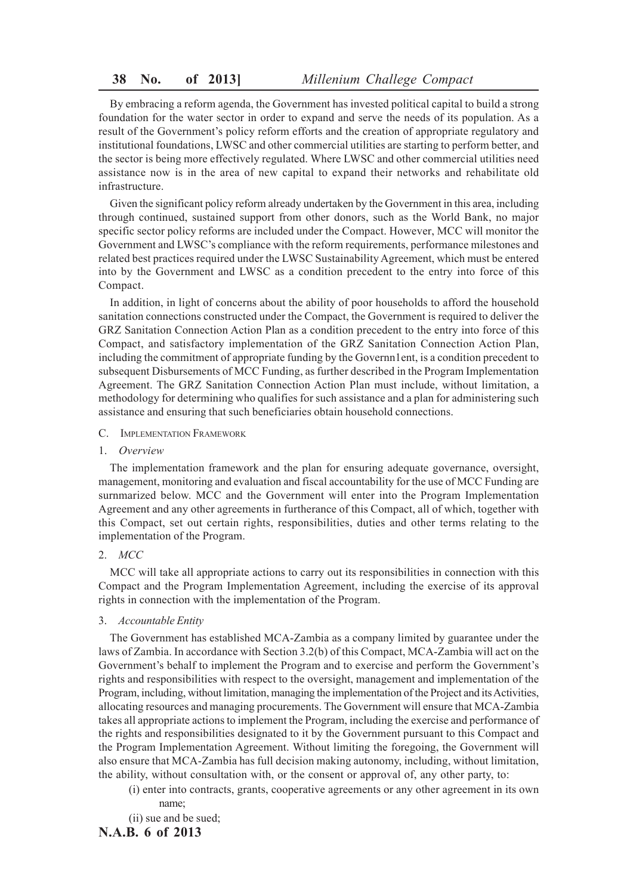By embracing a reform agenda, the Government has invested political capital to build a strong foundation for the water sector in order to expand and serve the needs of its population. As a result of the Government's policy reform efforts and the creation of appropriate regulatory and institutional foundations, LWSC and other commercial utilities are starting to perform better, and the sector is being more effectively regulated. Where LWSC and other commercial utilities need assistance now is in the area of new capital to expand their networks and rehabilitate old infrastructure.

Given the significant policy reform already undertaken by the Government in this area, including through continued, sustained support from other donors, such as the World Bank, no major specific sector policy reforms are included under the Compact. However, MCC will monitor the Government and LWSC's compliance with the reform requirements, performance milestones and related best practices required under the LWSC Sustainability Agreement, which must be entered into by the Government and LWSC as a condition precedent to the entry into force of this Compact.

In addition, in light of concerns about the ability of poor households to afford the household sanitation connections constructed under the Compact, the Government is required to deliver the GRZ Sanitation Connection Action Plan as a condition precedent to the entry into force of this Compact, and satisfactory implementation of the GRZ Sanitation Connection Action Plan, including the commitment of appropriate funding by the Governn1ent, is a condition precedent to subsequent Disbursements of MCC Funding, as further described in the Program Implementation Agreement. The GRZ Sanitation Connection Action Plan must include, without limitation, a methodology for determining who qualifies for such assistance and a plan for administering such assistance and ensuring that such beneficiaries obtain household connections.

- C. IMPLEMENTATION FRAMEWORK
- 1. *Overview*

The implementation framework and the plan for ensuring adequate governance, oversight, management, monitoring and evaluation and fiscal accountability for the use of MCC Funding are surnmarized below. MCC and the Government will enter into the Program Implementation Agreement and any other agreements in furtherance of this Compact, all of which, together with this Compact, set out certain rights, responsibilities, duties and other terms relating to the implementation of the Program.

### 2. *MCC*

MCC will take all appropriate actions to carry out its responsibilities in connection with this Compact and the Program Implementation Agreement, including the exercise of its approval rights in connection with the implementation of the Program.

3. *Accountable Entity*

The Government has established MCA-Zambia as a company limited by guarantee under the laws of Zambia. In accordance with Section 3.2(b) of this Compact, MCA-Zambia will act on the Government's behalf to implement the Program and to exercise and perform the Government's rights and responsibilities with respect to the oversight, management and implementation of the Program, including, without limitation, managing the implementation of the Project and its Activities, allocating resources and managing procurements. The Government will ensure that MCA-Zambia takes all appropriate actions to implement the Program, including the exercise and performance of the rights and responsibilities designated to it by the Government pursuant to this Compact and the Program Implementation Agreement. Without limiting the foregoing, the Government will also ensure that MCA-Zambia has full decision making autonomy, including, without limitation, the ability, without consultation with, or the consent or approval of, any other party, to:

- (i) enter into contracts, grants, cooperative agreements or any other agreement in its own name;
- (ii) sue and be sued;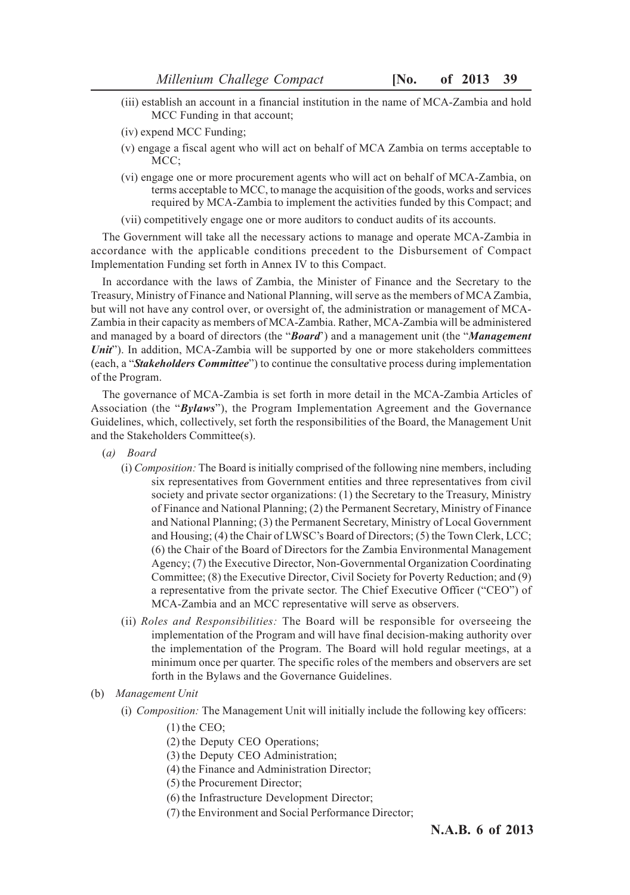- (iii) establish an account in a financial institution in the name of MCA-Zambia and hold MCC Funding in that account;
- (iv) expend MCC Funding;
- (v) engage a fiscal agent who will act on behalf of MCA Zambia on terms acceptable to MCC;
- (vi) engage one or more procurement agents who will act on behalf of MCA-Zambia, on terms acceptable to MCC, to manage the acquisition of the goods, works and services required by MCA-Zambia to implement the activities funded by this Compact; and
- (vii) competitively engage one or more auditors to conduct audits of its accounts.

The Government will take all the necessary actions to manage and operate MCA-Zambia in accordance with the applicable conditions precedent to the Disbursement of Compact Implementation Funding set forth in Annex IV to this Compact.

In accordance with the laws of Zambia, the Minister of Finance and the Secretary to the Treasury, Ministry of Finance and National Planning, will serve as the members of MCA Zambia, but will not have any control over, or oversight of, the administration or management of MCA-Zambia in their capacity as members of MCA-Zambia. Rather, MCA-Zambia will be administered and managed by a board of directors (the "*Board*') and a management unit (the "*Management Unit*"). In addition, MCA-Zambia will be supported by one or more stakeholders committees (each, a "*Stakeholders Committee*") to continue the consultative process during implementation of the Program.

The governance of MCA-Zambia is set forth in more detail in the MCA-Zambia Articles of Association (the "*Bylaws*"), the Program Implementation Agreement and the Governance Guidelines, which, collectively, set forth the responsibilities of the Board, the Management Unit and the Stakeholders Committee(s).

- (*a) Board*
	- (i) *Composition:* The Board is initially comprised of the following nine members, including six representatives from Government entities and three representatives from civil society and private sector organizations: (1) the Secretary to the Treasury, Ministry of Finance and National Planning; (2) the Permanent Secretary, Ministry of Finance and National Planning; (3) the Permanent Secretary, Ministry of Local Government and Housing; (4) the Chair of LWSC's Board of Directors; (5) the Town Clerk, LCC; (6) the Chair of the Board of Directors for the Zambia Environmental Management Agency; (7) the Executive Director, Non-Governmental Organization Coordinating Committee; (8) the Executive Director, Civil Society for Poverty Reduction; and (9) a representative from the private sector. The Chief Executive Officer ("CEO") of MCA-Zambia and an MCC representative will serve as observers.
	- (ii) *Roles and Responsibilities:* The Board will be responsible for overseeing the implementation of the Program and will have final decision-making authority over the implementation of the Program. The Board will hold regular meetings, at a minimum once per quarter. The specific roles of the members and observers are set forth in the Bylaws and the Governance Guidelines.
- (b) *Management Unit*
	- (i) *Composition:* The Management Unit will initially include the following key officers:
		- (1) the CEO;
		- (2) the Deputy CEO Operations;
		- (3) the Deputy CEO Administration;
		- (4) the Finance and Administration Director;
		- (5) the Procurement Director;
		- (6) the Infrastructure Development Director;
		- (7) the Environment and Social Performance Director;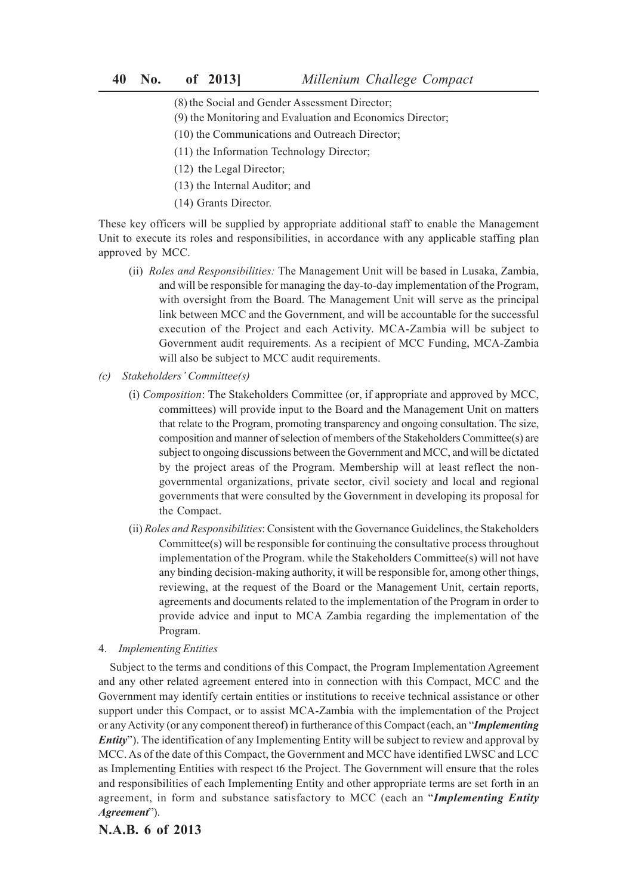- (8) the Social and Gender Assessment Director;
- (9) the Monitoring and Evaluation and Economics Director;
- (10) the Communications and Outreach Director;
- (11) the Information Technology Director;
- (12) the Legal Director;
- (13) the Internal Auditor; and
- (14) Grants Director.

These key officers will be supplied by appropriate additional staff to enable the Management Unit to execute its roles and responsibilities, in accordance with any applicable staffing plan approved by MCC.

- (ii) *Roles and Responsibilities:* The Management Unit will be based in Lusaka, Zambia, and will be responsible for managing the day-to-day implementation of the Program, with oversight from the Board. The Management Unit will serve as the principal link between MCC and the Government, and will be accountable for the successful execution of the Project and each Activity. MCA-Zambia will be subject to Government audit requirements. As a recipient of MCC Funding, MCA-Zambia will also be subject to MCC audit requirements.
- *(c) Stakeholders' Committee(s)*
	- (i) *Composition*: The Stakeholders Committee (or, if appropriate and approved by MCC, committees) will provide input to the Board and the Management Unit on matters that relate to the Program, promoting transparency and ongoing consultation. The size, composition and manner of selection of members of the Stakeholders Committee(s) are subject to ongoing discussions between the Government and MCC, and will be dictated by the project areas of the Program. Membership will at least reflect the nongovernmental organizations, private sector, civil society and local and regional governments that were consulted by the Government in developing its proposal for the Compact.
	- (ii) *Roles and Responsibilities*: Consistent with the Governance Guidelines, the Stakeholders Committee(s) will be responsible for continuing the consultative process throughout implementation of the Program. while the Stakeholders Committee(s) will not have any binding decision-making authority, it will be responsible for, among other things, reviewing, at the request of the Board or the Management Unit, certain reports, agreements and documents related to the implementation of the Program in order to provide advice and input to MCA Zambia regarding the implementation of the Program.
- 4. *Implementing Entities*

Subject to the terms and conditions of this Compact, the Program Implementation Agreement and any other related agreement entered into in connection with this Compact, MCC and the Government may identify certain entities or institutions to receive technical assistance or other support under this Compact, or to assist MCA-Zambia with the implementation of the Project or any Activity (or any component thereof) in furtherance of this Compact (each, an "*Implementing Entity*"). The identification of any Implementing Entity will be subject to review and approval by MCC. As of the date of this Compact, the Government and MCC have identified LWSC and LCC as Implementing Entities with respect t6 the Project. The Government will ensure that the roles and responsibilities of each Implementing Entity and other appropriate terms are set forth in an agreement, in form and substance satisfactory to MCC (each an "*Implementing Entity Agreement*").

# **N.A.B. 6 of 2013**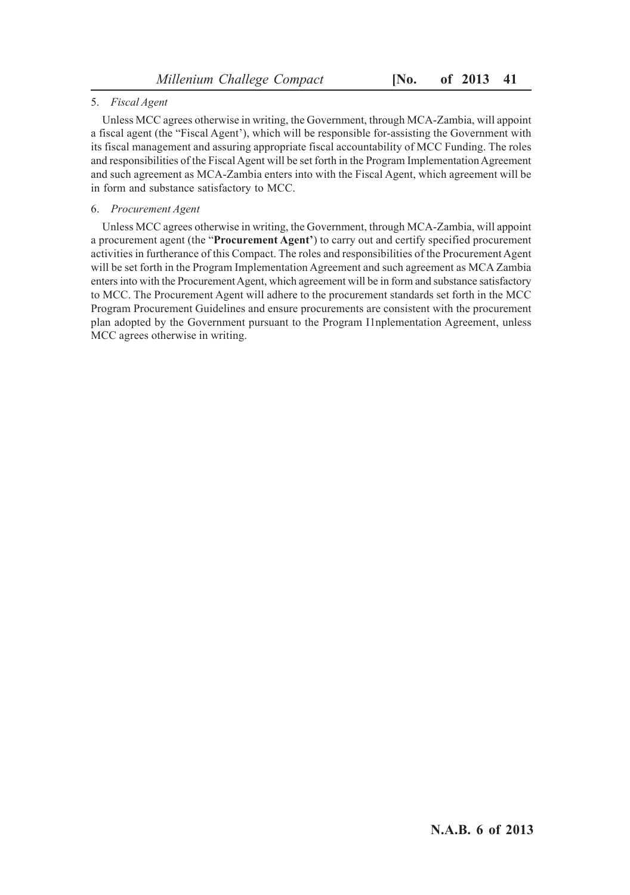## 5. *Fiscal Agent*

Unless MCC agrees otherwise in writing, the Government, through MCA-Zambia, will appoint a fiscal agent (the "Fiscal Agent'), which will be responsible for-assisting the Government with its fiscal management and assuring appropriate fiscal accountability of MCC Funding. The roles and responsibilities of the Fiscal Agent will be set forth in the Program Implementation Agreement and such agreement as MCA-Zambia enters into with the Fiscal Agent, which agreement will be in form and substance satisfactory to MCC.

## 6. *Procurement Agent*

Unless MCC agrees otherwise in writing, the Government, through MCA-Zambia, will appoint a procurement agent (the "**Procurement Agent'**) to carry out and certify specified procurement activities in furtherance of this Compact. The roles and responsibilities of the Procurement Agent will be set forth in the Program Implementation Agreement and such agreement as MCA Zambia enters into with the Procurement Agent, which agreement will be in form and substance satisfactory to MCC. The Procurement Agent will adhere to the procurement standards set forth in the MCC Program Procurement Guidelines and ensure procurements are consistent with the procurement plan adopted by the Government pursuant to the Program I1nplementation Agreement, unless MCC agrees otherwise in writing.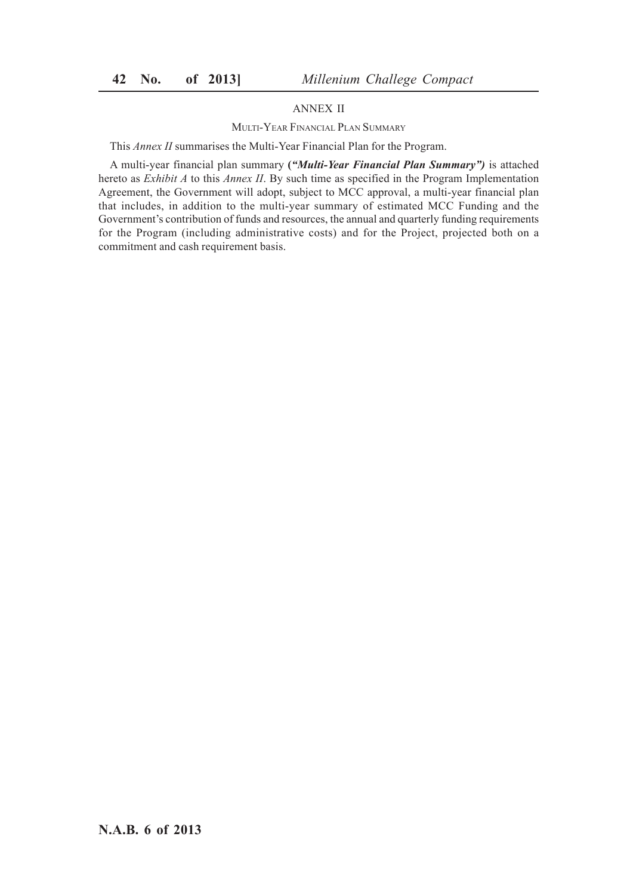# ANNEX II

#### MULTI-YEAR FINANCIAL PLAN SUMMARY

This *Annex II* summarises the Multi-Year Financial Plan for the Program.

A multi-year financial plan summary **(***"Multi-Year Financial Plan Summary")* is attached hereto as *Exhibit A* to this *Annex II*. By such time as specified in the Program Implementation Agreement, the Government will adopt, subject to MCC approval, a multi-year financial plan that includes, in addition to the multi-year summary of estimated MCC Funding and the Government's contribution of funds and resources, the annual and quarterly funding requirements for the Program (including administrative costs) and for the Project, projected both on a commitment and cash requirement basis.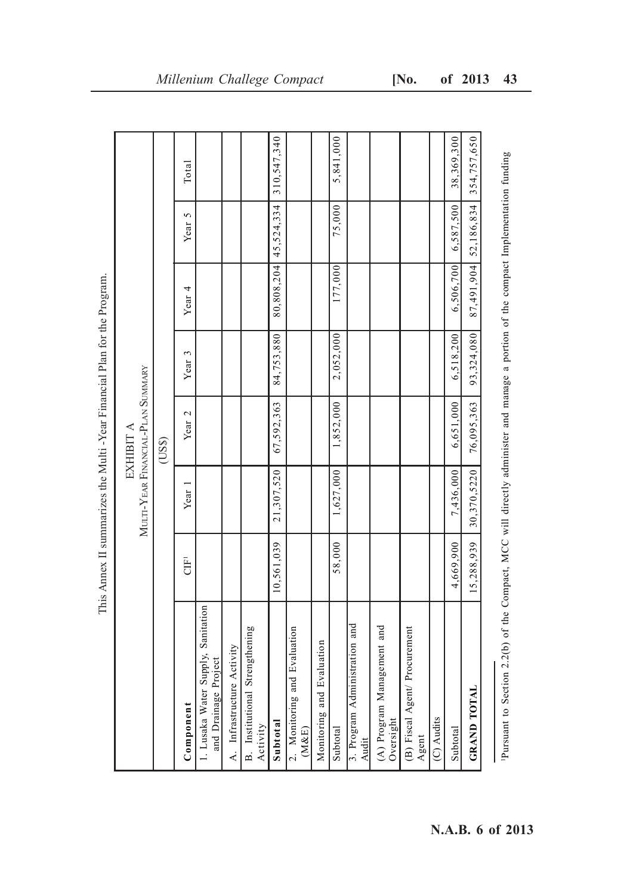|                                                                                                   | Year 2<br>EXHIBIT A<br>(USS)<br>21,307,520<br>7,436,000<br>1,627,000<br>Year 1 | 84,753,880<br>2,052,000<br>Year 3<br>MULTI-YEAR FINANCIAL-PLAN SUMMARY<br>67,592,363<br>6,651,000<br>1,852,000 | 177,000<br>This Annex II summarizes the Multi - Year Financial Plan for the Program.<br>Year <sub>4</sub> |
|---------------------------------------------------------------------------------------------------|--------------------------------------------------------------------------------|----------------------------------------------------------------------------------------------------------------|-----------------------------------------------------------------------------------------------------------|
| 310,547,340<br>6,587,500<br>$80,808,204$ 45,524,334<br>75,000<br>Year 5<br>6,506,700<br>6,518,200 |                                                                                |                                                                                                                |                                                                                                           |

This Annex II summarizes the Multi -Year Financial Plan for the Program.È  $\frac{1}{4}$  $\zeta$ مالا امني É  $V_{\alpha}$  $\ddot{=}$  $\overline{\phantom{a}}$ ŀ,  $\overline{r}$ l,

Pursuant to Section 2.2(b) of the Compact, MCC will directly administer and manage a portion of the compact Implementation funding 1Pursuant to Section 2.2(b) of the Compact, MCC will directly administer and manage a portion of the compact Implementation funding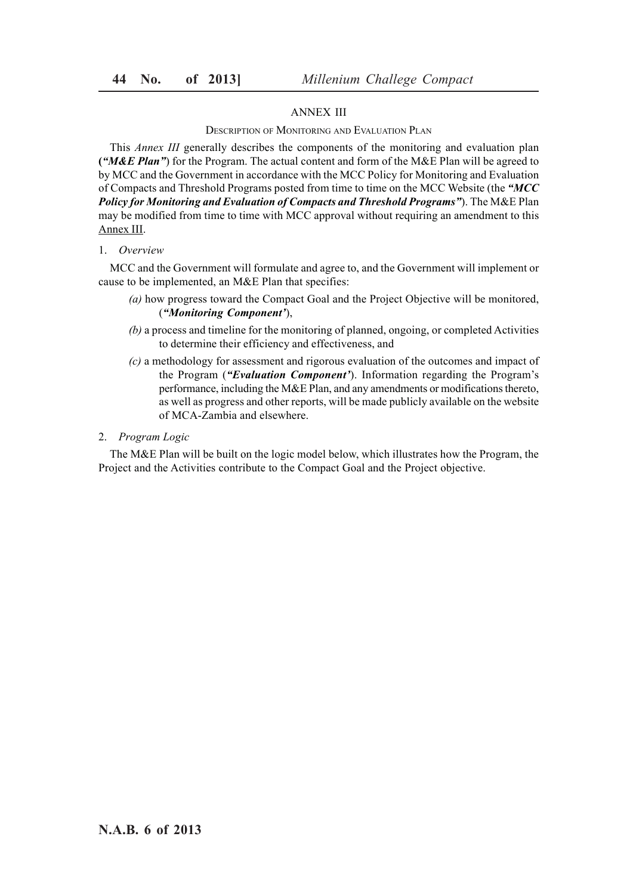## ANNEX III

## DESCRIPTION OF MONITORING AND EVALUATION PLAN

This *Annex III* generally describes the components of the monitoring and evaluation plan **(***"M&E Plan"*) for the Program. The actual content and form of the M&E Plan will be agreed to by MCC and the Government in accordance with the MCC Policy for Monitoring and Evaluation of Compacts and Threshold Programs posted from time to time on the MCC Website (the *"MCC Policy for Monitoring and Evaluation of Compacts and Threshold Programs"*). The M&E Plan may be modified from time to time with MCC approval without requiring an amendment to this Annex III.

#### 1. *Overview*

MCC and the Government will formulate and agree to, and the Government will implement or cause to be implemented, an M&E Plan that specifies:

- *(a)* how progress toward the Compact Goal and the Project Objective will be monitored, (*"Monitoring Component'*),
- *(b)* a process and timeline for the monitoring of planned, ongoing, or completed Activities to determine their efficiency and effectiveness, and
- *(c)* a methodology for assessment and rigorous evaluation of the outcomes and impact of the Program (*"Evaluation Component'*). Information regarding the Program's performance, including the M&E Plan, and any amendments or modifications thereto, as well as progress and other reports, will be made publicly available on the website of MCA-Zambia and elsewhere.

#### 2. *Program Logic*

The M&E Plan will be built on the logic model below, which illustrates how the Program, the Project and the Activities contribute to the Compact Goal and the Project objective.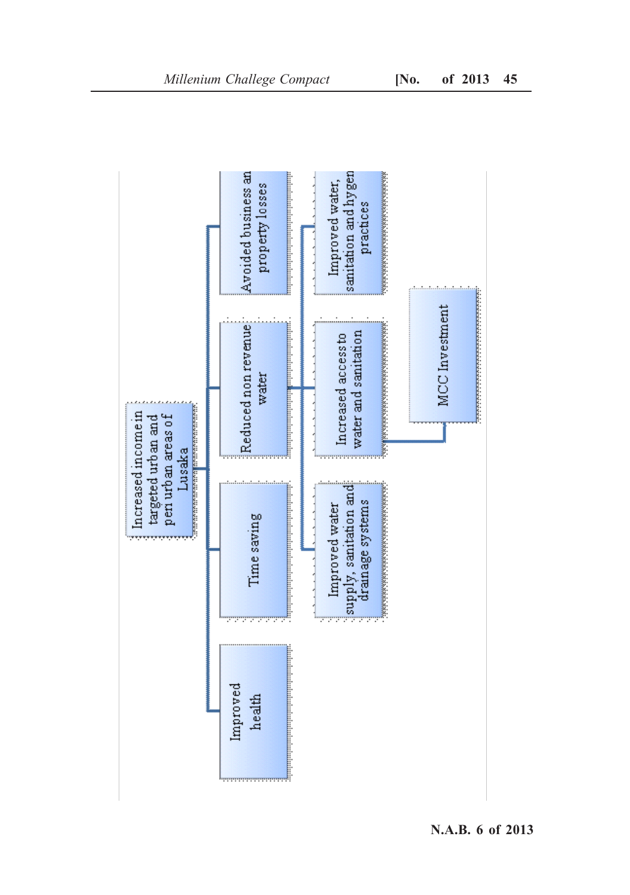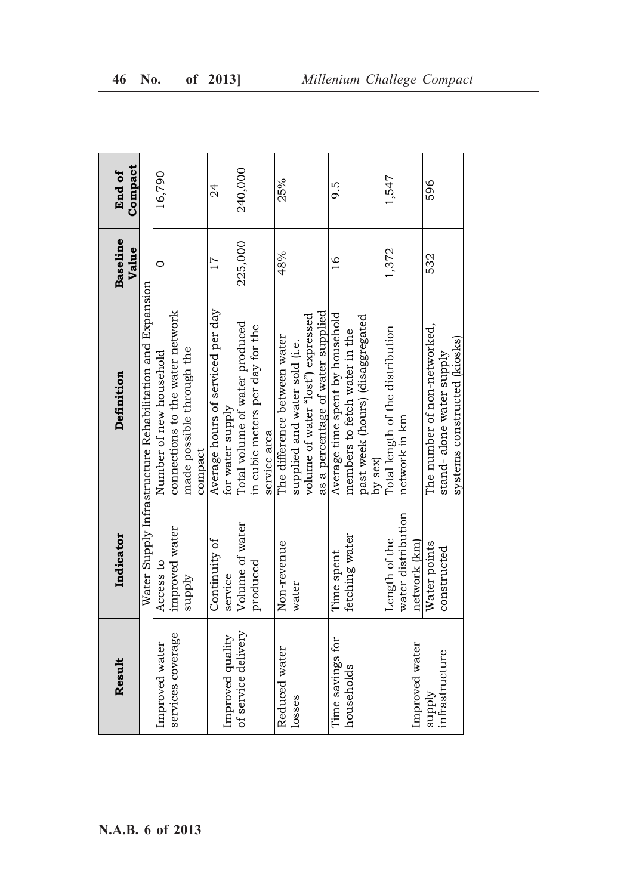|                  |                                                |                    |                                                          |                          | End of  |
|------------------|------------------------------------------------|--------------------|----------------------------------------------------------|--------------------------|---------|
| N.A.B. 6 of 2013 | Result                                         | Indicator          | Definition                                               | <b>Baseline</b><br>Value | Compact |
|                  |                                                |                    | Water Supply Infrastructure Rehabilitation and Expansion |                          |         |
|                  |                                                | Access to          | Number of new household                                  | $\circ$                  | 16,790  |
|                  | Improved water<br>services coverage            | improved water     | connections to the water network                         |                          |         |
|                  |                                                | supply             | made possible through the                                |                          |         |
|                  |                                                |                    | compact                                                  |                          |         |
|                  |                                                | Continuity of      | Average hours of serviced per day                        | $\overline{17}$          | 24      |
|                  |                                                | service            | for water supply                                         |                          |         |
|                  | Improved quality<br>of service delivery        | Volume of water    | Total volume of water produced                           | 225,000                  | 240,000 |
|                  |                                                | produced           | in cubic meters per day for the                          |                          |         |
|                  |                                                |                    | service area                                             |                          |         |
|                  | Reduced water<br>losses                        | Non-revenue        | The difference between water                             | 48%                      | 25%     |
|                  |                                                | water              | supplied and water sold (i.e.                            |                          |         |
|                  |                                                |                    | volume of water "lost") expressed                        |                          |         |
|                  |                                                |                    | as a percentage of water supplied                        |                          |         |
|                  | Time savings for<br>households                 | Time spent         | Average time spent by household                          | $\frac{6}{1}$            | 9.5     |
|                  |                                                | fetching water     | members to fetch water in the                            |                          |         |
|                  |                                                |                    | past week (hours) (disaggregated                         |                          |         |
|                  |                                                |                    | $by$ sex)                                                |                          |         |
|                  |                                                | Length of the      | Total length of the distribution                         | 1,372                    | 1,547   |
|                  |                                                | water distribution | network in km                                            |                          |         |
|                  |                                                | network (km)       |                                                          |                          |         |
|                  | Improved water<br>  supply<br>  infrastructure | Water points       | The number of non-networked,                             | 532                      | 596     |
|                  |                                                | constructed        | stand- alone water supply                                |                          |         |
|                  |                                                |                    | systems constructed (kiosks)                             |                          |         |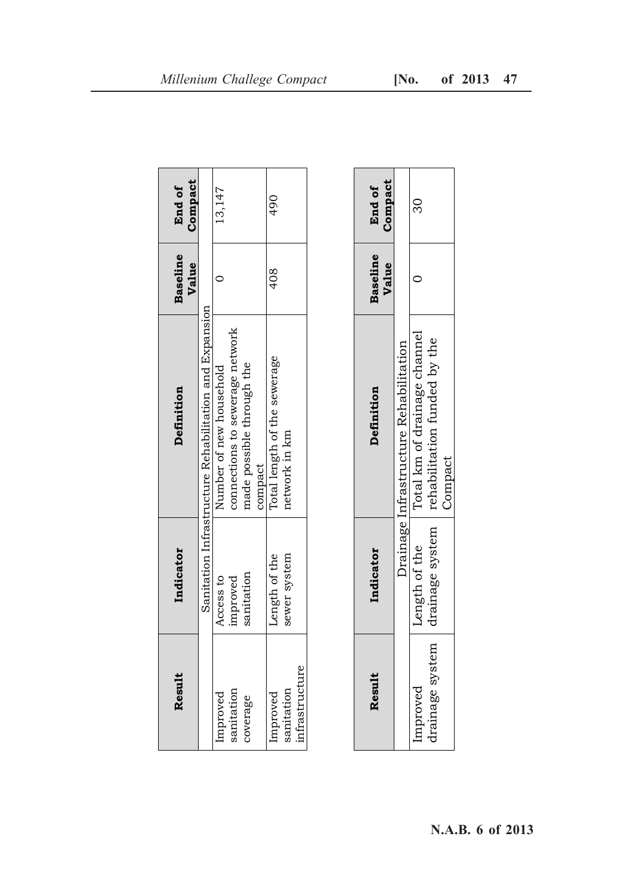| Result         | Indicator     | Definition                                             | <b>Baseline</b><br>Value | Compact<br>End of |
|----------------|---------------|--------------------------------------------------------|--------------------------|-------------------|
|                |               | Sanitation Infrastructure Rehabilitation and Expansion |                          |                   |
| Improved       | Access to     | Number of new household                                |                          | 13,147            |
| sanitation     | improved      | connections to sewerage network                        |                          |                   |
| coverage       | sanitation    | nade possible through the                              |                          |                   |
|                |               | compact                                                |                          |                   |
| Improved       | Length of the | Total length of the sewerage                           | 408                      | $\frac{6}{4}$     |
| sanitation     | sewer system  | network in km                                          |                          |                   |
| infrastructure |               |                                                        |                          |                   |

| Result          | Indicator       | Definition                                    | <b>Baseline</b><br>Value | Compact<br>End of |
|-----------------|-----------------|-----------------------------------------------|--------------------------|-------------------|
|                 |                 | <b>Jrainage Infrastructure Rehabilitation</b> |                          |                   |
| mprove          | ength of the    | Total km of drainage channel                  |                          |                   |
| trainage system | drainage system | rehabilitation funded by the<br>Compact       |                          |                   |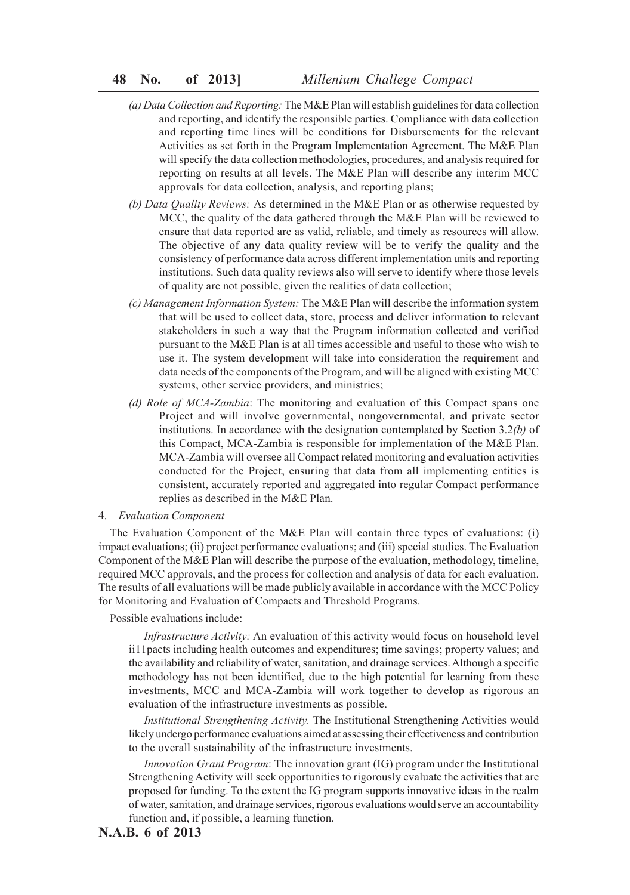- *(a) Data Collection and Reporting:* The M&E Plan will establish guidelines for data collection and reporting, and identify the responsible parties. Compliance with data collection and reporting time lines will be conditions for Disbursements for the relevant Activities as set forth in the Program Implementation Agreement. The M&E Plan will specify the data collection methodologies, procedures, and analysis required for reporting on results at all levels. The M&E Plan will describe any interim MCC approvals for data collection, analysis, and reporting plans;
- *(b) Data Quality Reviews:* As determined in the M&E Plan or as otherwise requested by MCC, the quality of the data gathered through the M&E Plan will be reviewed to ensure that data reported are as valid, reliable, and timely as resources will allow. The objective of any data quality review will be to verify the quality and the consistency of performance data across different implementation units and reporting institutions. Such data quality reviews also will serve to identify where those levels of quality are not possible, given the realities of data collection;
- *(c) Management Information System:* The M&E Plan will describe the information system that will be used to collect data, store, process and deliver information to relevant stakeholders in such a way that the Program information collected and verified pursuant to the M&E Plan is at all times accessible and useful to those who wish to use it. The system development will take into consideration the requirement and data needs of the components of the Program, and will be aligned with existing MCC systems, other service providers, and ministries;
- *(d) Role of MCA-Zambia*: The monitoring and evaluation of this Compact spans one Project and will involve governmental, nongovernmental, and private sector institutions. In accordance with the designation contemplated by Section 3.2*(b)* of this Compact, MCA-Zambia is responsible for implementation of the M&E Plan. MCA-Zambia will oversee all Compact related monitoring and evaluation activities conducted for the Project, ensuring that data from all implementing entities is consistent, accurately reported and aggregated into regular Compact performance replies as described in the M&E Plan.

#### 4. *Evaluation Component*

The Evaluation Component of the M&E Plan will contain three types of evaluations: (i) impact evaluations; (ii) project performance evaluations; and (iii) special studies. The Evaluation Component of the M&E Plan will describe the purpose of the evaluation, methodology, timeline, required MCC approvals, and the process for collection and analysis of data for each evaluation. The results of all evaluations will be made publicly available in accordance with the MCC Policy for Monitoring and Evaluation of Compacts and Threshold Programs.

Possible evaluations include:

*Infrastructure Activity:* An evaluation of this activity would focus on household level ii11pacts including health outcomes and expenditures; time savings; property values; and the availability and reliability of water, sanitation, and drainage services. Although a specific methodology has not been identified, due to the high potential for learning from these investments, MCC and MCA-Zambia will work together to develop as rigorous an evaluation of the infrastructure investments as possible.

*Institutional Strengthening Activity.* The Institutional Strengthening Activities would likely undergo performance evaluations aimed at assessing their effectiveness and contribution to the overall sustainability of the infrastructure investments.

*Innovation Grant Program*: The innovation grant (IG) program under the Institutional Strengthening Activity will seek opportunities to rigorously evaluate the activities that are proposed for funding. To the extent the IG program supports innovative ideas in the realm of water, sanitation, and drainage services, rigorous evaluations would serve an accountability function and, if possible, a learning function.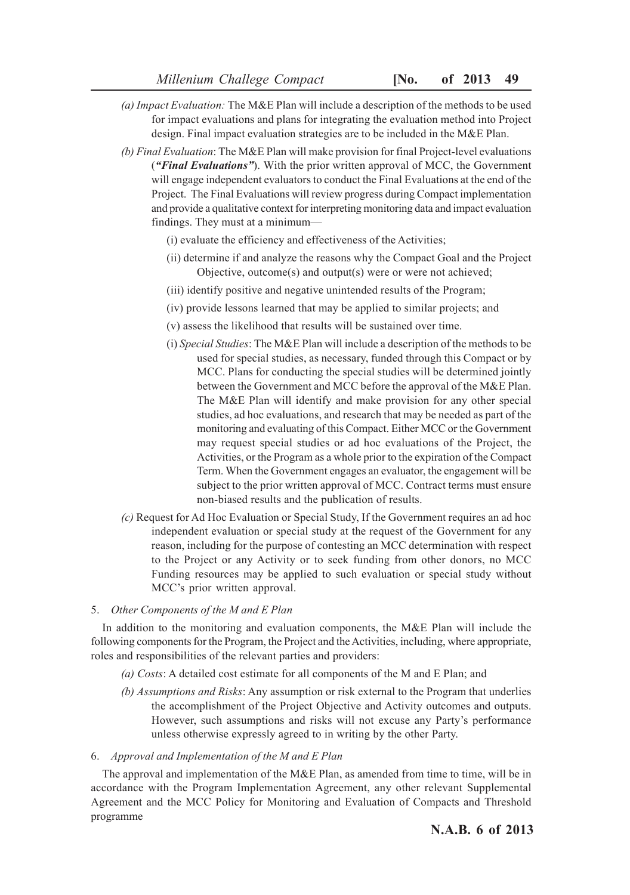- *(a) Impact Evaluation:* The M&E Plan will include a description of the methods to be used for impact evaluations and plans for integrating the evaluation method into Project design. Final impact evaluation strategies are to be included in the M&E Plan.
- *(b) Final Evaluation*: The M&E Plan will make provision for final Project-level evaluations (*"Final Evaluations"*). With the prior written approval of MCC, the Government will engage independent evaluators to conduct the Final Evaluations at the end of the Project. The Final Evaluations will review progress during Compact implementation and provide a qualitative context for interpreting monitoring data and impact evaluation findings. They must at a minimum—
	- (i) evaluate the efficiency and effectiveness of the Activities;
	- (ii) determine if and analyze the reasons why the Compact Goal and the Project Objective, outcome(s) and output(s) were or were not achieved;
	- (iii) identify positive and negative unintended results of the Program;
	- (iv) provide lessons learned that may be applied to similar projects; and
	- (v) assess the likelihood that results will be sustained over time.
	- (i) *Special Studies*: The M&E Plan will include a description of the methods to be used for special studies, as necessary, funded through this Compact or by MCC. Plans for conducting the special studies will be determined jointly between the Government and MCC before the approval of the M&E Plan. The M&E Plan will identify and make provision for any other special studies, ad hoc evaluations, and research that may be needed as part of the monitoring and evaluating of this Compact. Either MCC or the Government may request special studies or ad hoc evaluations of the Project, the Activities, or the Program as a whole prior to the expiration of the Compact Term. When the Government engages an evaluator, the engagement will be subject to the prior written approval of MCC. Contract terms must ensure non-biased results and the publication of results.
- *(c)* Request for Ad Hoc Evaluation or Special Study, If the Government requires an ad hoc independent evaluation or special study at the request of the Government for any reason, including for the purpose of contesting an MCC determination with respect to the Project or any Activity or to seek funding from other donors, no MCC Funding resources may be applied to such evaluation or special study without MCC's prior written approval.

## 5. *Other Components of the M and E Plan*

In addition to the monitoring and evaluation components, the M&E Plan will include the following components for the Program, the Project and the Activities, including, where appropriate, roles and responsibilities of the relevant parties and providers:

- *(a) Costs*: A detailed cost estimate for all components of the M and E Plan; and
- *(b) Assumptions and Risks*: Any assumption or risk external to the Program that underlies the accomplishment of the Project Objective and Activity outcomes and outputs. However, such assumptions and risks will not excuse any Party's performance unless otherwise expressly agreed to in writing by the other Party.

## 6. *Approval and Implementation of the M and E Plan*

The approval and implementation of the M&E Plan, as amended from time to time, will be in accordance with the Program Implementation Agreement, any other relevant Supplemental Agreement and the MCC Policy for Monitoring and Evaluation of Compacts and Threshold programme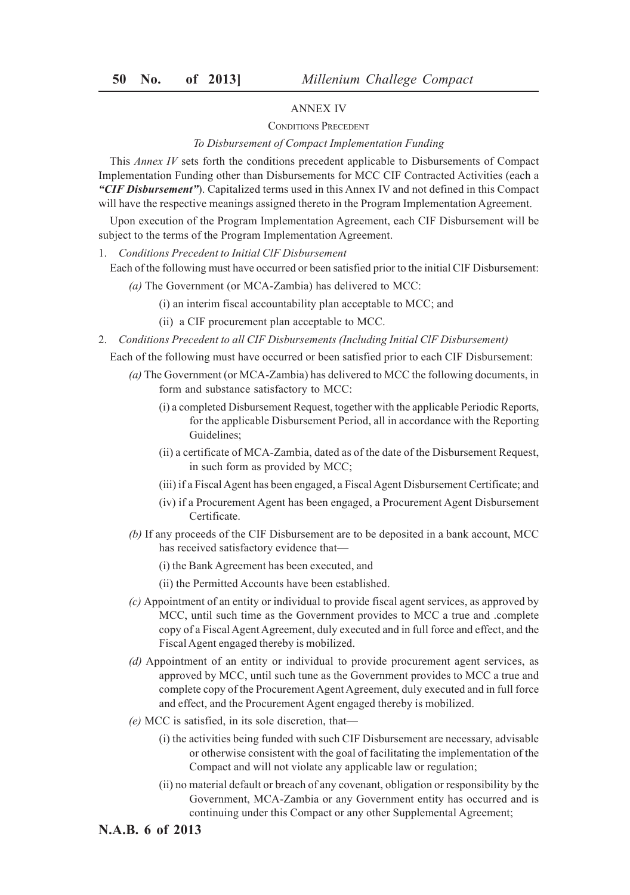# ANNEX IV

## CONDITIONS PRECEDENT

## *To Disbursement of Compact Implementation Funding*

This *Annex IV* sets forth the conditions precedent applicable to Disbursements of Compact Implementation Funding other than Disbursements for MCC CIF Contracted Activities (each a *"CIF Disbursement"*). Capitalized terms used in this Annex IV and not defined in this Compact will have the respective meanings assigned thereto in the Program Implementation Agreement.

Upon execution of the Program Implementation Agreement, each CIF Disbursement will be subject to the terms of the Program Implementation Agreement.

1. *Conditions Precedent to Initial ClF Disbursement*

Each of the following must have occurred or been satisfied prior to the initial CIF Disbursement:

- *(a)* The Government (or MCA-Zambia) has delivered to MCC:
	- (i) an interim fiscal accountability plan acceptable to MCC; and
	- (ii) a CIF procurement plan acceptable to MCC.
- 2. *Conditions Precedent to all CIF Disbursements (Including Initial ClF Disbursement)*

Each of the following must have occurred or been satisfied prior to each CIF Disbursement:

- *(a)* The Government (or MCA-Zambia) has delivered to MCC the following documents, in form and substance satisfactory to MCC:
	- (i) a completed Disbursement Request, together with the applicable Periodic Reports, for the applicable Disbursement Period, all in accordance with the Reporting Guidelines;
	- (ii) a certificate of MCA-Zambia, dated as of the date of the Disbursement Request, in such form as provided by MCC;
	- (iii) if a Fiscal Agent has been engaged, a Fiscal Agent Disbursement Certificate; and
	- (iv) if a Procurement Agent has been engaged, a Procurement Agent Disbursement Certificate.
- *(b)* If any proceeds of the CIF Disbursement are to be deposited in a bank account, MCC has received satisfactory evidence that—
	- (i) the Bank Agreement has been executed, and
	- (ii) the Permitted Accounts have been established.
- *(c)* Appointment of an entity or individual to provide fiscal agent services, as approved by MCC, until such time as the Government provides to MCC a true and .complete copy of a Fiscal Agent Agreement, duly executed and in full force and effect, and the Fiscal Agent engaged thereby is mobilized.
- *(d)* Appointment of an entity or individual to provide procurement agent services, as approved by MCC, until such tune as the Government provides to MCC a true and complete copy of the Procurement Agent Agreement, duly executed and in full force and effect, and the Procurement Agent engaged thereby is mobilized.
- *(e)* MCC is satisfied, in its sole discretion, that—
	- (i) the activities being funded with such CIF Disbursement are necessary, advisable or otherwise consistent with the goal of facilitating the implementation of the Compact and will not violate any applicable law or regulation;
	- (ii) no material default or breach of any covenant, obligation or responsibility by the Government, MCA-Zambia or any Government entity has occurred and is continuing under this Compact or any other Supplemental Agreement;

# **N.A.B. 6 of 2013**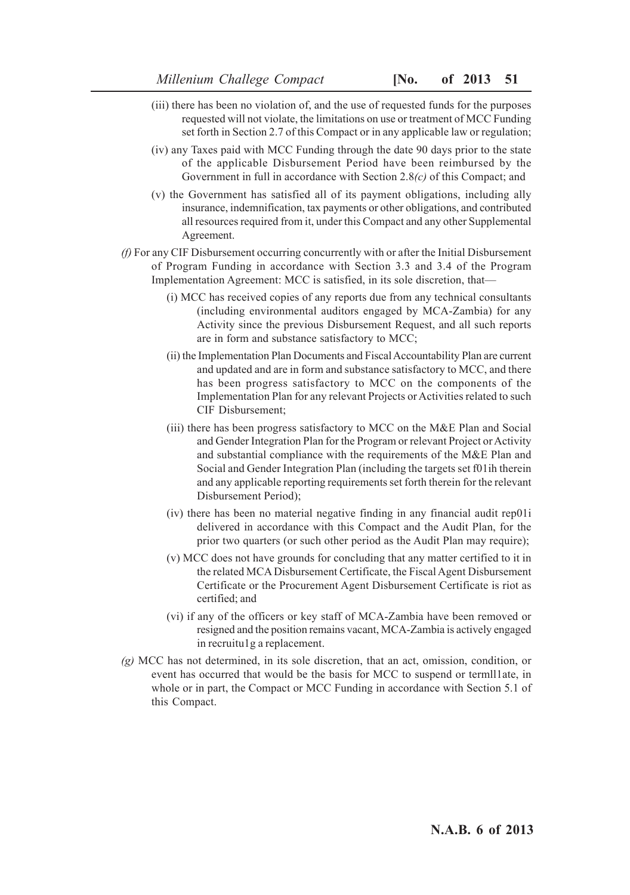- (iii) there has been no violation of, and the use of requested funds for the purposes requested will not violate, the limitations on use or treatment of MCC Funding set forth in Section 2.7 of this Compact or in any applicable law or regulation;
- (iv) any Taxes paid with MCC Funding through the date 90 days prior to the state of the applicable Disbursement Period have been reimbursed by the Government in full in accordance with Section 2.8*(c)* of this Compact; and
- (v) the Government has satisfied all of its payment obligations, including ally insurance, indemnification, tax payments or other obligations, and contributed all resources required from it, under this Compact and any other Supplemental Agreement.
- *(f)* For any CIF Disbursement occurring concurrently with or after the Initial Disbursement of Program Funding in accordance with Section 3.3 and 3.4 of the Program Implementation Agreement: MCC is satisfied, in its sole discretion, that—
	- (i) MCC has received copies of any reports due from any technical consultants (including environmental auditors engaged by MCA-Zambia) for any Activity since the previous Disbursement Request, and all such reports are in form and substance satisfactory to MCC;
	- (ii) the Implementation Plan Documents and Fiscal Accountability Plan are current and updated and are in form and substance satisfactory to MCC, and there has been progress satisfactory to MCC on the components of the Implementation Plan for any relevant Projects or Activities related to such CIF Disbursement;
	- (iii) there has been progress satisfactory to MCC on the M&E Plan and Social and Gender Integration Plan for the Program or relevant Project or Activity and substantial compliance with the requirements of the M&E Plan and Social and Gender Integration Plan (including the targets set f01ih therein and any applicable reporting requirements set forth therein for the relevant Disbursement Period);
	- (iv) there has been no material negative finding in any financial audit rep01i delivered in accordance with this Compact and the Audit Plan, for the prior two quarters (or such other period as the Audit Plan may require);
	- (v) MCC does not have grounds for concluding that any matter certified to it in the related MCA Disbursement Certificate, the Fiscal Agent Disbursement Certificate or the Procurement Agent Disbursement Certificate is riot as certified; and
	- (vi) if any of the officers or key staff of MCA-Zambia have been removed or resigned and the position remains vacant, MCA-Zambia is actively engaged in recruitu1g a replacement.
- *(g)* MCC has not determined, in its sole discretion, that an act, omission, condition, or event has occurred that would be the basis for MCC to suspend or termll1ate, in whole or in part, the Compact or MCC Funding in accordance with Section 5.1 of this Compact.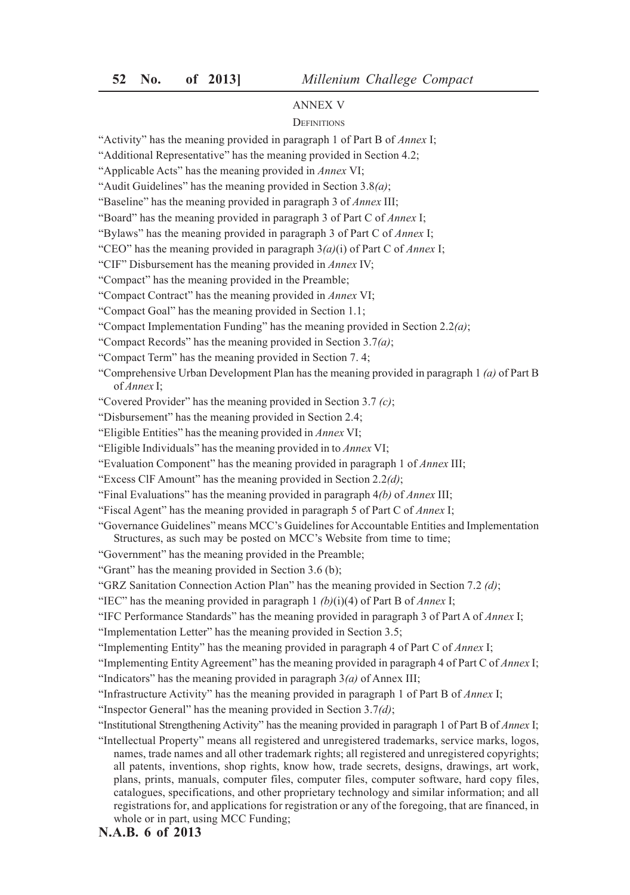## ANNEX V

#### **DEFINITIONS**

"Activity" has the meaning provided in paragraph 1 of Part B of *Annex* I;

"Additional Representative" has the meaning provided in Section 4.2;

"Applicable Acts" has the meaning provided in *Annex* VI;

"Audit Guidelines" has the meaning provided in Section 3.8*(a)*;

"Baseline" has the meaning provided in paragraph 3 of *Annex* III;

"Board" has the meaning provided in paragraph 3 of Part C of *Annex* I;

"Bylaws" has the meaning provided in paragraph 3 of Part C of *Annex* I;

"CEO" has the meaning provided in paragraph 3*(a)*(i) of Part C of *Annex* I;

"CIF" Disbursement has the meaning provided in *Annex* IV;

"Compact" has the meaning provided in the Preamble;

"Compact Contract" has the meaning provided in *Annex* VI;

"Compact Goal" has the meaning provided in Section 1.1;

"Compact Implementation Funding" has the meaning provided in Section 2.2*(a)*;

"Compact Records" has the meaning provided in Section 3.7*(a)*;

"Compact Term" has the meaning provided in Section 7. 4;

"Comprehensive Urban Development Plan has the meaning provided in paragraph 1 *(a)* of Part B of *Annex* I;

"Covered Provider" has the meaning provided in Section 3.7 *(c)*;

"Disbursement" has the meaning provided in Section 2.4;

"Eligible Entities" has the meaning provided in *Annex* VI;

"Eligible Individuals" has the meaning provided in to *Annex* VI;

"Evaluation Component" has the meaning provided in paragraph 1 of *Annex* III;

"Excess ClF Amount" has the meaning provided in Section 2.2*(d)*;

"Final Evaluations" has the meaning provided in paragraph 4*(b)* of *Annex* III;

"Fiscal Agent" has the meaning provided in paragraph 5 of Part C of *Annex* I;

"Governance Guidelines" means MCC's Guidelines for Accountable Entities and Implementation Structures, as such may be posted on MCC's Website from time to time;

"Government" has the meaning provided in the Preamble;

"Grant" has the meaning provided in Section 3.6 (b);

"GRZ Sanitation Connection Action Plan" has the meaning provided in Section 7.2 *(d)*;

"IEC" has the meaning provided in paragraph 1 *(b)*(i)(4) of Part B of *Annex* I;

"IFC Performance Standards" has the meaning provided in paragraph 3 of Part A of *Annex* I;

"Implementation Letter" has the meaning provided in Section 3.5;

"Implementing Entity" has the meaning provided in paragraph 4 of Part C of *Annex* I;

"Implementing Entity Agreement" has the meaning provided in paragraph 4 of Part C of *Annex* I; "Indicators" has the meaning provided in paragraph 3*(a)* of Annex III;

"Infrastructure Activity" has the meaning provided in paragraph 1 of Part B of *Annex* I;

"Inspector General" has the meaning provided in Section 3.7*(d)*;

"Institutional Strengthening Activity" has the meaning provided in paragraph 1 of Part B of *Annex* I;

"Intellectual Property" means all registered and unregistered trademarks, service marks, logos, names, trade names and all other trademark rights; all registered and unregistered copyrights; all patents, inventions, shop rights, know how, trade secrets, designs, drawings, art work, plans, prints, manuals, computer files, computer files, computer software, hard copy files, catalogues, specifications, and other proprietary technology and similar information; and all registrations for, and applications for registration or any of the foregoing, that are financed, in whole or in part, using MCC Funding;

**N.A.B. 6 of 2013**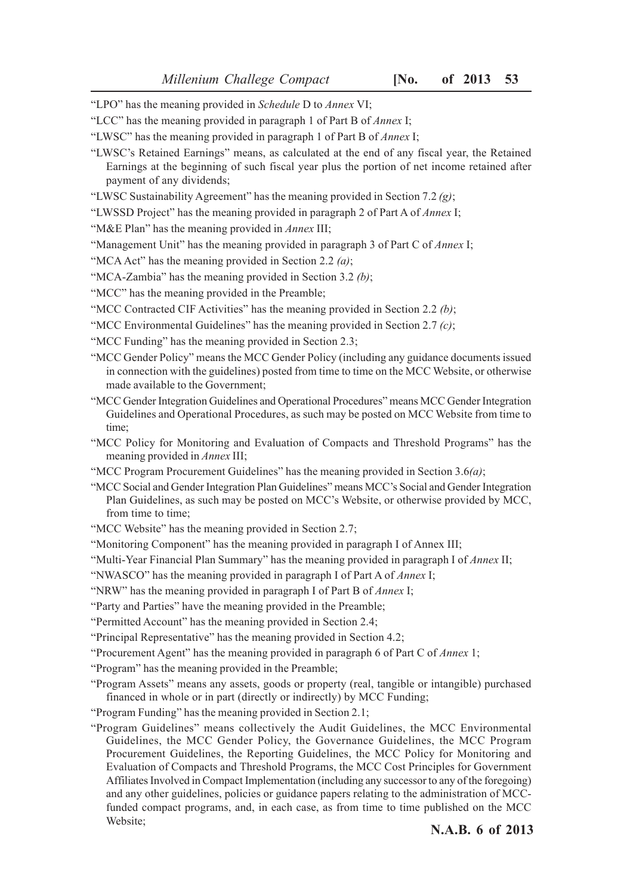- "LPO" has the meaning provided in *Schedule* D to *Annex* VI;
- "LCC" has the meaning provided in paragraph 1 of Part B of *Annex* I;
- "LWSC" has the meaning provided in paragraph 1 of Part B of *Annex* I;
- "LWSC's Retained Earnings" means, as calculated at the end of any fiscal year, the Retained Earnings at the beginning of such fiscal year plus the portion of net income retained after payment of any dividends;
- "LWSC Sustainability Agreement" has the meaning provided in Section 7.2 *(g)*;
- "LWSSD Project" has the meaning provided in paragraph 2 of Part A of *Annex* I;
- "M&E Plan" has the meaning provided in *Annex* III;
- "Management Unit" has the meaning provided in paragraph 3 of Part C of *Annex* I;
- "MCA Act" has the meaning provided in Section 2.2 *(a)*;
- "MCA-Zambia" has the meaning provided in Section 3.2 *(b)*;

"MCC" has the meaning provided in the Preamble;

- "MCC Contracted CIF Activities" has the meaning provided in Section 2.2 *(b)*;
- "MCC Environmental Guidelines" has the meaning provided in Section 2.7 *(c)*;
- "MCC Funding" has the meaning provided in Section 2.3;
- "MCC Gender Policy" means the MCC Gender Policy (including any guidance documents issued in connection with the guidelines) posted from time to time on the MCC Website, or otherwise made available to the Government;
- "MCC Gender Integration Guidelines and Operational Procedures" means MCC Gender Integration Guidelines and Operational Procedures, as such may be posted on MCC Website from time to time;
- "MCC Policy for Monitoring and Evaluation of Compacts and Threshold Programs" has the meaning provided in *Annex* III;
- "MCC Program Procurement Guidelines" has the meaning provided in Section 3.6*(a)*;
- "MCC Social and Gender Integration Plan Guidelines" means MCC's Social and Gender Integration Plan Guidelines, as such may be posted on MCC's Website, or otherwise provided by MCC, from time to time;
- "MCC Website" has the meaning provided in Section 2.7;
- "Monitoring Component" has the meaning provided in paragraph I of Annex III;
- "Multi-Year Financial Plan Summary" has the meaning provided in paragraph I of *Annex* II;
- "NWASCO" has the meaning provided in paragraph I of Part A of *Annex* I;
- "NRW" has the meaning provided in paragraph I of Part B of *Annex* I;
- "Party and Parties" have the meaning provided in the Preamble;
- "Permitted Account" has the meaning provided in Section 2.4;
- "Principal Representative" has the meaning provided in Section 4.2;
- "Procurement Agent" has the meaning provided in paragraph 6 of Part C of *Annex* 1;
- "Program" has the meaning provided in the Preamble;
- "Program Assets" means any assets, goods or property (real, tangible or intangible) purchased financed in whole or in part (directly or indirectly) by MCC Funding;
- "Program Funding" has the meaning provided in Section 2.1;
- "Program Guidelines" means collectively the Audit Guidelines, the MCC Environmental Guidelines, the MCC Gender Policy, the Governance Guidelines, the MCC Program Procurement Guidelines, the Reporting Guidelines, the MCC Policy for Monitoring and Evaluation of Compacts and Threshold Programs, the MCC Cost Principles for Government Affiliates Involved in Compact Implementation (including any successor to any of the foregoing) and any other guidelines, policies or guidance papers relating to the administration of MCCfunded compact programs, and, in each case, as from time to time published on the MCC Website;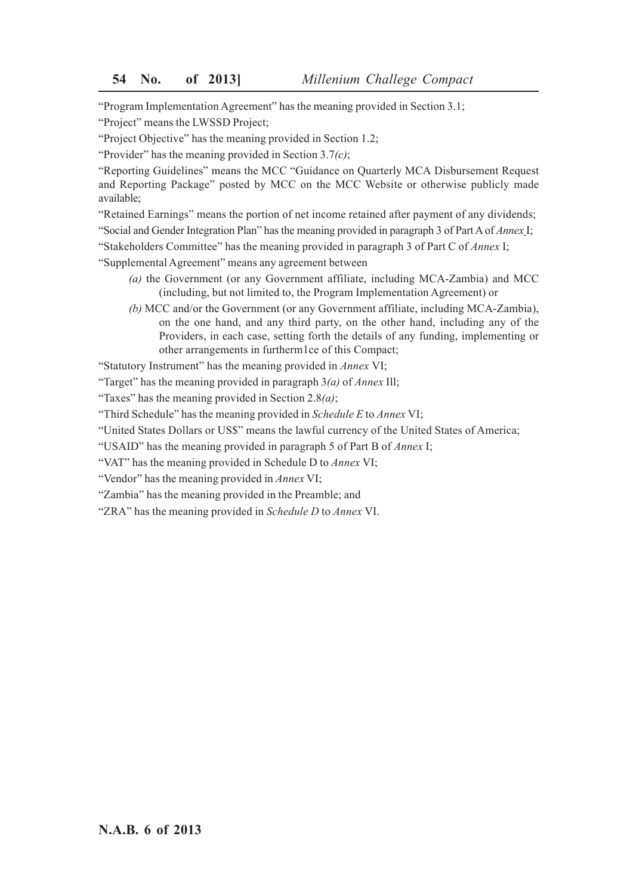"Program Implementation Agreement" has the meaning provided in Section 3.1;

"Project" means the LWSSD Project;

"Project Objective" has the meaning provided in Section 1.2;

"Provider" has the meaning provided in Section 3.7*(c)*;

"Reporting Guidelines" means the MCC "Guidance on Quarterly MCA Disbursement Request and Reporting Package" posted by MCC on the MCC Website or otherwise publicly made available;

"Retained Earnings" means the portion of net income retained after payment of any dividends;

"Social and Gender Integration Plan" has the meaning provided in paragraph 3 of Part A of *Annex* I;

"Stakeholders Committee" has the meaning provided in paragraph 3 of Part C of *Annex* I;

"Supplemental Agreement" means any agreement between

- *(a)* the Government (or any Government affiliate, including MCA-Zambia) and MCC (including, but not limited to, the Program Implementation Agreement) or
- *(b)* MCC and/or the Government (or any Government affiliate, including MCA-Zambia), on the one hand, and any third party, on the other hand, including any of the Providers, in each case, setting forth the details of any funding, implementing or other arrangements in furtherm1ce of this Compact;

"Statutory Instrument" has the meaning provided in *Annex* VI;

"Target" has the meaning provided in paragraph 3*(a)* of *Annex* Ill;

"Taxes" has the meaning provided in Section 2.8*(a)*;

"Third Schedule" has the meaning provided in *Schedule E* to *Annex* VI;

"United States Dollars or US\$" means the lawful currency of the United States of America;

"USAID" has the meaning provided in paragraph 5 of Part B of *Annex* I;

"VAT" has the meaning provided in Schedule D to *Annex* VI;

"Vendor" has the meaning provided in *Annex* VI;

"Zambia" has the meaning provided in the Preamble; and

"ZRA" has the meaning provided in *Schedule D* to *Annex* VI.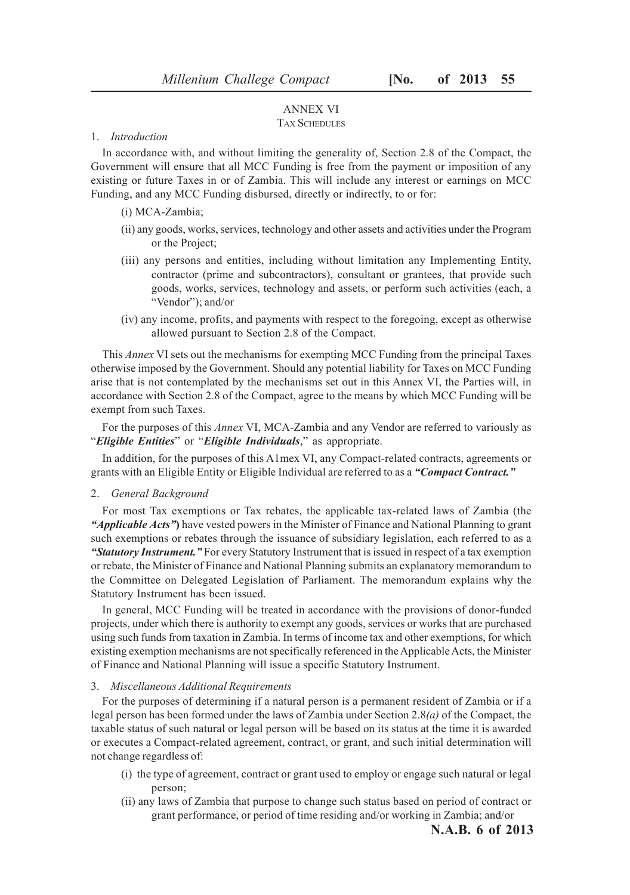# ANNEX VI

## TAX SCHEDULES

# 1. *Introduction*

In accordance with, and without limiting the generality of, Section 2.8 of the Compact, the Government will ensure that all MCC Funding is free from the payment or imposition of any existing or future Taxes in or of Zambia. This will include any interest or earnings on MCC Funding, and any MCC Funding disbursed, directly or indirectly, to or for:

- (i) MCA-Zambia;
- (ii) any goods, works, services, technology and other assets and activities under the Program or the Project;
- (iii) any persons and entities, including without limitation any Implementing Entity, contractor (prime and subcontractors), consultant or grantees, that provide such goods, works, services, technology and assets, or perform such activities (each, a "Vendor"); and/or
- (iv) any income, profits, and payments with respect to the foregoing, except as otherwise allowed pursuant to Section 2.8 of the Compact.

This *Annex* VI sets out the mechanisms for exempting MCC Funding from the principal Taxes otherwise imposed by the Government. Should any potential liability for Taxes on MCC Funding arise that is not contemplated by the mechanisms set out in this Annex VI, the Parties will, in accordance with Section 2.8 of the Compact, agree to the means by which MCC Funding will be exempt from such Taxes.

For the purposes of this *Annex* VI, MCA-Zambia and any Vendor are referred to variously as "*Eligible Entities*" or "*Eligible Individuals*," as appropriate.

In addition, for the purposes of this A1mex VI, any Compact-related contracts, agreements or grants with an Eligible Entity or Eligible Individual are referred to as a *"Compact Contract."*

## 2. *General Background*

For most Tax exemptions or Tax rebates, the applicable tax-related laws of Zambia (the *"Applicable Acts"***)** have vested powers in the Minister of Finance and National Planning to grant such exemptions or rebates through the issuance of subsidiary legislation, each referred to as a *"Statutory Instrument."* For every Statutory Instrument that is issued in respect of a tax exemption or rebate, the Minister of Finance and National Planning submits an explanatory memorandum to the Committee on Delegated Legislation of Parliament. The memorandum explains why the Statutory Instrument has been issued.

In general, MCC Funding will be treated in accordance with the provisions of donor-funded projects, under which there is authority to exempt any goods, services or works that are purchased using such funds from taxation in Zambia. In terms of income tax and other exemptions, for which existing exemption mechanisms are not specifically referenced in the Applicable Acts, the Minister of Finance and National Planning will issue a specific Statutory Instrument.

#### 3. *Miscellaneous Additional Requirements*

For the purposes of determining if a natural person is a permanent resident of Zambia or if a legal person has been formed under the laws of Zambia under Section 2.8*(a)* of the Compact, the taxable status of such natural or legal person will be based on its status at the time it is awarded or executes a Compact-related agreement, contract, or grant, and such initial determination will not change regardless of:

- (i) the type of agreement, contract or grant used to employ or engage such natural or legal person;
- (ii) any laws of Zambia that purpose to change such status based on period of contract or grant performance, or period of time residing and/or working in Zambia; and/or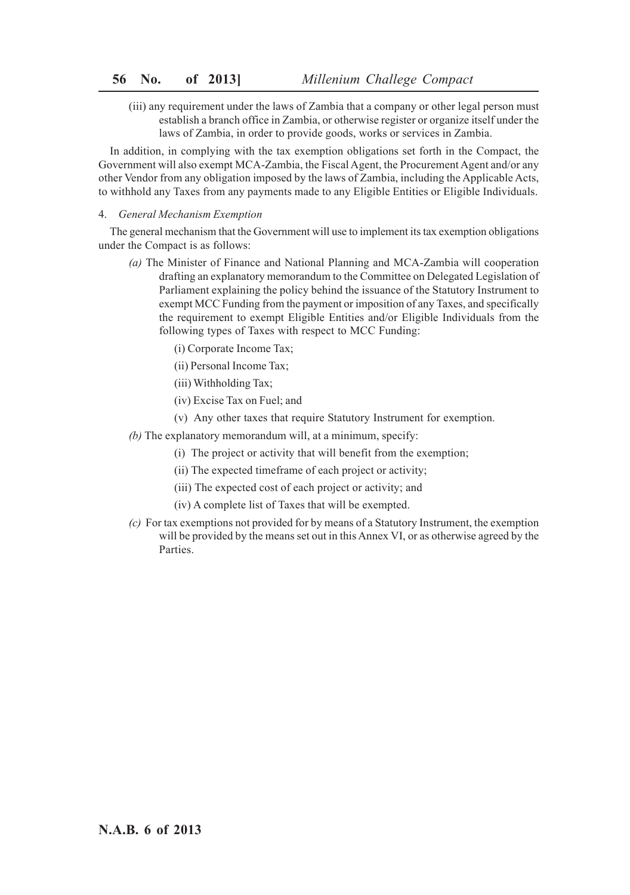(iii) any requirement under the laws of Zambia that a company or other legal person must establish a branch office in Zambia, or otherwise register or organize itself under the laws of Zambia, in order to provide goods, works or services in Zambia.

In addition, in complying with the tax exemption obligations set forth in the Compact, the Government will also exempt MCA-Zambia, the Fiscal Agent, the Procurement Agent and/or any other Vendor from any obligation imposed by the laws of Zambia, including the Applicable Acts, to withhold any Taxes from any payments made to any Eligible Entities or Eligible Individuals.

### 4. *General Mechanism Exemption*

The general mechanism that the Government will use to implement its tax exemption obligations under the Compact is as follows:

- *(a)* The Minister of Finance and National Planning and MCA-Zambia will cooperation drafting an explanatory memorandum to the Committee on Delegated Legislation of Parliament explaining the policy behind the issuance of the Statutory Instrument to exempt MCC Funding from the payment or imposition of any Taxes, and specifically the requirement to exempt Eligible Entities and/or Eligible Individuals from the following types of Taxes with respect to MCC Funding:
	- (i) Corporate Income Tax;
	- (ii) Personal Income Tax;
	- (iii) Withholding Tax;
	- (iv) Excise Tax on Fuel; and
	- (v) Any other taxes that require Statutory Instrument for exemption.
- *(b)* The explanatory memorandum will, at a minimum, specify:
	- (i) The project or activity that will benefit from the exemption;
	- (ii) The expected timeframe of each project or activity;
	- (iii) The expected cost of each project or activity; and
	- (iv) A complete list of Taxes that will be exempted.
- *(c)* For tax exemptions not provided for by means of a Statutory Instrument, the exemption will be provided by the means set out in this Annex VI, or as otherwise agreed by the **Parties**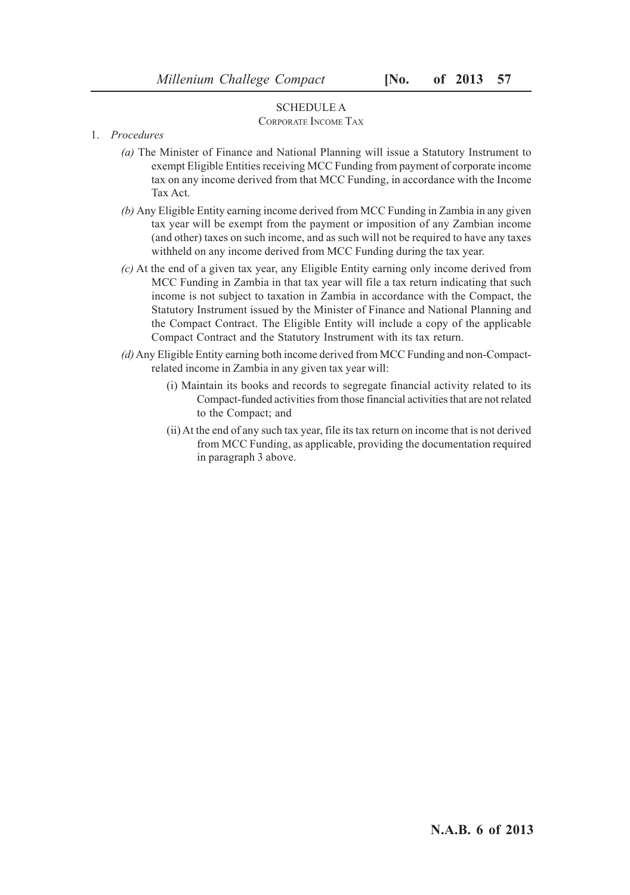## SCHEDULE A

# CORPORATE INCOME TAX

- 1. *Procedures*
	- *(a)* The Minister of Finance and National Planning will issue a Statutory Instrument to exempt Eligible Entities receiving MCC Funding from payment of corporate income tax on any income derived from that MCC Funding, in accordance with the Income Tax Act.
	- *(b)* Any Eligible Entity earning income derived from MCC Funding in Zambia in any given tax year will be exempt from the payment or imposition of any Zambian income (and other) taxes on such income, and as such will not be required to have any taxes withheld on any income derived from MCC Funding during the tax year.
	- *(c)* At the end of a given tax year, any Eligible Entity earning only income derived from MCC Funding in Zambia in that tax year will file a tax return indicating that such income is not subject to taxation in Zambia in accordance with the Compact, the Statutory Instrument issued by the Minister of Finance and National Planning and the Compact Contract. The Eligible Entity will include a copy of the applicable Compact Contract and the Statutory Instrument with its tax return.
	- *(d)* Any Eligible Entity earning both income derived from MCC Funding and non-Compactrelated income in Zambia in any given tax year will:
		- (i) Maintain its books and records to segregate financial activity related to its Compact-funded activities from those financial activities that are not related to the Compact; and
		- (ii) At the end of any such tax year, file its tax return on income that is not derived from MCC Funding, as applicable, providing the documentation required in paragraph 3 above.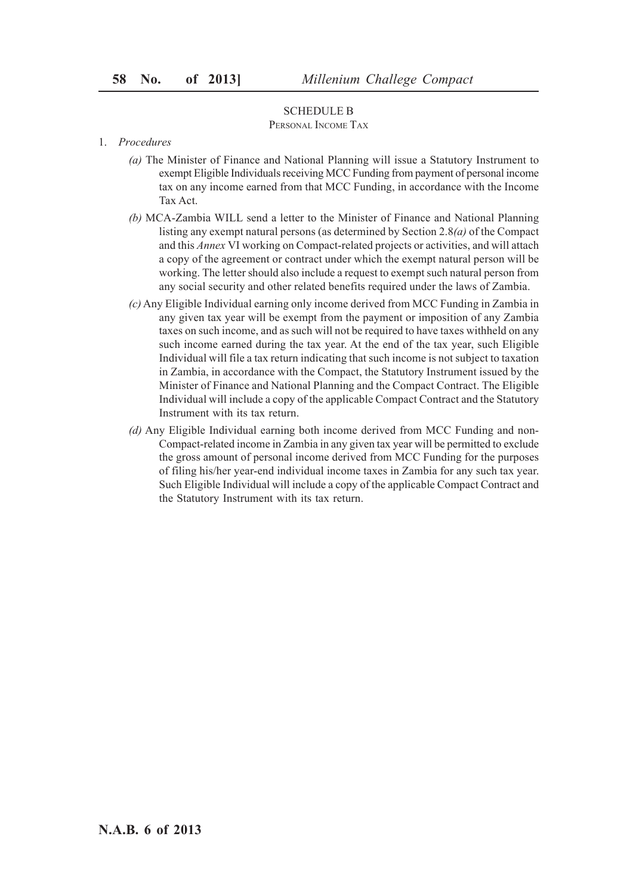## SCHEDULE B

#### PERSONAL INCOME TAX

#### 1. *Procedures*

- *(a)* The Minister of Finance and National Planning will issue a Statutory Instrument to exempt Eligible Individuals receiving MCC Funding from payment of personal income tax on any income earned from that MCC Funding, in accordance with the Income Tax Act.
- *(b)* MCA-Zambia WILL send a letter to the Minister of Finance and National Planning listing any exempt natural persons (as determined by Section 2.8*(a)* of the Compact and this *Annex* VI working on Compact-related projects or activities, and will attach a copy of the agreement or contract under which the exempt natural person will be working. The letter should also include a request to exempt such natural person from any social security and other related benefits required under the laws of Zambia.
- *(c)* Any Eligible Individual earning only income derived from MCC Funding in Zambia in any given tax year will be exempt from the payment or imposition of any Zambia taxes on such income, and as such will not be required to have taxes withheld on any such income earned during the tax year. At the end of the tax year, such Eligible Individual will file a tax return indicating that such income is not subject to taxation in Zambia, in accordance with the Compact, the Statutory Instrument issued by the Minister of Finance and National Planning and the Compact Contract. The Eligible Individual will include a copy of the applicable Compact Contract and the Statutory Instrument with its tax return.
- *(d)* Any Eligible Individual earning both income derived from MCC Funding and non-Compact-related income in Zambia in any given tax year will be permitted to exclude the gross amount of personal income derived from MCC Funding for the purposes of filing his/her year-end individual income taxes in Zambia for any such tax year. Such Eligible Individual will include a copy of the applicable Compact Contract and the Statutory Instrument with its tax return.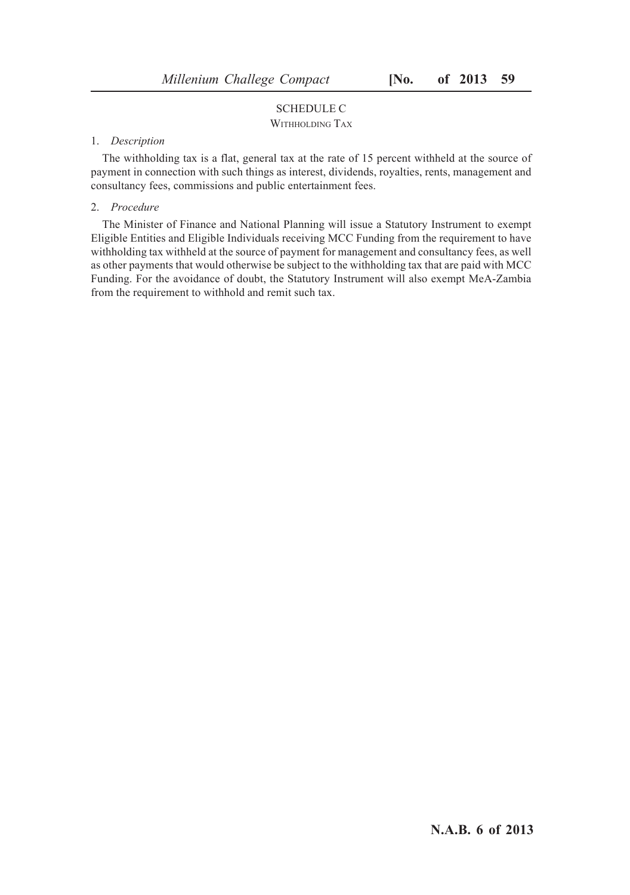# SCHEDULE C

# WITHHOLDING TAX

## 1. *Description*

The withholding tax is a flat, general tax at the rate of 15 percent withheld at the source of payment in connection with such things as interest, dividends, royalties, rents, management and consultancy fees, commissions and public entertainment fees.

## 2. *Procedure*

The Minister of Finance and National Planning will issue a Statutory Instrument to exempt Eligible Entities and Eligible Individuals receiving MCC Funding from the requirement to have withholding tax withheld at the source of payment for management and consultancy fees, as well as other payments that would otherwise be subject to the withholding tax that are paid with MCC Funding. For the avoidance of doubt, the Statutory Instrument will also exempt MeA-Zambia from the requirement to withhold and remit such tax.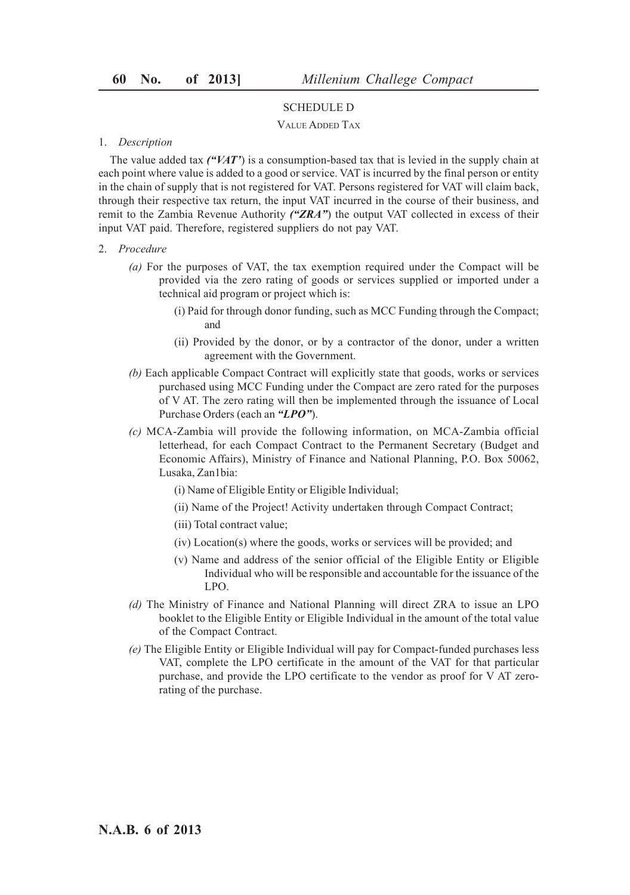# SCHEDULE D

## VALUE ADDED TAX

#### 1. *Description*

The value added tax *("VAT'*) is a consumption-based tax that is levied in the supply chain at each point where value is added to a good or service. VAT is incurred by the final person or entity in the chain of supply that is not registered for VAT. Persons registered for VAT will claim back, through their respective tax return, the input VAT incurred in the course of their business, and remit to the Zambia Revenue Authority *("ZRA"*) the output VAT collected in excess of their input VAT paid. Therefore, registered suppliers do not pay VAT.

## 2. *Procedure*

- *(a)* For the purposes of VAT, the tax exemption required under the Compact will be provided via the zero rating of goods or services supplied or imported under a technical aid program or project which is:
	- (i) Paid for through donor funding, such as MCC Funding through the Compact; and
	- (ii) Provided by the donor, or by a contractor of the donor, under a written agreement with the Government.
- *(b)* Each applicable Compact Contract will explicitly state that goods, works or services purchased using MCC Funding under the Compact are zero rated for the purposes of V AT. The zero rating will then be implemented through the issuance of Local Purchase Orders (each an *"LPO"*).
- *(c)* MCA-Zambia will provide the following information, on MCA-Zambia official letterhead, for each Compact Contract to the Permanent Secretary (Budget and Economic Affairs), Ministry of Finance and National Planning, P.O. Box 50062, Lusaka, Zan1bia:
	- (i) Name of Eligible Entity or Eligible Individual;
	- (ii) Name of the Project! Activity undertaken through Compact Contract;
	- (iii) Total contract value;
	- (iv) Location(s) where the goods, works or services will be provided; and
	- (v) Name and address of the senior official of the Eligible Entity or Eligible Individual who will be responsible and accountable for the issuance of the LPO.
- *(d)* The Ministry of Finance and National Planning will direct ZRA to issue an LPO booklet to the Eligible Entity or Eligible Individual in the amount of the total value of the Compact Contract.
- *(e)* The Eligible Entity or Eligible Individual will pay for Compact-funded purchases less VAT, complete the LPO certificate in the amount of the VAT for that particular purchase, and provide the LPO certificate to the vendor as proof for V AT zerorating of the purchase.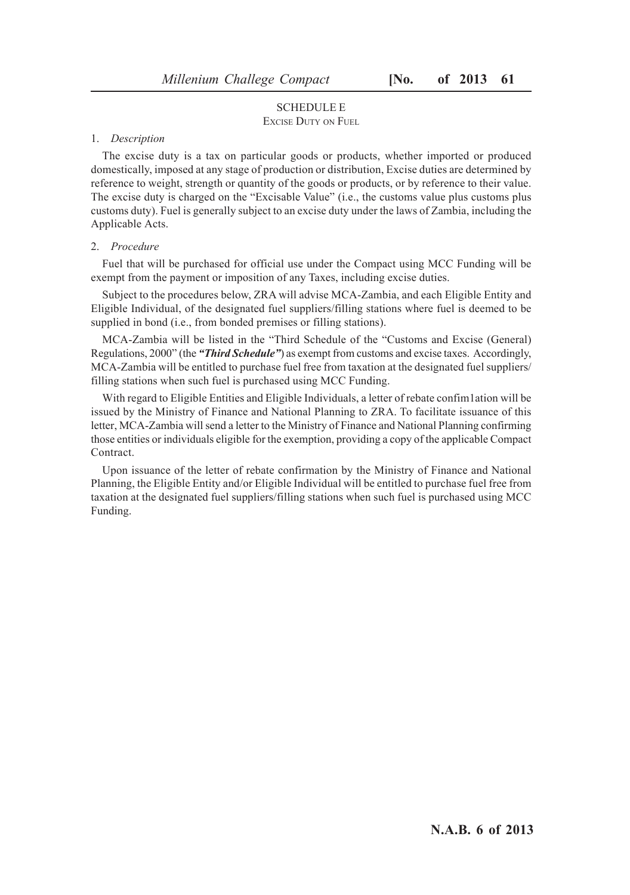# SCHEDULE E

# EXCISE DUTY ON FUEL

# 1. *Description*

The excise duty is a tax on particular goods or products, whether imported or produced domestically, imposed at any stage of production or distribution, Excise duties are determined by reference to weight, strength or quantity of the goods or products, or by reference to their value. The excise duty is charged on the "Excisable Value" (i.e., the customs value plus customs plus customs duty). Fuel is generally subject to an excise duty under the laws of Zambia, including the Applicable Acts.

#### 2. *Procedure*

Fuel that will be purchased for official use under the Compact using MCC Funding will be exempt from the payment or imposition of any Taxes, including excise duties.

Subject to the procedures below, ZRA will advise MCA-Zambia, and each Eligible Entity and Eligible Individual, of the designated fuel suppliers/filling stations where fuel is deemed to be supplied in bond (i.e., from bonded premises or filling stations).

MCA-Zambia will be listed in the "Third Schedule of the "Customs and Excise (General) Regulations, 2000" (the *"Third Schedule"*) as exempt from customs and excise taxes. Accordingly, MCA-Zambia will be entitled to purchase fuel free from taxation at the designated fuel suppliers/ filling stations when such fuel is purchased using MCC Funding.

With regard to Eligible Entities and Eligible Individuals, a letter of rebate confim1ation will be issued by the Ministry of Finance and National Planning to ZRA. To facilitate issuance of this letter, MCA-Zambia will send a letter to the Ministry of Finance and National Planning confirming those entities or individuals eligible for the exemption, providing a copy of the applicable Compact Contract.

Upon issuance of the letter of rebate confirmation by the Ministry of Finance and National Planning, the Eligible Entity and/or Eligible Individual will be entitled to purchase fuel free from taxation at the designated fuel suppliers/filling stations when such fuel is purchased using MCC Funding.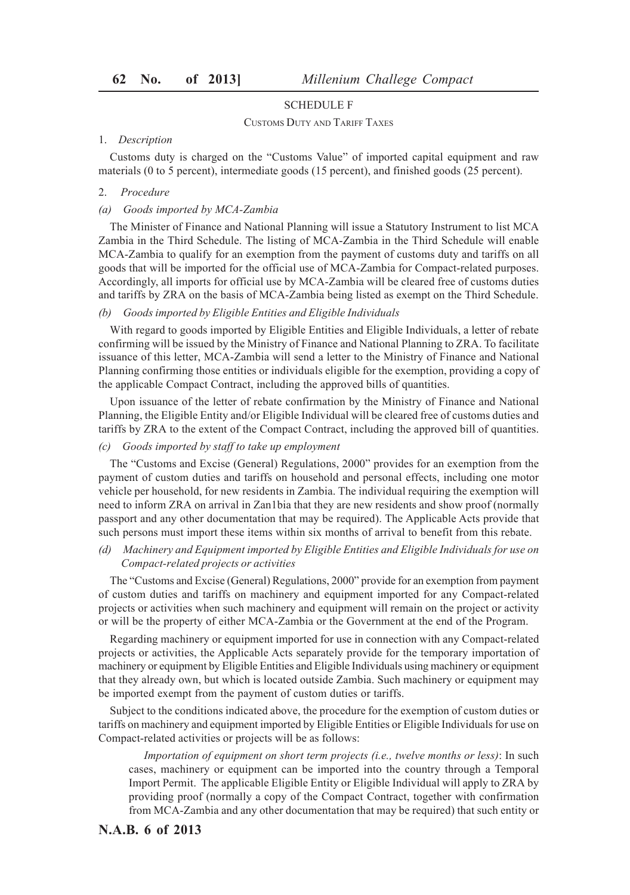## SCHEDULE F

#### CUSTOMS DUTY AND TARIFF TAXES

### 1. *Description*

Customs duty is charged on the "Customs Value" of imported capital equipment and raw materials (0 to 5 percent), intermediate goods (15 percent), and finished goods (25 percent).

#### 2. *Procedure*

#### *(a) Goods imported by MCA-Zambia*

The Minister of Finance and National Planning will issue a Statutory Instrument to list MCA Zambia in the Third Schedule. The listing of MCA-Zambia in the Third Schedule will enable MCA-Zambia to qualify for an exemption from the payment of customs duty and tariffs on all goods that will be imported for the official use of MCA-Zambia for Compact-related purposes. Accordingly, all imports for official use by MCA-Zambia will be cleared free of customs duties and tariffs by ZRA on the basis of MCA-Zambia being listed as exempt on the Third Schedule.

### *(b) Goods imported by Eligible Entities and Eligible Individuals*

With regard to goods imported by Eligible Entities and Eligible Individuals, a letter of rebate confirming will be issued by the Ministry of Finance and National Planning to ZRA. To facilitate issuance of this letter, MCA-Zambia will send a letter to the Ministry of Finance and National Planning confirming those entities or individuals eligible for the exemption, providing a copy of the applicable Compact Contract, including the approved bills of quantities.

Upon issuance of the letter of rebate confirmation by the Ministry of Finance and National Planning, the Eligible Entity and/or Eligible Individual will be cleared free of customs duties and tariffs by ZRA to the extent of the Compact Contract, including the approved bill of quantities.

## *(c) Goods imported by staff to take up employment*

The "Customs and Excise (General) Regulations, 2000" provides for an exemption from the payment of custom duties and tariffs on household and personal effects, including one motor vehicle per household, for new residents in Zambia. The individual requiring the exemption will need to inform ZRA on arrival in Zan1bia that they are new residents and show proof (normally passport and any other documentation that may be required). The Applicable Acts provide that such persons must import these items within six months of arrival to benefit from this rebate.

## *(d) Machinery and Equipment imported by Eligible Entities and Eligible Individuals for use on Compact-related projects or activities*

The "Customs and Excise (General) Regulations, 2000" provide for an exemption from payment of custom duties and tariffs on machinery and equipment imported for any Compact-related projects or activities when such machinery and equipment will remain on the project or activity or will be the property of either MCA-Zambia or the Government at the end of the Program.

Regarding machinery or equipment imported for use in connection with any Compact-related projects or activities, the Applicable Acts separately provide for the temporary importation of machinery or equipment by Eligible Entities and Eligible Individuals using machinery or equipment that they already own, but which is located outside Zambia. Such machinery or equipment may be imported exempt from the payment of custom duties or tariffs.

Subject to the conditions indicated above, the procedure for the exemption of custom duties or tariffs on machinery and equipment imported by Eligible Entities or Eligible Individuals for use on Compact-related activities or projects will be as follows:

*Importation of equipment on short term projects (i.e., twelve months or less)*: In such cases, machinery or equipment can be imported into the country through a Temporal Import Permit. The applicable Eligible Entity or Eligible Individual will apply to ZRA by providing proof (normally a copy of the Compact Contract, together with confirmation from MCA-Zambia and any other documentation that may be required) that such entity or

# **N.A.B. 6 of 2013**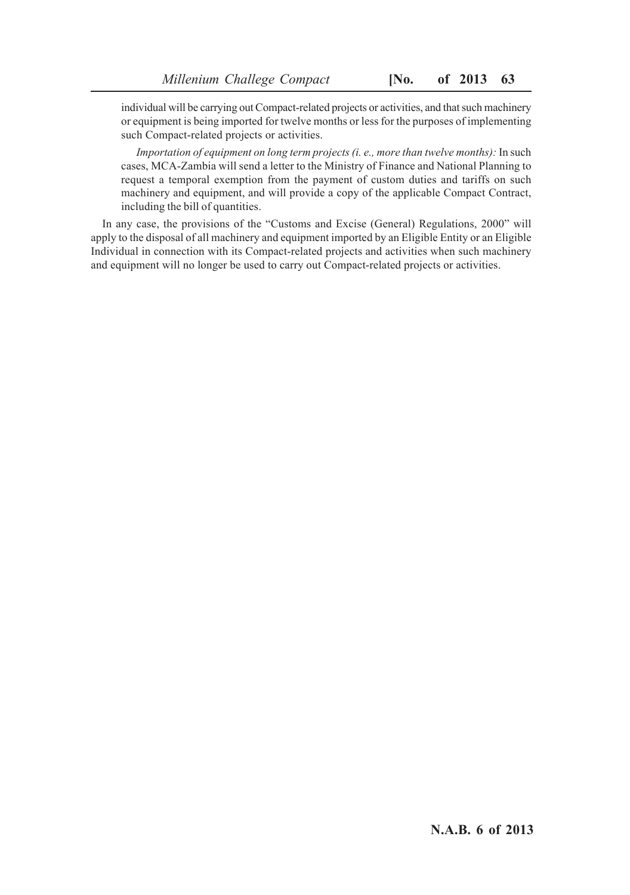individual will be carrying out Compact-related projects or activities, and that such machinery or equipment is being imported for twelve months or less for the purposes of implementing such Compact-related projects or activities.

*Importation of equipment on long term projects (i. e., more than twelve months):* In such cases, MCA-Zambia will send a letter to the Ministry of Finance and National Planning to request a temporal exemption from the payment of custom duties and tariffs on such machinery and equipment, and will provide a copy of the applicable Compact Contract, including the bill of quantities.

In any case, the provisions of the "Customs and Excise (General) Regulations, 2000" will apply to the disposal of all machinery and equipment imported by an Eligible Entity or an Eligible Individual in connection with its Compact-related projects and activities when such machinery and equipment will no longer be used to carry out Compact-related projects or activities.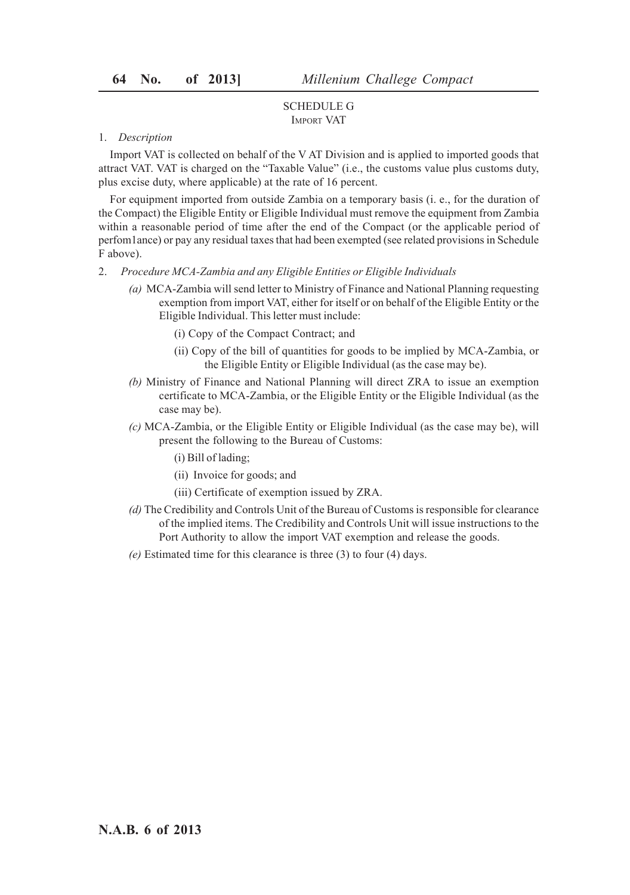## SCHEDULE G IMPORT VAT

#### 1. *Description*

Import VAT is collected on behalf of the V AT Division and is applied to imported goods that attract VAT. VAT is charged on the "Taxable Value" (i.e., the customs value plus customs duty, plus excise duty, where applicable) at the rate of 16 percent.

For equipment imported from outside Zambia on a temporary basis (i. e., for the duration of the Compact) the Eligible Entity or Eligible Individual must remove the equipment from Zambia within a reasonable period of time after the end of the Compact (or the applicable period of perfom1ance) or pay any residual taxes that had been exempted (see related provisions in Schedule F above).

- 2. *Procedure MCA-Zambia and any Eligible Entities or Eligible Individuals*
	- *(a)* MCA-Zambia will send letter to Ministry of Finance and National Planning requesting exemption from import VAT, either for itself or on behalf of the Eligible Entity or the Eligible Individual. This letter must include:
		- (i) Copy of the Compact Contract; and
		- (ii) Copy of the bill of quantities for goods to be implied by MCA-Zambia, or the Eligible Entity or Eligible Individual (as the case may be).
	- *(b)* Ministry of Finance and National Planning will direct ZRA to issue an exemption certificate to MCA-Zambia, or the Eligible Entity or the Eligible Individual (as the case may be).
	- *(c)* MCA-Zambia, or the Eligible Entity or Eligible Individual (as the case may be), will present the following to the Bureau of Customs:
		- (i) Bill of lading;
		- (ii) Invoice for goods; and
		- (iii) Certificate of exemption issued by ZRA.
	- *(d)* The Credibility and Controls Unit of the Bureau of Customs is responsible for clearance of the implied items. The Credibility and Controls Unit will issue instructions to the Port Authority to allow the import VAT exemption and release the goods.
	- *(e)* Estimated time for this clearance is three (3) to four (4) days.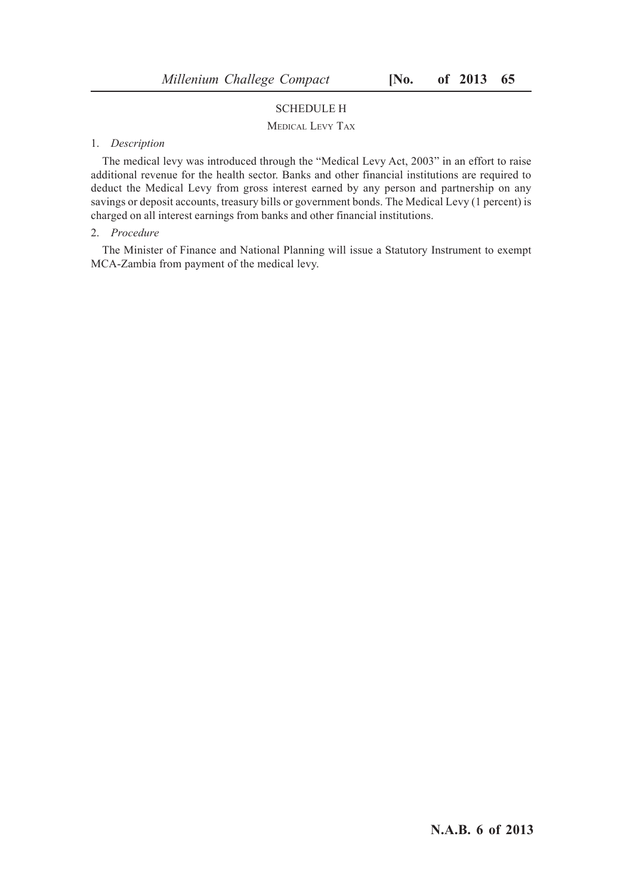# SCHEDULE H

## MEDICAL LEVY TAX

## 1. *Description*

The medical levy was introduced through the "Medical Levy Act, 2003" in an effort to raise additional revenue for the health sector. Banks and other financial institutions are required to deduct the Medical Levy from gross interest earned by any person and partnership on any savings or deposit accounts, treasury bills or government bonds. The Medical Levy (1 percent) is charged on all interest earnings from banks and other financial institutions.

#### 2. *Procedure*

The Minister of Finance and National Planning will issue a Statutory Instrument to exempt MCA-Zambia from payment of the medical levy.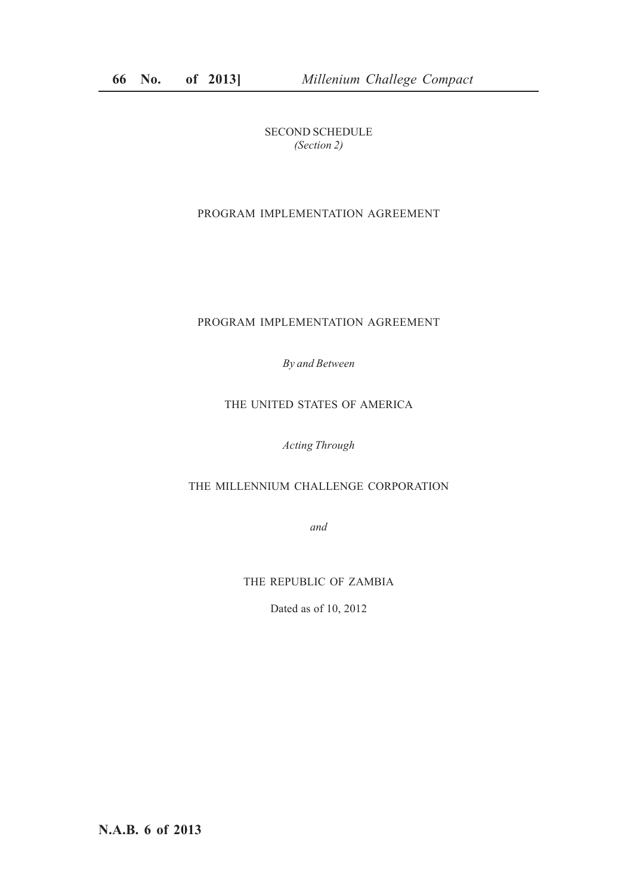SECOND SCHEDULE *(Section 2)*

# PROGRAM IMPLEMENTATION AGREEMENT

## PROGRAM IMPLEMENTATION AGREEMENT

*By and Between*

# THE UNITED STATES OF AMERICA

*Acting Through*

# THE MILLENNIUM CHALLENGE CORPORATION

*and*

THE REPUBLIC OF ZAMBIA

Dated as of 10, 2012

**N.A.B. 6 of 2013**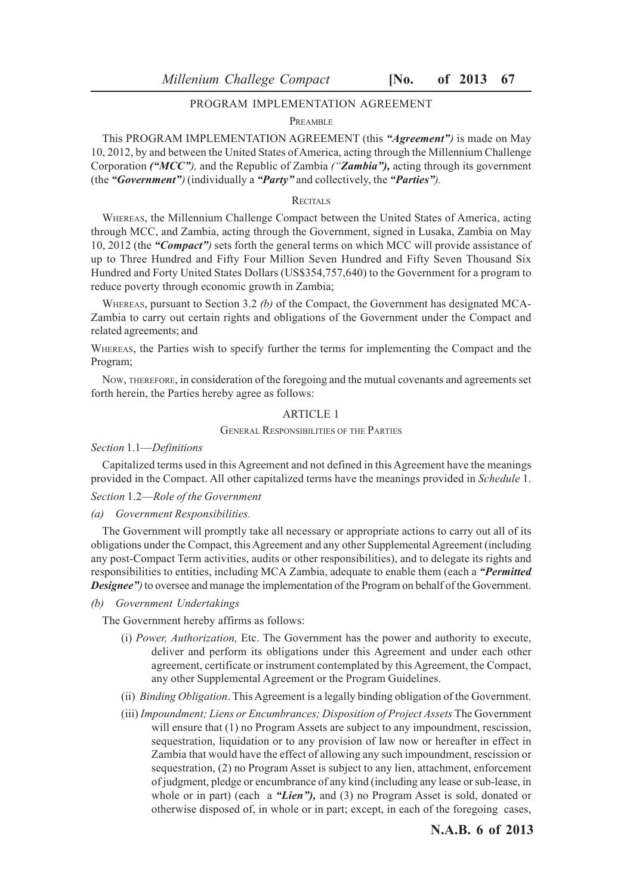## PROGRAM IMPLEMENTATION AGREEMENT

#### PREAMBLE

This PROGRAM IMPLEMENTATION AGREEMENT (this *"Agreement")* is made on May 10, 2012, by and between the United States of America, acting through the Millennium Challenge Corporation *("MCC"),* and the Republic of Zambia *("Zambia"),* acting through its government (the *"Government")* (individually a *"Party"* and collectively, the *"Parties").*

#### RECITAL<sub>S</sub>

WHEREAS, the Millennium Challenge Compact between the United States of America, acting through MCC, and Zambia, acting through the Government, signed in Lusaka, Zambia on May 10, 2012 (the *"Compact")* sets forth the general terms on which MCC will provide assistance of up to Three Hundred and Fifty Four Million Seven Hundred and Fifty Seven Thousand Six Hundred and Forty United States Dollars (US\$354,757,640) to the Government for a program to reduce poverty through economic growth in Zambia;

WHEREAS, pursuant to Section 3.2 *(b)* of the Compact, the Government has designated MCA-Zambia to carry out certain rights and obligations of the Government under the Compact and related agreements; and

WHEREAS, the Parties wish to specify further the terms for implementing the Compact and the Program;

NOW, THEREFORE, in consideration of the foregoing and the mutual covenants and agreements set forth herein, the Parties hereby agree as follows:

## ARTICLE 1

#### GENERAL RESPONSIBILITIES OF THE PARTIES

*Section* 1.1—*Definitions*

Capitalized terms used in this Agreement and not defined in this Agreement have the meanings provided in the Compact. All other capitalized terms have the meanings provided in *Schedule* 1.

#### *Section* 1.2—*Role of the Government*

*(a) Government Responsibilities.*

The Government will promptly take all necessary or appropriate actions to carry out all of its obligations under the Compact, this Agreement and any other Supplemental Agreement (including any post-Compact Term activities, audits or other responsibilities), and to delegate its rights and responsibilities to entities, including MCA Zambia, adequate to enable them (each a *"Permitted* **Designee"**) to oversee and manage the implementation of the Program on behalf of the Government.

*(b) Government Undertakings*

The Government hereby affirms as follows:

- (i) *Power, Authorization,* Etc. The Government has the power and authority to execute, deliver and perform its obligations under this Agreement and under each other agreement, certificate or instrument contemplated by this Agreement, the Compact, any other Supplemental Agreement or the Program Guidelines.
- (ii) *Binding Obligation*. This Agreement is a legally binding obligation of the Government.
- (iii) *Impoundment; Liens or Encumbrances; Disposition of Project Assets* The Government will ensure that (1) no Program Assets are subject to any impoundment, rescission, sequestration, liquidation or to any provision of law now or hereafter in effect in Zambia that would have the effect of allowing any such impoundment, rescission or sequestration, (2) no Program Asset is subject to any lien, attachment, enforcement of judgment, pledge or encumbrance of any kind (including any lease or sub-lease, in whole or in part) (each a "*Lien*"), and (3) no Program Asset is sold, donated or otherwise disposed of, in whole or in part; except, in each of the foregoing cases,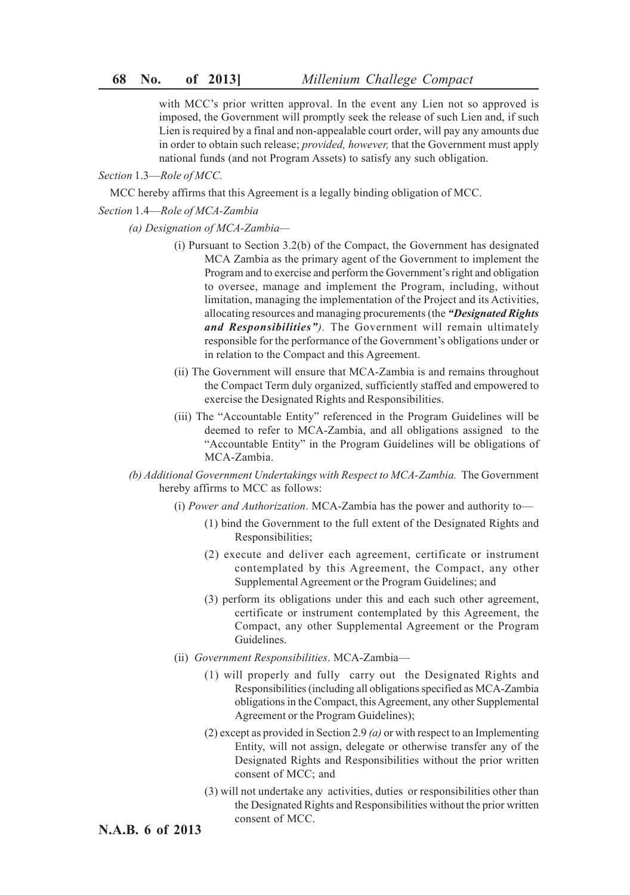with MCC's prior written approval. In the event any Lien not so approved is imposed, the Government will promptly seek the release of such Lien and, if such Lien is required by a final and non-appealable court order, will pay any amounts due in order to obtain such release; *provided, however,* that the Government must apply national funds (and not Program Assets) to satisfy any such obligation.

*Section* 1.3—*Role of MCC.*

MCC hereby affirms that this Agreement is a legally binding obligation of MCC.

*Section* 1.4—*Role of MCA-Zambia*

*(a) Designation of MCA-Zambia—*

- (i) Pursuant to Section 3.2(b) of the Compact, the Government has designated MCA Zambia as the primary agent of the Government to implement the Program and to exercise and perform the Government's right and obligation to oversee, manage and implement the Program, including, without limitation, managing the implementation of the Project and its Activities, allocating resources and managing procurements (the *"Designated Rights and Responsibilities").* The Government will remain ultimately responsible for the performance of the Government's obligations under or in relation to the Compact and this Agreement.
- (ii) The Government will ensure that MCA-Zambia is and remains throughout the Compact Term duly organized, sufficiently staffed and empowered to exercise the Designated Rights and Responsibilities.
- (iii) The "Accountable Entity" referenced in the Program Guidelines will be deemed to refer to MCA-Zambia, and all obligations assigned to the "Accountable Entity" in the Program Guidelines will be obligations of MCA-Zambia.
- *(b) Additional Government Undertakings with Respect to MCA-Zambia.* The Government hereby affirms to MCC as follows:
	- (i) *Power and Authorization*. MCA-Zambia has the power and authority to—
		- (1) bind the Government to the full extent of the Designated Rights and Responsibilities;
		- (2) execute and deliver each agreement, certificate or instrument contemplated by this Agreement, the Compact, any other Supplemental Agreement or the Program Guidelines; and
		- (3) perform its obligations under this and each such other agreement, certificate or instrument contemplated by this Agreement, the Compact, any other Supplemental Agreement or the Program Guidelines.
	- (ii) *Government Responsibilities*. MCA-Zambia—
		- (1) will properly and fully carry out the Designated Rights and Responsibilities (including all obligations specified as MCA-Zambia obligations in the Compact, this Agreement, any other Supplemental Agreement or the Program Guidelines);
		- (2) except as provided in Section 2.9 *(a)* or with respect to an Implementing Entity, will not assign, delegate or otherwise transfer any of the Designated Rights and Responsibilities without the prior written consent of MCC; and
		- (3) will not undertake any activities, duties or responsibilities other than the Designated Rights and Responsibilities without the prior written consent of MCC.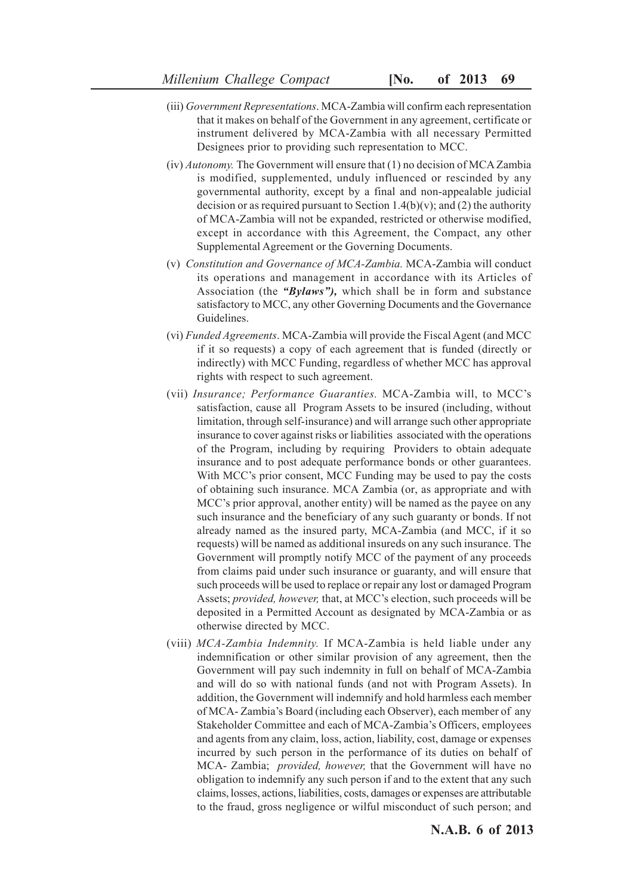- (iii) *Government Representations*. MCA-Zambia will confirm each representation that it makes on behalf of the Government in any agreement, certificate or instrument delivered by MCA-Zambia with all necessary Permitted Designees prior to providing such representation to MCC.
- (iv) *Autonomy.* The Government will ensure that (1) no decision of MCA Zambia is modified, supplemented, unduly influenced or rescinded by any governmental authority, except by a final and non-appealable judicial decision or as required pursuant to Section 1.4(b)(v); and (2) the authority of MCA-Zambia will not be expanded, restricted or otherwise modified, except in accordance with this Agreement, the Compact, any other Supplemental Agreement or the Governing Documents.
- (v) *Constitution and Governance of MCA-Zambia.* MCA-Zambia will conduct its operations and management in accordance with its Articles of Association (the *"Bylaws"),* which shall be in form and substance satisfactory to MCC, any other Governing Documents and the Governance Guidelines.
- (vi) *Funded Agreements*. MCA-Zambia will provide the Fiscal Agent (and MCC if it so requests) a copy of each agreement that is funded (directly or indirectly) with MCC Funding, regardless of whether MCC has approval rights with respect to such agreement.
- (vii) *Insurance; Performance Guaranties.* MCA-Zambia will, to MCC's satisfaction, cause all Program Assets to be insured (including, without limitation, through self-insurance) and will arrange such other appropriate insurance to cover against risks or liabilities associated with the operations of the Program, including by requiring Providers to obtain adequate insurance and to post adequate performance bonds or other guarantees. With MCC's prior consent, MCC Funding may be used to pay the costs of obtaining such insurance. MCA Zambia (or, as appropriate and with MCC's prior approval, another entity) will be named as the payee on any such insurance and the beneficiary of any such guaranty or bonds. If not already named as the insured party, MCA-Zambia (and MCC, if it so requests) will be named as additional insureds on any such insurance. The Government will promptly notify MCC of the payment of any proceeds from claims paid under such insurance or guaranty, and will ensure that such proceeds will be used to replace or repair any lost or damaged Program Assets; *provided, however,* that, at MCC's election, such proceeds will be deposited in a Permitted Account as designated by MCA-Zambia or as otherwise directed by MCC.
- (viii) *MCA-Zambia Indemnity.* If MCA-Zambia is held liable under any indemnification or other similar provision of any agreement, then the Government will pay such indemnity in full on behalf of MCA-Zambia and will do so with national funds (and not with Program Assets). In addition, the Government will indemnify and hold harmless each member of MCA- Zambia's Board (including each Observer), each member of any Stakeholder Committee and each of MCA-Zambia's Officers, employees and agents from any claim, loss, action, liability, cost, damage or expenses incurred by such person in the performance of its duties on behalf of MCA- Zambia; *provided, however,* that the Government will have no obligation to indemnify any such person if and to the extent that any such claims, losses, actions, liabilities, costs, damages or expenses are attributable to the fraud, gross negligence or wilful misconduct of such person; and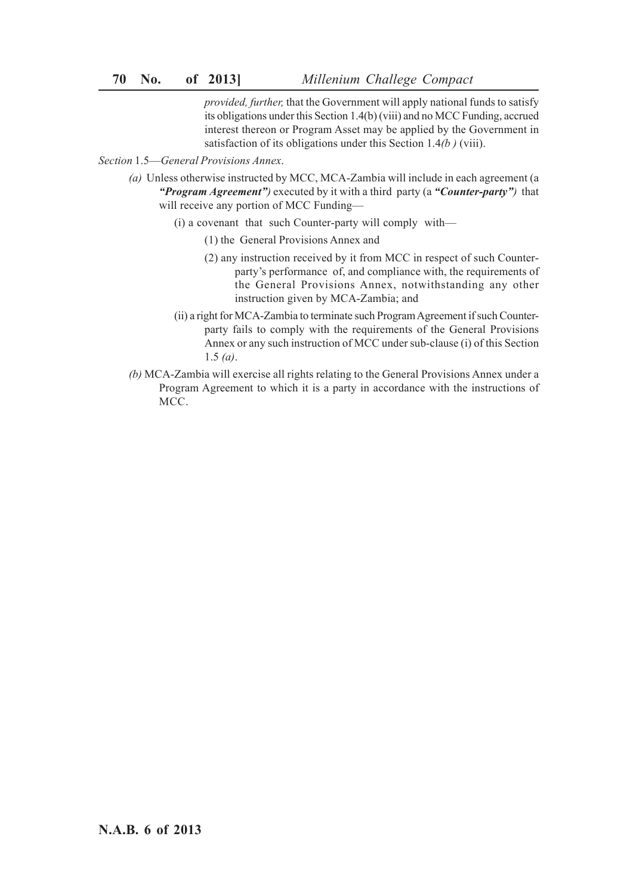*provided, further,* that the Government will apply national funds to satisfy its obligations under this Section 1.4(b) (viii) and no MCC Funding, accrued interest thereon or Program Asset may be applied by the Government in satisfaction of its obligations under this Section 1.4*(b )* (viii).

*Section* 1.5—*General Provisions Annex*.

- *(a)* Unless otherwise instructed by MCC, MCA-Zambia will include in each agreement (a *"Program Agreement")* executed by it with a third party (a *"Counter-party")* that will receive any portion of MCC Funding—
	- (i) a covenant that such Counter-party will comply with—
		- (1) the General Provisions Annex and
		- (2) any instruction received by it from MCC in respect of such Counterparty's performance of, and compliance with, the requirements of the General Provisions Annex, notwithstanding any other instruction given by MCA-Zambia; and
	- (ii) a right for MCA-Zambia to terminate such Program Agreement if such Counterparty fails to comply with the requirements of the General Provisions Annex or any such instruction of MCC under sub-clause (i) of this Section 1.5 *(a)*.
- *(b)* MCA-Zambia will exercise all rights relating to the General Provisions Annex under a Program Agreement to which it is a party in accordance with the instructions of MCC.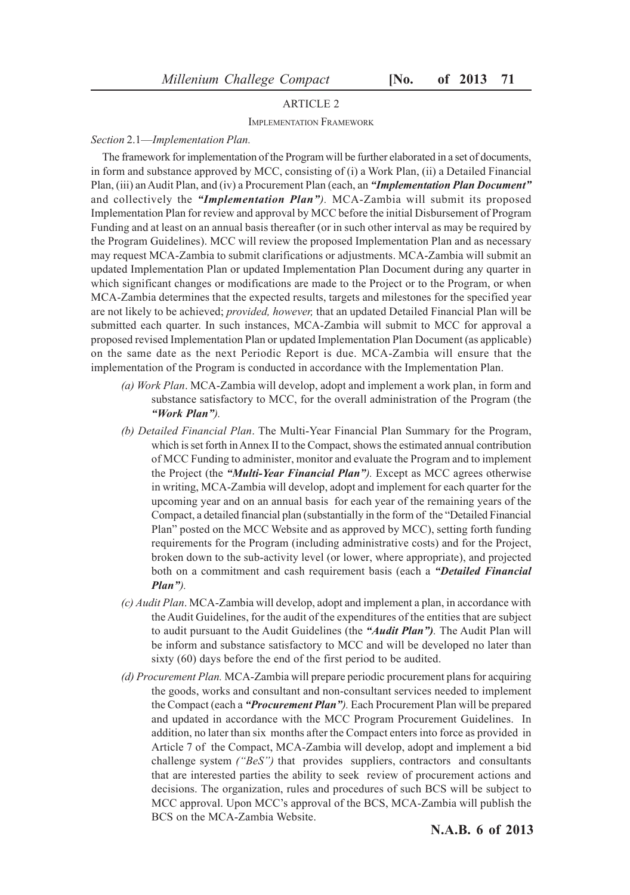#### ARTICLE 2

IMPLEMENTATION FRAMEWORK

#### *Section* 2.1—*Implementation Plan.*

The framework for implementation of the Program will be further elaborated in a set of documents, in form and substance approved by MCC, consisting of (i) a Work Plan, (ii) a Detailed Financial Plan, (iii) an Audit Plan, and (iv) a Procurement Plan (each, an *"Implementation Plan Document"* and collectively the *"Implementation Plan").* MCA-Zambia will submit its proposed Implementation Plan for review and approval by MCC before the initial Disbursement of Program Funding and at least on an annual basis thereafter (or in such other interval as may be required by the Program Guidelines). MCC will review the proposed Implementation Plan and as necessary may request MCA-Zambia to submit clarifications or adjustments. MCA-Zambia will submit an updated Implementation Plan or updated Implementation Plan Document during any quarter in which significant changes or modifications are made to the Project or to the Program, or when MCA-Zambia determines that the expected results, targets and milestones for the specified year are not likely to be achieved; *provided, however,* that an updated Detailed Financial Plan will be submitted each quarter. In such instances, MCA-Zambia will submit to MCC for approval a proposed revised Implementation Plan or updated Implementation Plan Document (as applicable) on the same date as the next Periodic Report is due. MCA-Zambia will ensure that the implementation of the Program is conducted in accordance with the Implementation Plan.

- *(a) Work Plan*. MCA-Zambia will develop, adopt and implement a work plan, in form and substance satisfactory to MCC, for the overall administration of the Program (the *"Work Plan").*
- *(b) Detailed Financial Plan*. The Multi-Year Financial Plan Summary for the Program, which is set forth in Annex II to the Compact, shows the estimated annual contribution of MCC Funding to administer, monitor and evaluate the Program and to implement the Project (the *"Multi-Year Financial Plan").* Except as MCC agrees otherwise in writing, MCA-Zambia will develop, adopt and implement for each quarter for the upcoming year and on an annual basis for each year of the remaining years of the Compact, a detailed financial plan (substantially in the form of the "Detailed Financial Plan" posted on the MCC Website and as approved by MCC), setting forth funding requirements for the Program (including administrative costs) and for the Project, broken down to the sub-activity level (or lower, where appropriate), and projected both on a commitment and cash requirement basis (each a *"Detailed Financial Plan").*
- *(c) Audit Plan*. MCA-Zambia will develop, adopt and implement a plan, in accordance with the Audit Guidelines, for the audit of the expenditures of the entities that are subject to audit pursuant to the Audit Guidelines (the *"Audit Plan").* The Audit Plan will be inform and substance satisfactory to MCC and will be developed no later than sixty (60) days before the end of the first period to be audited.
- *(d) Procurement Plan.* MCA-Zambia will prepare periodic procurement plans for acquiring the goods, works and consultant and non-consultant services needed to implement the Compact (each a *"Procurement Plan").* Each Procurement Plan will be prepared and updated in accordance with the MCC Program Procurement Guidelines. In addition, no later than six months after the Compact enters into force as provided in Article 7 of the Compact, MCA-Zambia will develop, adopt and implement a bid challenge system *("BeS")* that provides suppliers, contractors and consultants that are interested parties the ability to seek review of procurement actions and decisions. The organization, rules and procedures of such BCS will be subject to MCC approval. Upon MCC's approval of the BCS, MCA-Zambia will publish the BCS on the MCA-Zambia Website.

**N.A.B. 6 of 2013**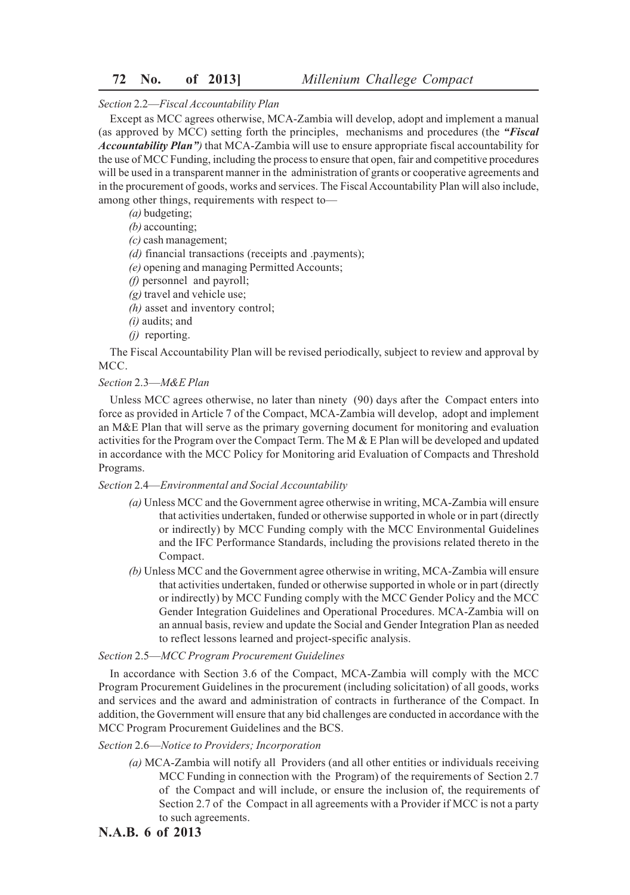# **72 No. of 2013]** *Millenium Challege Compact*

#### *Section* 2.2—*Fiscal Accountability Plan*

Except as MCC agrees otherwise, MCA-Zambia will develop, adopt and implement a manual (as approved by MCC) setting forth the principles, mechanisms and procedures (the *"Fiscal Accountability Plan")* that MCA-Zambia will use to ensure appropriate fiscal accountability for the use of MCC Funding, including the process to ensure that open, fair and competitive procedures will be used in a transparent manner in the administration of grants or cooperative agreements and in the procurement of goods, works and services. The Fiscal Accountability Plan will also include, among other things, requirements with respect to—

*(a)* budgeting;

*(b)* accounting;

*(c)* cash management;

*(d)* financial transactions (receipts and .payments);

*(e)* opening and managing Permitted Accounts;

- *(f)* personnel and payroll;
- *(g)* travel and vehicle use;
- *(h)* asset and inventory control;
- *(i)* audits; and
- *(j)* reporting.

The Fiscal Accountability Plan will be revised periodically, subject to review and approval by MCC.

#### *Section* 2.3—*M&E Plan*

Unless MCC agrees otherwise, no later than ninety (90) days after the Compact enters into force as provided in Article 7 of the Compact, MCA-Zambia will develop, adopt and implement an M&E Plan that will serve as the primary governing document for monitoring and evaluation activities for the Program over the Compact Term. The M  $\&$  E Plan will be developed and updated in accordance with the MCC Policy for Monitoring arid Evaluation of Compacts and Threshold Programs.

#### *Section* 2.4—*Environmental and Social Accountability*

- *(a)* Unless MCC and the Government agree otherwise in writing, MCA-Zambia will ensure that activities undertaken, funded or otherwise supported in whole or in part (directly or indirectly) by MCC Funding comply with the MCC Environmental Guidelines and the IFC Performance Standards, including the provisions related thereto in the Compact.
- *(b)* Unless MCC and the Government agree otherwise in writing, MCA-Zambia will ensure that activities undertaken, funded or otherwise supported in whole or in part (directly or indirectly) by MCC Funding comply with the MCC Gender Policy and the MCC Gender Integration Guidelines and Operational Procedures. MCA-Zambia will on an annual basis, review and update the Social and Gender Integration Plan as needed to reflect lessons learned and project-specific analysis.

#### *Section* 2.5—*MCC Program Procurement Guidelines*

In accordance with Section 3.6 of the Compact, MCA-Zambia will comply with the MCC Program Procurement Guidelines in the procurement (including solicitation) of all goods, works and services and the award and administration of contracts in furtherance of the Compact. In addition, the Government will ensure that any bid challenges are conducted in accordance with the MCC Program Procurement Guidelines and the BCS.

## *Section* 2.6—*Notice to Providers; Incorporation*

- *(a)* MCA-Zambia will notify all Providers (and all other entities or individuals receiving MCC Funding in connection with the Program) of the requirements of Section 2.7 of the Compact and will include, or ensure the inclusion of, the requirements of Section 2.7 of the Compact in all agreements with a Provider if MCC is not a party to such agreements.
- **N.A.B. 6 of 2013**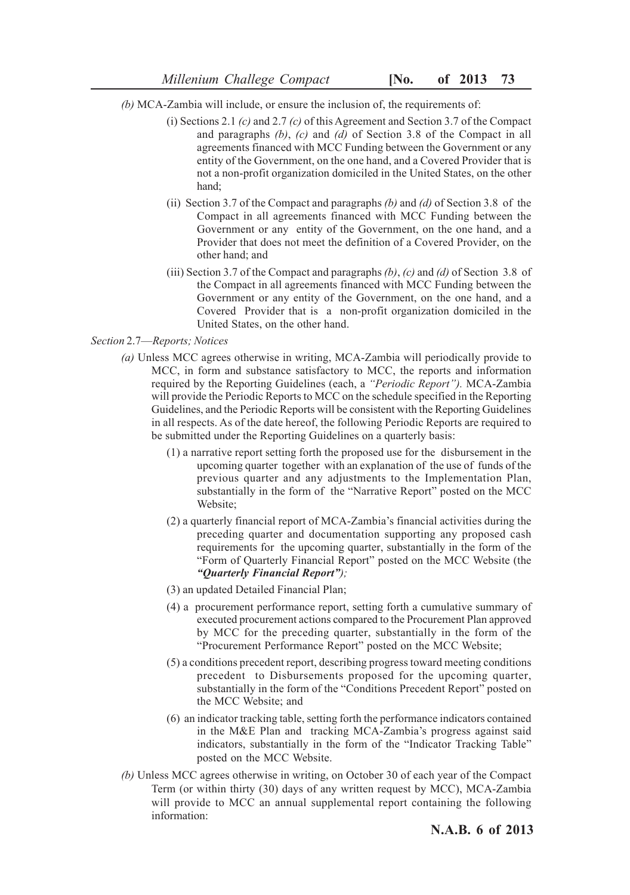- *(b)* MCA-Zambia will include, or ensure the inclusion of, the requirements of:
	- (i) Sections 2.1 *(c)* and 2.7 *(c)* of this Agreement and Section 3.7 of the Compact and paragraphs *(b)*, *(c)* and *(d)* of Section 3.8 of the Compact in all agreements financed with MCC Funding between the Government or any entity of the Government, on the one hand, and a Covered Provider that is not a non-profit organization domiciled in the United States, on the other hand;
	- (ii) Section 3.7 of the Compact and paragraphs *(b)* and *(d)* of Section 3.8 of the Compact in all agreements financed with MCC Funding between the Government or any entity of the Government, on the one hand, and a Provider that does not meet the definition of a Covered Provider, on the other hand; and
	- (iii) Section 3.7 of the Compact and paragraphs *(b)*, *(c)* and *(d)* of Section 3.8 of the Compact in all agreements financed with MCC Funding between the Government or any entity of the Government, on the one hand, and a Covered Provider that is a non-profit organization domiciled in the United States, on the other hand.

## *Section* 2.7—*Reports; Notices*

- *(a)* Unless MCC agrees otherwise in writing, MCA-Zambia will periodically provide to MCC, in form and substance satisfactory to MCC, the reports and information required by the Reporting Guidelines (each, a *"Periodic Report").* MCA-Zambia will provide the Periodic Reports to MCC on the schedule specified in the Reporting Guidelines, and the Periodic Reports will be consistent with the Reporting Guidelines in all respects. As of the date hereof, the following Periodic Reports are required to be submitted under the Reporting Guidelines on a quarterly basis:
	- (1) a narrative report setting forth the proposed use for the disbursement in the upcoming quarter together with an explanation of the use of funds of the previous quarter and any adjustments to the Implementation Plan, substantially in the form of the "Narrative Report" posted on the MCC Website;
	- (2) a quarterly financial report of MCA-Zambia's financial activities during the preceding quarter and documentation supporting any proposed cash requirements for the upcoming quarter, substantially in the form of the "Form of Quarterly Financial Report" posted on the MCC Website (the *"Quarterly Financial Report");*
	- (3) an updated Detailed Financial Plan;
	- (4) a procurement performance report, setting forth a cumulative summary of executed procurement actions compared to the Procurement Plan approved by MCC for the preceding quarter, substantially in the form of the "Procurement Performance Report" posted on the MCC Website;
	- (5) a conditions precedent report, describing progress toward meeting conditions precedent to Disbursements proposed for the upcoming quarter, substantially in the form of the "Conditions Precedent Report" posted on the MCC Website; and
	- (6) an indicator tracking table, setting forth the performance indicators contained in the M&E Plan and tracking MCA-Zambia's progress against said indicators, substantially in the form of the "Indicator Tracking Table" posted on the MCC Website.
- *(b)* Unless MCC agrees otherwise in writing, on October 30 of each year of the Compact Term (or within thirty (30) days of any written request by MCC), MCA-Zambia will provide to MCC an annual supplemental report containing the following information: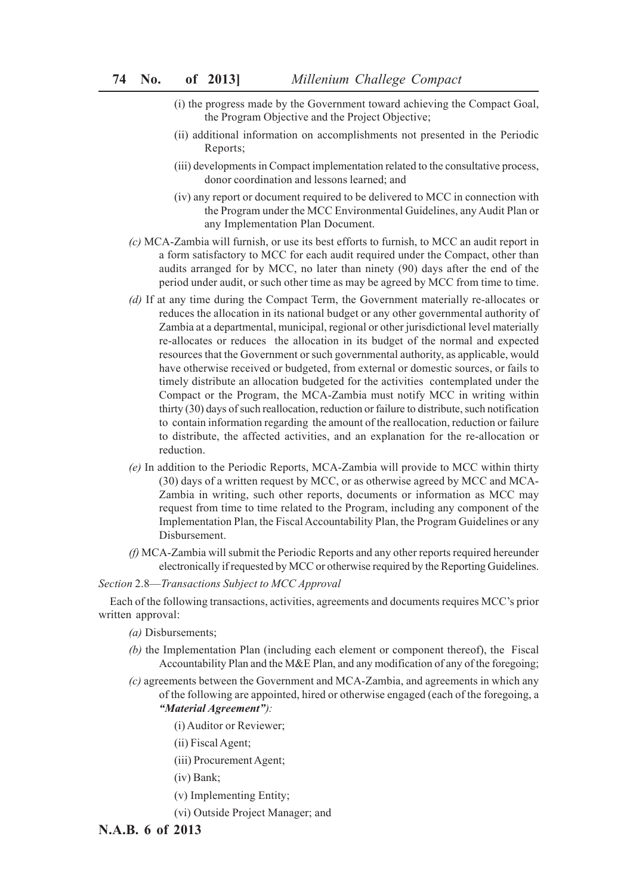- (i) the progress made by the Government toward achieving the Compact Goal, the Program Objective and the Project Objective;
- (ii) additional information on accomplishments not presented in the Periodic Reports;
- (iii) developments in Compact implementation related to the consultative process, donor coordination and lessons learned; and
- (iv) any report or document required to be delivered to MCC in connection with the Program under the MCC Environmental Guidelines, any Audit Plan or any Implementation Plan Document.
- *(c)* MCA-Zambia will furnish, or use its best efforts to furnish, to MCC an audit report in a form satisfactory to MCC for each audit required under the Compact, other than audits arranged for by MCC, no later than ninety (90) days after the end of the period under audit, or such other time as may be agreed by MCC from time to time.
- *(d)* If at any time during the Compact Term, the Government materially re-allocates or reduces the allocation in its national budget or any other governmental authority of Zambia at a departmental, municipal, regional or other jurisdictional level materially re-allocates or reduces the allocation in its budget of the normal and expected resources that the Government or such governmental authority, as applicable, would have otherwise received or budgeted, from external or domestic sources, or fails to timely distribute an allocation budgeted for the activities contemplated under the Compact or the Program, the MCA-Zambia must notify MCC in writing within thirty (30) days of such reallocation, reduction or failure to distribute, such notification to contain information regarding the amount of the reallocation, reduction or failure to distribute, the affected activities, and an explanation for the re-allocation or reduction.
- *(e)* In addition to the Periodic Reports, MCA-Zambia will provide to MCC within thirty (30) days of a written request by MCC, or as otherwise agreed by MCC and MCA-Zambia in writing, such other reports, documents or information as MCC may request from time to time related to the Program, including any component of the Implementation Plan, the Fiscal Accountability Plan, the Program Guidelines or any Disbursement.
- *(f)* MCA-Zambia will submit the Periodic Reports and any other reports required hereunder electronically if requested by MCC or otherwise required by the Reporting Guidelines.

*Section* 2.8—*Transactions Subject to MCC Approval*

Each of the following transactions, activities, agreements and documents requires MCC's prior written approval:

- *(a)* Disbursements;
- *(b)* the Implementation Plan (including each element or component thereof), the Fiscal Accountability Plan and the M&E Plan, and any modification of any of the foregoing;
- *(c)* agreements between the Government and MCA-Zambia, and agreements in which any of the following are appointed, hired or otherwise engaged (each of the foregoing, a *"Material Agreement"):*
	- (i) Auditor or Reviewer;
	- (ii) Fiscal Agent;
	- (iii) Procurement Agent;
	- (iv) Bank;
	- (v) Implementing Entity;
	- (vi) Outside Project Manager; and

## **N.A.B. 6 of 2013**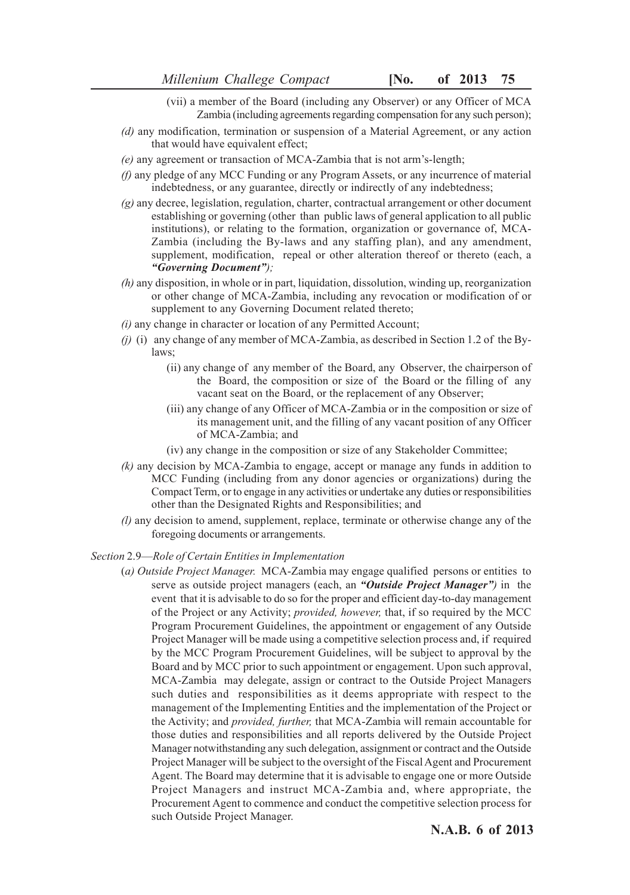- (vii) a member of the Board (including any Observer) or any Officer of MCA Zambia (including agreements regarding compensation for any such person);
- *(d)* any modification, termination or suspension of a Material Agreement, or any action that would have equivalent effect;
- *(e)* any agreement or transaction of MCA-Zambia that is not arm's-length;
- *(f)* any pledge of any MCC Funding or any Program Assets, or any incurrence of material indebtedness, or any guarantee, directly or indirectly of any indebtedness;
- *(g)* any decree, legislation, regulation, charter, contractual arrangement or other document establishing or governing (other than public laws of general application to all public institutions), or relating to the formation, organization or governance of, MCA-Zambia (including the By-laws and any staffing plan), and any amendment, supplement, modification, repeal or other alteration thereof or thereto (each, a *"Governing Document");*
- *(h)* any disposition, in whole or in part, liquidation, dissolution, winding up, reorganization or other change of MCA-Zambia, including any revocation or modification of or supplement to any Governing Document related thereto;
- *(i)* any change in character or location of any Permitted Account;
- *(j)* (i) any change of any member of MCA-Zambia, as described in Section 1.2 of the Bylaws;
	- (ii) any change of any member of the Board, any Observer, the chairperson of the Board, the composition or size of the Board or the filling of any vacant seat on the Board, or the replacement of any Observer;
	- (iii) any change of any Officer of MCA-Zambia or in the composition or size of its management unit, and the filling of any vacant position of any Officer of MCA-Zambia; and
	- (iv) any change in the composition or size of any Stakeholder Committee;
- *(k)* any decision by MCA-Zambia to engage, accept or manage any funds in addition to MCC Funding (including from any donor agencies or organizations) during the Compact Term, or to engage in any activities or undertake any duties or responsibilities other than the Designated Rights and Responsibilities; and
- *(l)* any decision to amend, supplement, replace, terminate or otherwise change any of the foregoing documents or arrangements.

#### *Section* 2.9—*Role of Certain Entities in Implementation*

(*a) Outside Project Manager.* MCA-Zambia may engage qualified persons or entities to serve as outside project managers (each, an *"Outside Project Manager")* in the event that it is advisable to do so for the proper and efficient day-to-day management of the Project or any Activity; *provided, however,* that, if so required by the MCC Program Procurement Guidelines, the appointment or engagement of any Outside Project Manager will be made using a competitive selection process and, if required by the MCC Program Procurement Guidelines, will be subject to approval by the Board and by MCC prior to such appointment or engagement. Upon such approval, MCA-Zambia may delegate, assign or contract to the Outside Project Managers such duties and responsibilities as it deems appropriate with respect to the management of the Implementing Entities and the implementation of the Project or the Activity; and *provided, further,* that MCA-Zambia will remain accountable for those duties and responsibilities and all reports delivered by the Outside Project Manager notwithstanding any such delegation, assignment or contract and the Outside Project Manager will be subject to the oversight of the Fiscal Agent and Procurement Agent. The Board may determine that it is advisable to engage one or more Outside Project Managers and instruct MCA-Zambia and, where appropriate, the Procurement Agent to commence and conduct the competitive selection process for such Outside Project Manager.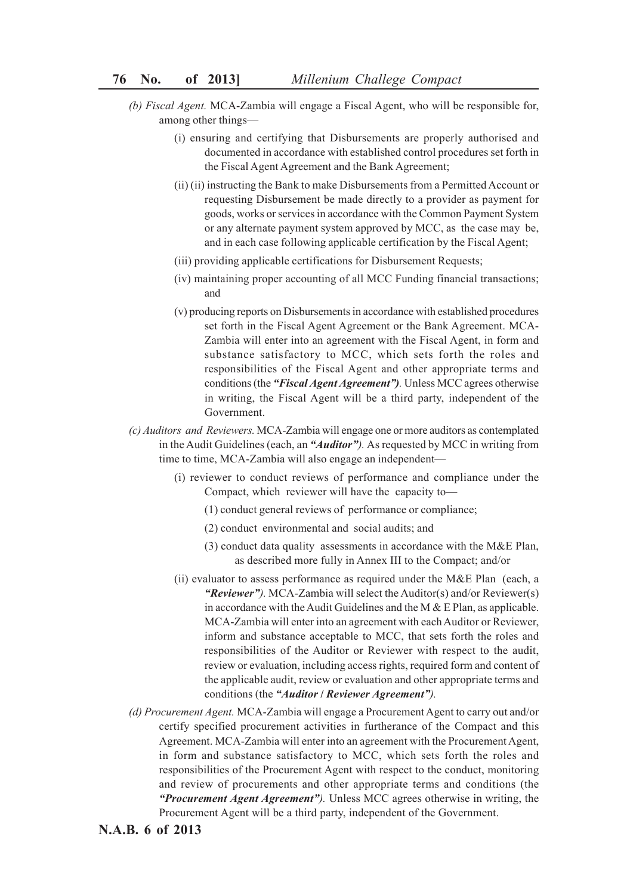- *(b) Fiscal Agent.* MCA-Zambia will engage a Fiscal Agent, who will be responsible for, among other things—
	- (i) ensuring and certifying that Disbursements are properly authorised and documented in accordance with established control procedures set forth in the Fiscal Agent Agreement and the Bank Agreement;
	- (ii) (ii) instructing the Bank to make Disbursements from a Permitted Account or requesting Disbursement be made directly to a provider as payment for goods, works or services in accordance with the Common Payment System or any alternate payment system approved by MCC, as the case may be, and in each case following applicable certification by the Fiscal Agent;
	- (iii) providing applicable certifications for Disbursement Requests;
	- (iv) maintaining proper accounting of all MCC Funding financial transactions; and
	- (v) producing reports on Disbursements in accordance with established procedures set forth in the Fiscal Agent Agreement or the Bank Agreement. MCA-Zambia will enter into an agreement with the Fiscal Agent, in form and substance satisfactory to MCC, which sets forth the roles and responsibilities of the Fiscal Agent and other appropriate terms and conditions (the *"Fiscal Agent Agreement").* Unless MCC agrees otherwise in writing, the Fiscal Agent will be a third party, independent of the Government.
- *(c) Auditors and Reviewers.* MCA-Zambia will engage one or more auditors as contemplated in the Audit Guidelines (each, an *"Auditor").* As requested by MCC in writing from time to time, MCA-Zambia will also engage an independent—
	- (i) reviewer to conduct reviews of performance and compliance under the Compact, which reviewer will have the capacity to—
		- (1) conduct general reviews of performance or compliance;
		- (2) conduct environmental and social audits; and
		- (3) conduct data quality assessments in accordance with the M&E Plan, as described more fully in Annex III to the Compact; and/or
	- (ii) evaluator to assess performance as required under the M&E Plan (each, a *"Reviewer").* MCA-Zambia will select the Auditor(s) and/or Reviewer(s) in accordance with the Audit Guidelines and the M  $&$  E Plan, as applicable. MCA-Zambia will enter into an agreement with each Auditor or Reviewer, inform and substance acceptable to MCC, that sets forth the roles and responsibilities of the Auditor or Reviewer with respect to the audit, review or evaluation, including access rights, required form and content of the applicable audit, review or evaluation and other appropriate terms and conditions (the *"Auditor* **/** *Reviewer Agreement").*
- *(d) Procurement Agent.* MCA-Zambia will engage a Procurement Agent to carry out and/or certify specified procurement activities in furtherance of the Compact and this Agreement. MCA-Zambia will enter into an agreement with the Procurement Agent, in form and substance satisfactory to MCC, which sets forth the roles and responsibilities of the Procurement Agent with respect to the conduct, monitoring and review of procurements and other appropriate terms and conditions (the *"Procurement Agent Agreement").* Unless MCC agrees otherwise in writing, the Procurement Agent will be a third party, independent of the Government.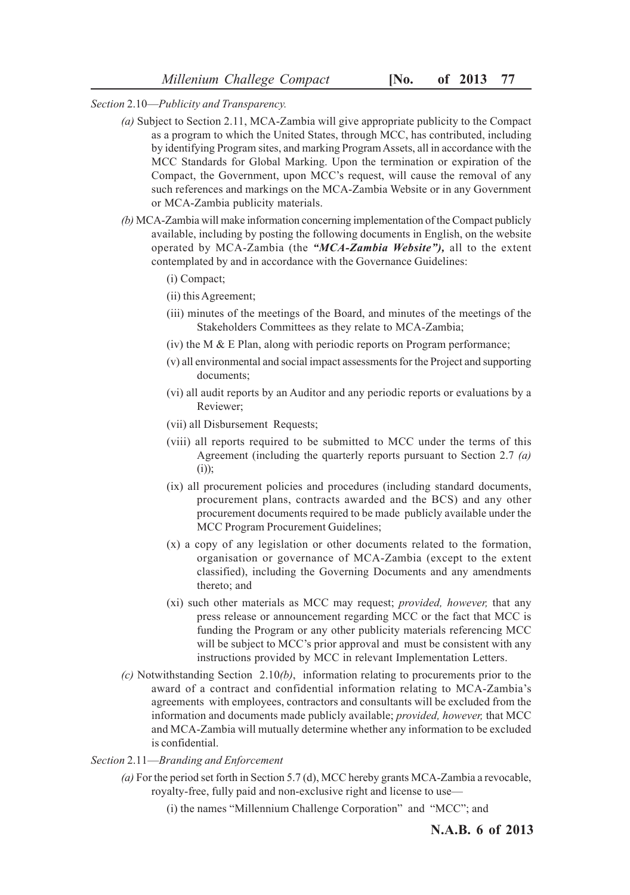*Section* 2.10—*Publicity and Transparency.*

- *(a)* Subject to Section 2.11, MCA-Zambia will give appropriate publicity to the Compact as a program to which the United States, through MCC, has contributed, including by identifying Program sites, and marking Program Assets, all in accordance with the MCC Standards for Global Marking. Upon the termination or expiration of the Compact, the Government, upon MCC's request, will cause the removal of any such references and markings on the MCA-Zambia Website or in any Government or MCA-Zambia publicity materials.
- *(b)* MCA-Zambia will make information concerning implementation of the Compact publicly available, including by posting the following documents in English, on the website operated by MCA-Zambia (the *"MCA-Zambia Website"),* all to the extent contemplated by and in accordance with the Governance Guidelines:
	- (i) Compact;
	- (ii) this Agreement;
	- (iii) minutes of the meetings of the Board, and minutes of the meetings of the Stakeholders Committees as they relate to MCA-Zambia;
	- $(iv)$  the M  $\&$  E Plan, along with periodic reports on Program performance;
	- (v) all environmental and social impact assessments for the Project and supporting documents;
	- (vi) all audit reports by an Auditor and any periodic reports or evaluations by a Reviewer;
	- (vii) all Disbursement Requests;
	- (viii) all reports required to be submitted to MCC under the terms of this Agreement (including the quarterly reports pursuant to Section 2.7 *(a)*  $(i)$ );
	- (ix) all procurement policies and procedures (including standard documents, procurement plans, contracts awarded and the BCS) and any other procurement documents required to be made publicly available under the MCC Program Procurement Guidelines;
	- (x) a copy of any legislation or other documents related to the formation, organisation or governance of MCA-Zambia (except to the extent classified), including the Governing Documents and any amendments thereto; and
	- (xi) such other materials as MCC may request; *provided, however,* that any press release or announcement regarding MCC or the fact that MCC is funding the Program or any other publicity materials referencing MCC will be subject to MCC's prior approval and must be consistent with any instructions provided by MCC in relevant Implementation Letters.
- *(c)* Notwithstanding Section 2.10*(b)*, information relating to procurements prior to the award of a contract and confidential information relating to MCA-Zambia's agreements with employees, contractors and consultants will be excluded from the information and documents made publicly available; *provided, however,* that MCC and MCA-Zambia will mutually determine whether any information to be excluded is confidential.

#### *Section* 2.11—*Branding and Enforcement*

- *(a)* For the period set forth in Section 5.7 (d), MCC hereby grants MCA-Zambia a revocable, royalty-free, fully paid and non-exclusive right and license to use—
	- (i) the names "Millennium Challenge Corporation" and "MCC"; and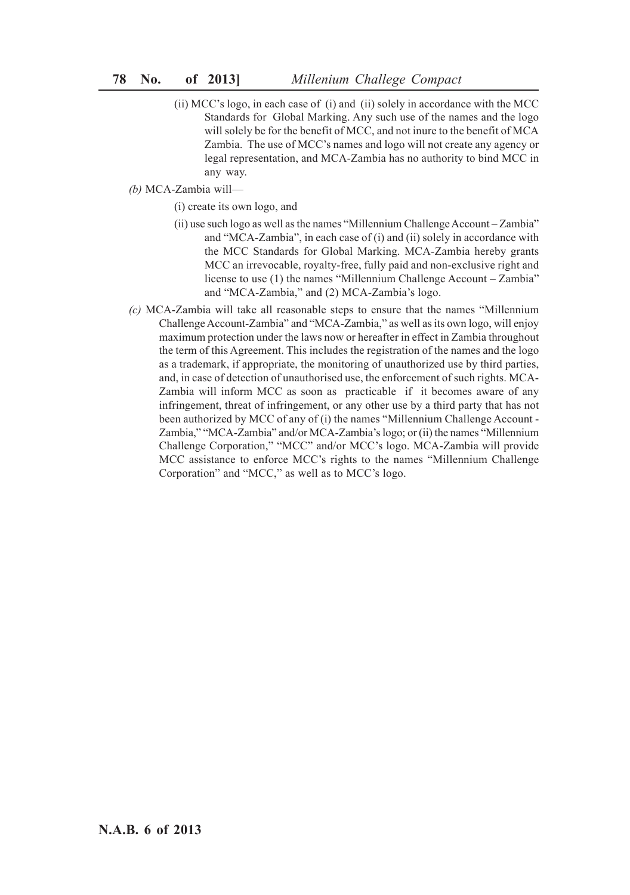- (ii) MCC's logo, in each case of (i) and (ii) solely in accordance with the MCC Standards for Global Marking. Any such use of the names and the logo will solely be for the benefit of MCC, and not inure to the benefit of MCA Zambia. The use of MCC's names and logo will not create any agency or legal representation, and MCA-Zambia has no authority to bind MCC in any way.
- *(b)* MCA-Zambia will—

(i) create its own logo, and

- (ii) use such logo as well as the names "Millennium Challenge Account Zambia" and "MCA-Zambia", in each case of (i) and (ii) solely in accordance with the MCC Standards for Global Marking. MCA-Zambia hereby grants MCC an irrevocable, royalty-free, fully paid and non-exclusive right and license to use (1) the names "Millennium Challenge Account – Zambia" and "MCA-Zambia," and (2) MCA-Zambia's logo.
- *(c)* MCA-Zambia will take all reasonable steps to ensure that the names "Millennium Challenge Account-Zambia" and "MCA-Zambia," as well as its own logo, will enjoy maximum protection under the laws now or hereafter in effect in Zambia throughout the term of this Agreement. This includes the registration of the names and the logo as a trademark, if appropriate, the monitoring of unauthorized use by third parties, and, in case of detection of unauthorised use, the enforcement of such rights. MCA-Zambia will inform MCC as soon as practicable if it becomes aware of any infringement, threat of infringement, or any other use by a third party that has not been authorized by MCC of any of (i) the names "Millennium Challenge Account - Zambia," "MCA-Zambia" and/or MCA-Zambia's logo; or (ii) the names "Millennium Challenge Corporation," "MCC" and/or MCC's logo. MCA-Zambia will provide MCC assistance to enforce MCC's rights to the names "Millennium Challenge Corporation" and "MCC," as well as to MCC's logo.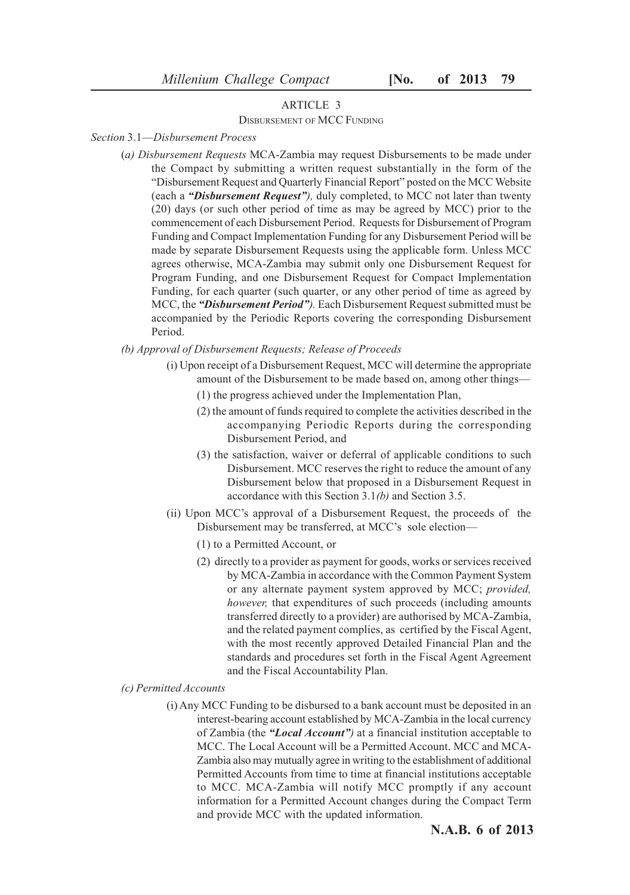## ARTICLE 3

#### DISBURSEMENT OF MCC FUNDING

*Section* 3.1—*Disbursement Process*

(*a) Disbursement Requests* MCA-Zambia may request Disbursements to be made under the Compact by submitting a written request substantially in the form of the "Disbursement Request and Quarterly Financial Report" posted on the MCC Website (each a *"Disbursement Request"),* duly completed, to MCC not later than twenty (20) days (or such other period of time as may be agreed by MCC) prior to the commencement of each Disbursement Period. Requests for Disbursement of Program Funding and Compact Implementation Funding for any Disbursement Period will be made by separate Disbursement Requests using the applicable form. Unless MCC agrees otherwise, MCA-Zambia may submit only one Disbursement Request for Program Funding, and one Disbursement Request for Compact Implementation Funding, for each quarter (such quarter, or any other period of time as agreed by MCC, the *"Disbursement Period").* Each Disbursement Request submitted must be accompanied by the Periodic Reports covering the corresponding Disbursement Period.

#### *(b) Approval of Disbursement Requests; Release of Proceeds*

- (i) Upon receipt of a Disbursement Request, MCC will determine the appropriate amount of the Disbursement to be made based on, among other things—
	- (1) the progress achieved under the Implementation Plan,
	- (2) the amount of funds required to complete the activities described in the accompanying Periodic Reports during the corresponding Disbursement Period, and
	- (3) the satisfaction, waiver or deferral of applicable conditions to such Disbursement. MCC reserves the right to reduce the amount of any Disbursement below that proposed in a Disbursement Request in accordance with this Section 3.1*(b)* and Section 3.5.
- (ii) Upon MCC's approval of a Disbursement Request, the proceeds of the Disbursement may be transferred, at MCC's sole election—
	- (1) to a Permitted Account, or
	- (2) directly to a provider as payment for goods, works or services received by MCA-Zambia in accordance with the Common Payment System or any alternate payment system approved by MCC; *provided, however,* that expenditures of such proceeds (including amounts transferred directly to a provider) are authorised by MCA-Zambia, and the related payment complies, as certified by the Fiscal Agent, with the most recently approved Detailed Financial Plan and the standards and procedures set forth in the Fiscal Agent Agreement and the Fiscal Accountability Plan.
- *(c) Permitted Accounts*
	- (i) Any MCC Funding to be disbursed to a bank account must be deposited in an interest-bearing account established by MCA-Zambia in the local currency of Zambia (the *"Local Account")* at a financial institution acceptable to MCC. The Local Account will be a Permitted Account. MCC and MCA-Zambia also may mutually agree in writing to the establishment of additional Permitted Accounts from time to time at financial institutions acceptable to MCC. MCA-Zambia will notify MCC promptly if any account information for a Permitted Account changes during the Compact Term and provide MCC with the updated information.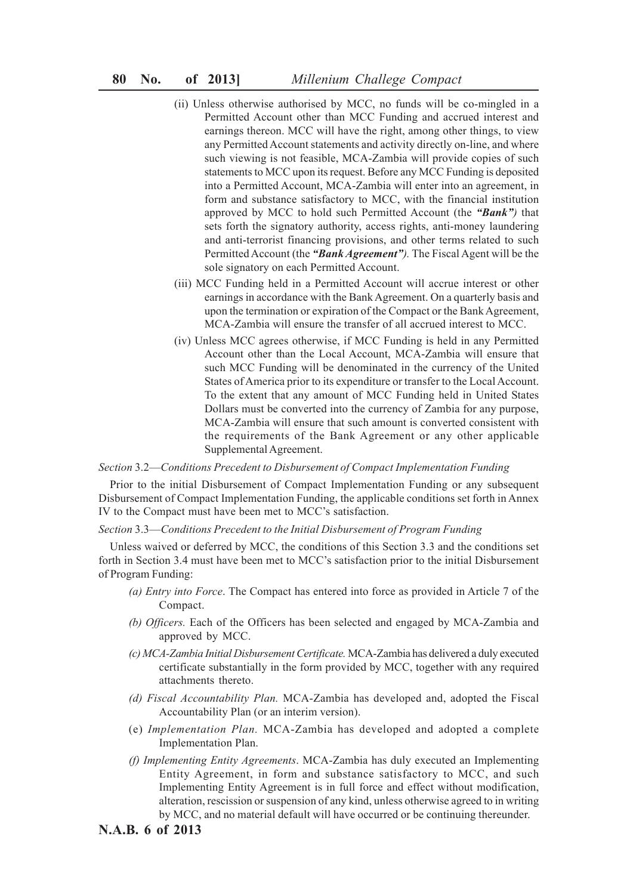- (ii) Unless otherwise authorised by MCC, no funds will be co-mingled in a Permitted Account other than MCC Funding and accrued interest and earnings thereon. MCC will have the right, among other things, to view any Permitted Account statements and activity directly on-line, and where such viewing is not feasible, MCA-Zambia will provide copies of such statements to MCC upon its request. Before any MCC Funding is deposited into a Permitted Account, MCA-Zambia will enter into an agreement, in form and substance satisfactory to MCC, with the financial institution approved by MCC to hold such Permitted Account (the *"Bank")* that sets forth the signatory authority, access rights, anti-money laundering and anti-terrorist financing provisions, and other terms related to such Permitted Account (the *"Bank Agreement").* The Fiscal Agent will be the sole signatory on each Permitted Account.
- (iii) MCC Funding held in a Permitted Account will accrue interest or other earnings in accordance with the Bank Agreement. On a quarterly basis and upon the termination or expiration of the Compact or the Bank Agreement, MCA-Zambia will ensure the transfer of all accrued interest to MCC.
- (iv) Unless MCC agrees otherwise, if MCC Funding is held in any Permitted Account other than the Local Account, MCA-Zambia will ensure that such MCC Funding will be denominated in the currency of the United States of America prior to its expenditure or transfer to the Local Account. To the extent that any amount of MCC Funding held in United States Dollars must be converted into the currency of Zambia for any purpose, MCA-Zambia will ensure that such amount is converted consistent with the requirements of the Bank Agreement or any other applicable Supplemental Agreement.

#### *Section* 3.2—*Conditions Precedent to Disbursement of Compact Implementation Funding*

Prior to the initial Disbursement of Compact Implementation Funding or any subsequent Disbursement of Compact Implementation Funding, the applicable conditions set forth in Annex IV to the Compact must have been met to MCC's satisfaction.

#### *Section* 3.3—*Conditions Precedent to the Initial Disbursement of Program Funding*

Unless waived or deferred by MCC, the conditions of this Section 3.3 and the conditions set forth in Section 3.4 must have been met to MCC's satisfaction prior to the initial Disbursement of Program Funding:

- *(a) Entry into Force*. The Compact has entered into force as provided in Article 7 of the Compact.
- *(b) Officers.* Each of the Officers has been selected and engaged by MCA-Zambia and approved by MCC.
- *(c) MCA-Zambia Initial Disbursement Certificate.* MCA-Zambia has delivered a duly executed certificate substantially in the form provided by MCC, together with any required attachments thereto.
- *(d) Fiscal Accountability Plan.* MCA-Zambia has developed and, adopted the Fiscal Accountability Plan (or an interim version).
- (e) *Implementation Plan.* MCA-Zambia has developed and adopted a complete Implementation Plan.
- *(f) Implementing Entity Agreements*. MCA-Zambia has duly executed an Implementing Entity Agreement, in form and substance satisfactory to MCC, and such Implementing Entity Agreement is in full force and effect without modification, alteration, rescission or suspension of any kind, unless otherwise agreed to in writing by MCC, and no material default will have occurred or be continuing thereunder.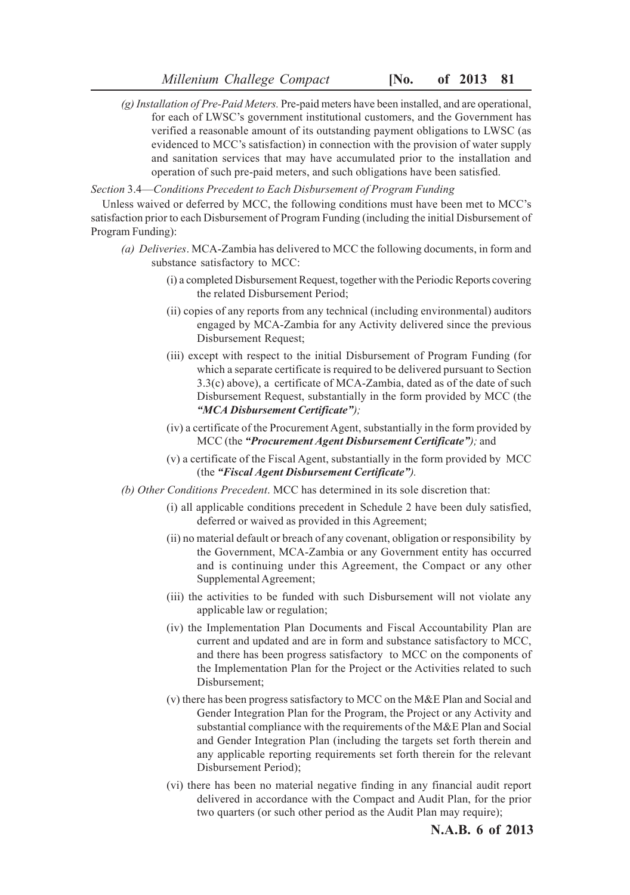*(g) Installation of Pre-Paid Meters.* Pre-paid meters have been installed, and are operational, for each of LWSC's government institutional customers, and the Government has verified a reasonable amount of its outstanding payment obligations to LWSC (as evidenced to MCC's satisfaction) in connection with the provision of water supply and sanitation services that may have accumulated prior to the installation and operation of such pre-paid meters, and such obligations have been satisfied.

*Section* 3.4—*Conditions Precedent to Each Disbursement of Program Funding*

Unless waived or deferred by MCC, the following conditions must have been met to MCC's satisfaction prior to each Disbursement of Program Funding (including the initial Disbursement of Program Funding):

- *(a) Deliveries*. MCA-Zambia has delivered to MCC the following documents, in form and substance satisfactory to MCC:
	- (i) a completed Disbursement Request, together with the Periodic Reports covering the related Disbursement Period;
	- (ii) copies of any reports from any technical (including environmental) auditors engaged by MCA-Zambia for any Activity delivered since the previous Disbursement Request;
	- (iii) except with respect to the initial Disbursement of Program Funding (for which a separate certificate is required to be delivered pursuant to Section 3.3(c) above), a certificate of MCA-Zambia, dated as of the date of such Disbursement Request, substantially in the form provided by MCC (the *"MCA Disbursement Certificate");*
	- (iv) a certificate of the Procurement Agent, substantially in the form provided by MCC (the *"Procurement Agent Disbursement Certificate");* and
	- (v) a certificate of the Fiscal Agent, substantially in the form provided by MCC (the *"Fiscal Agent Disbursement Certificate").*
- *(b) Other Conditions Precedent*. MCC has determined in its sole discretion that:
	- (i) all applicable conditions precedent in Schedule 2 have been duly satisfied, deferred or waived as provided in this Agreement;
	- (ii) no material default or breach of any covenant, obligation or responsibility by the Government, MCA-Zambia or any Government entity has occurred and is continuing under this Agreement, the Compact or any other Supplemental Agreement;
	- (iii) the activities to be funded with such Disbursement will not violate any applicable law or regulation;
	- (iv) the Implementation Plan Documents and Fiscal Accountability Plan are current and updated and are in form and substance satisfactory to MCC, and there has been progress satisfactory to MCC on the components of the Implementation Plan for the Project or the Activities related to such Disbursement;
	- (v) there has been progress satisfactory to MCC on the M&E Plan and Social and Gender Integration Plan for the Program, the Project or any Activity and substantial compliance with the requirements of the M&E Plan and Social and Gender Integration Plan (including the targets set forth therein and any applicable reporting requirements set forth therein for the relevant Disbursement Period);
	- (vi) there has been no material negative finding in any financial audit report delivered in accordance with the Compact and Audit Plan, for the prior two quarters (or such other period as the Audit Plan may require);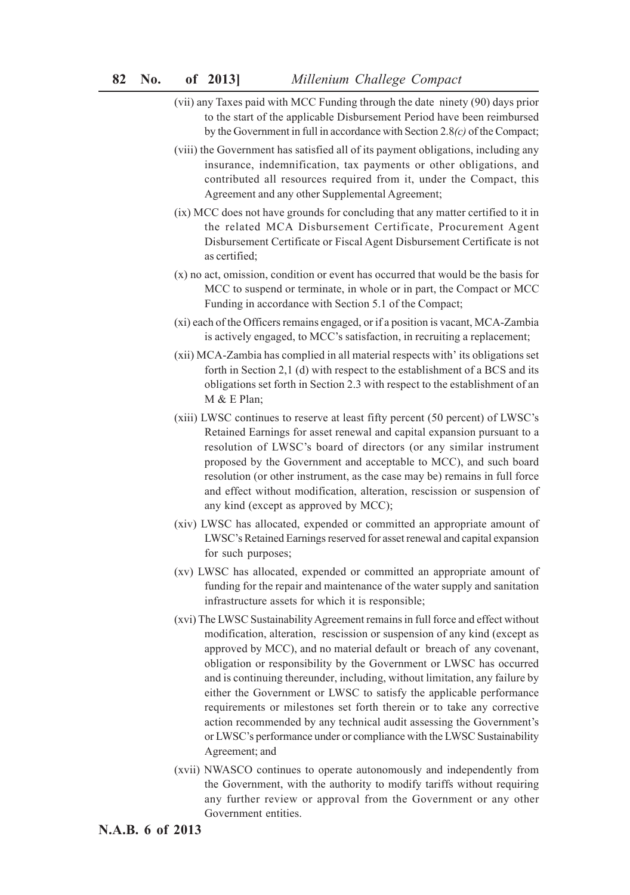- (vii) any Taxes paid with MCC Funding through the date ninety (90) days prior to the start of the applicable Disbursement Period have been reimbursed by the Government in full in accordance with Section 2.8*(c)* of the Compact;
- (viii) the Government has satisfied all of its payment obligations, including any insurance, indemnification, tax payments or other obligations, and contributed all resources required from it, under the Compact, this Agreement and any other Supplemental Agreement;
- (ix) MCC does not have grounds for concluding that any matter certified to it in the related MCA Disbursement Certificate, Procurement Agent Disbursement Certificate or Fiscal Agent Disbursement Certificate is not as certified;
- (x) no act, omission, condition or event has occurred that would be the basis for MCC to suspend or terminate, in whole or in part, the Compact or MCC Funding in accordance with Section 5.1 of the Compact;
- (xi) each of the Officers remains engaged, or if a position is vacant, MCA-Zambia is actively engaged, to MCC's satisfaction, in recruiting a replacement;
- (xii) MCA-Zambia has complied in all material respects with' its obligations set forth in Section 2,1 (d) with respect to the establishment of a BCS and its obligations set forth in Section 2.3 with respect to the establishment of an M & E Plan;
- (xiii) LWSC continues to reserve at least fifty percent (50 percent) of LWSC's Retained Earnings for asset renewal and capital expansion pursuant to a resolution of LWSC's board of directors (or any similar instrument proposed by the Government and acceptable to MCC), and such board resolution (or other instrument, as the case may be) remains in full force and effect without modification, alteration, rescission or suspension of any kind (except as approved by MCC);
- (xiv) LWSC has allocated, expended or committed an appropriate amount of LWSC's Retained Earnings reserved for asset renewal and capital expansion for such purposes;
- (xv) LWSC has allocated, expended or committed an appropriate amount of funding for the repair and maintenance of the water supply and sanitation infrastructure assets for which it is responsible;
- (xvi) The LWSC Sustainability Agreement remains in full force and effect without modification, alteration, rescission or suspension of any kind (except as approved by MCC), and no material default or breach of any covenant, obligation or responsibility by the Government or LWSC has occurred and is continuing thereunder, including, without limitation, any failure by either the Government or LWSC to satisfy the applicable performance requirements or milestones set forth therein or to take any corrective action recommended by any technical audit assessing the Government's or LWSC's performance under or compliance with the LWSC Sustainability Agreement; and
- (xvii) NWASCO continues to operate autonomously and independently from the Government, with the authority to modify tariffs without requiring any further review or approval from the Government or any other Government entities.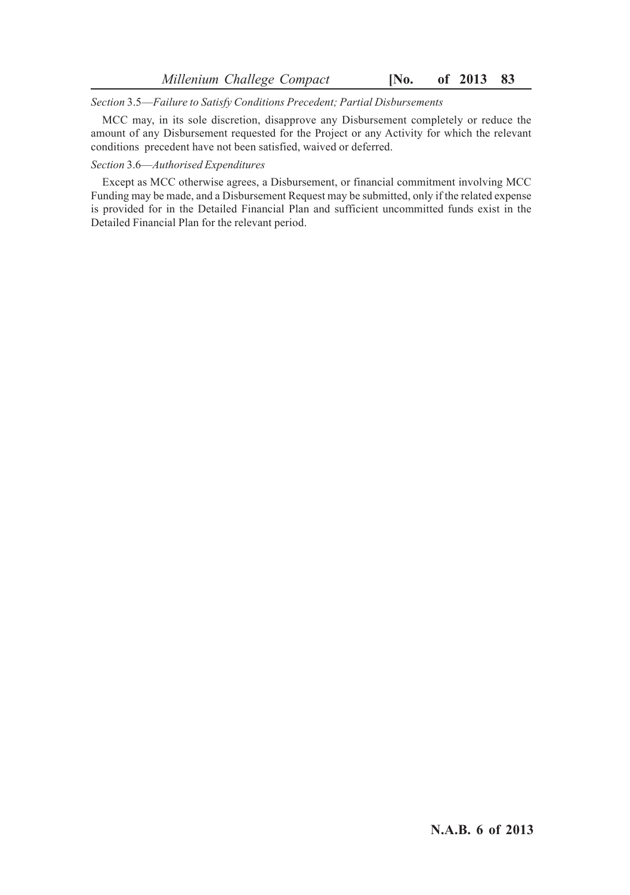*Section* 3.5—*Failure to Satisfy Conditions Precedent; Partial Disbursements*

MCC may, in its sole discretion, disapprove any Disbursement completely or reduce the amount of any Disbursement requested for the Project or any Activity for which the relevant conditions precedent have not been satisfied, waived or deferred.

### *Section* 3.6—*Authorised Expenditures*

Except as MCC otherwise agrees, a Disbursement, or financial commitment involving MCC Funding may be made, and a Disbursement Request may be submitted, only if the related expense is provided for in the Detailed Financial Plan and sufficient uncommitted funds exist in the Detailed Financial Plan for the relevant period.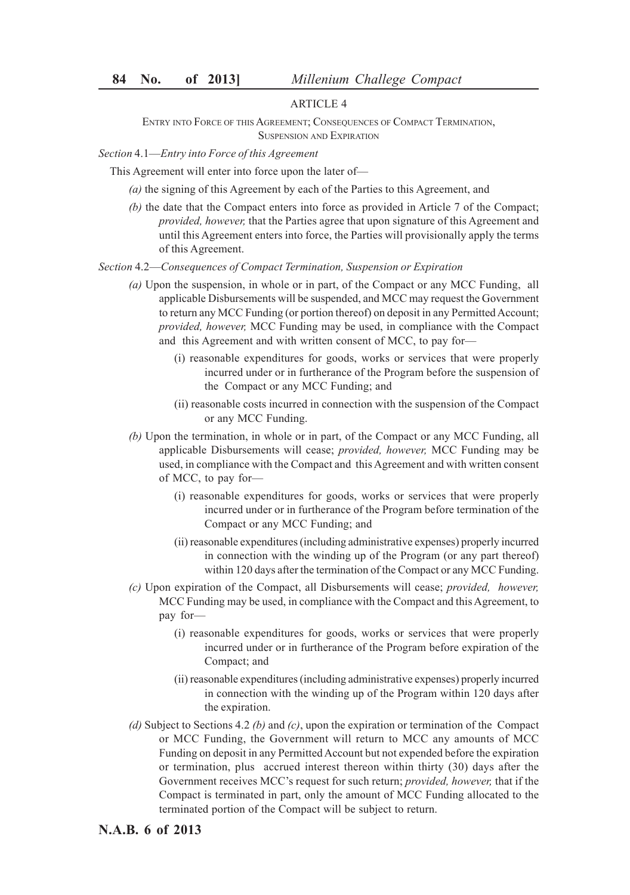## ARTICLE 4

ENTRY INTO FORCE OF THIS AGREEMENT; CONSEQUENCES OF COMPACT TERMINATION, SUSPENSION AND EXPIRATION

*Section* 4.1—*Entry into Force of this Agreement*

This Agreement will enter into force upon the later of—

- *(a)* the signing of this Agreement by each of the Parties to this Agreement, and
- *(b)* the date that the Compact enters into force as provided in Article 7 of the Compact; *provided, however,* that the Parties agree that upon signature of this Agreement and until this Agreement enters into force, the Parties will provisionally apply the terms of this Agreement.

*Section* 4.2—*Consequences of Compact Termination, Suspension or Expiration*

- *(a)* Upon the suspension, in whole or in part, of the Compact or any MCC Funding, all applicable Disbursements will be suspended, and MCC may request the Government to return any MCC Funding (or portion thereof) on deposit in any Permitted Account; *provided, however,* MCC Funding may be used, in compliance with the Compact and this Agreement and with written consent of MCC, to pay for—
	- (i) reasonable expenditures for goods, works or services that were properly incurred under or in furtherance of the Program before the suspension of the Compact or any MCC Funding; and
	- (ii) reasonable costs incurred in connection with the suspension of the Compact or any MCC Funding.
- *(b)* Upon the termination, in whole or in part, of the Compact or any MCC Funding, all applicable Disbursements will cease; *provided, however,* MCC Funding may be used, in compliance with the Compact and this Agreement and with written consent of MCC, to pay for—
	- (i) reasonable expenditures for goods, works or services that were properly incurred under or in furtherance of the Program before termination of the Compact or any MCC Funding; and
	- (ii) reasonable expenditures (including administrative expenses) properly incurred in connection with the winding up of the Program (or any part thereof) within 120 days after the termination of the Compact or any MCC Funding.
- *(c)* Upon expiration of the Compact, all Disbursements will cease; *provided, however,* MCC Funding may be used, in compliance with the Compact and this Agreement, to pay for—
	- (i) reasonable expenditures for goods, works or services that were properly incurred under or in furtherance of the Program before expiration of the Compact; and
	- (ii) reasonable expenditures (including administrative expenses) properly incurred in connection with the winding up of the Program within 120 days after the expiration.
- *(d)* Subject to Sections 4.2 *(b)* and *(c)*, upon the expiration or termination of the Compact or MCC Funding, the Government will return to MCC any amounts of MCC Funding on deposit in any Permitted Account but not expended before the expiration or termination, plus accrued interest thereon within thirty (30) days after the Government receives MCC's request for such return; *provided, however,* that if the Compact is terminated in part, only the amount of MCC Funding allocated to the terminated portion of the Compact will be subject to return.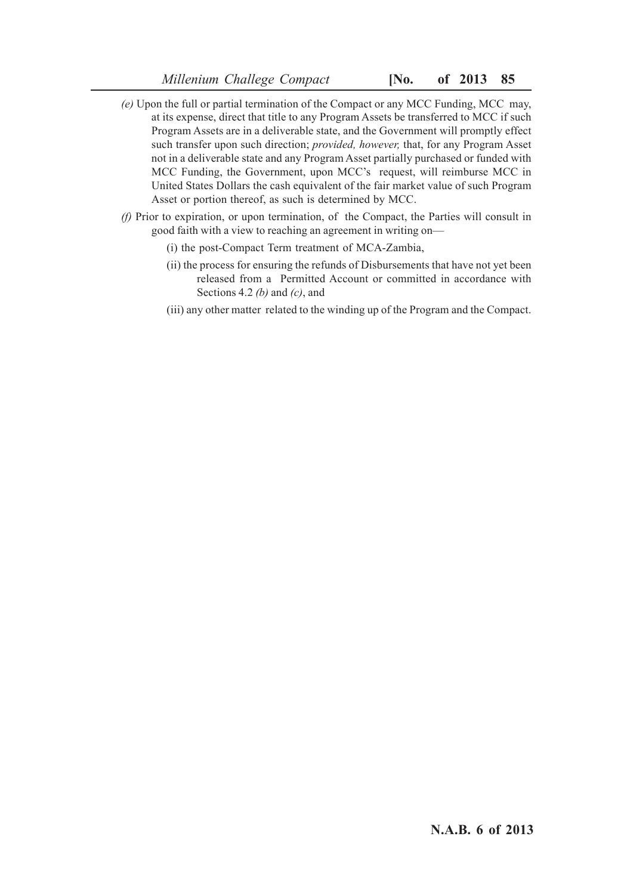- *(e)* Upon the full or partial termination of the Compact or any MCC Funding, MCC may, at its expense, direct that title to any Program Assets be transferred to MCC if such Program Assets are in a deliverable state, and the Government will promptly effect such transfer upon such direction; *provided, however,* that, for any Program Asset not in a deliverable state and any Program Asset partially purchased or funded with MCC Funding, the Government, upon MCC's request, will reimburse MCC in United States Dollars the cash equivalent of the fair market value of such Program Asset or portion thereof, as such is determined by MCC.
- *(f)* Prior to expiration, or upon termination, of the Compact, the Parties will consult in good faith with a view to reaching an agreement in writing on—
	- (i) the post-Compact Term treatment of MCA-Zambia,
	- (ii) the process for ensuring the refunds of Disbursements that have not yet been released from a Permitted Account or committed in accordance with Sections 4.2 *(b)* and *(c)*, and
	- (iii) any other matter related to the winding up of the Program and the Compact.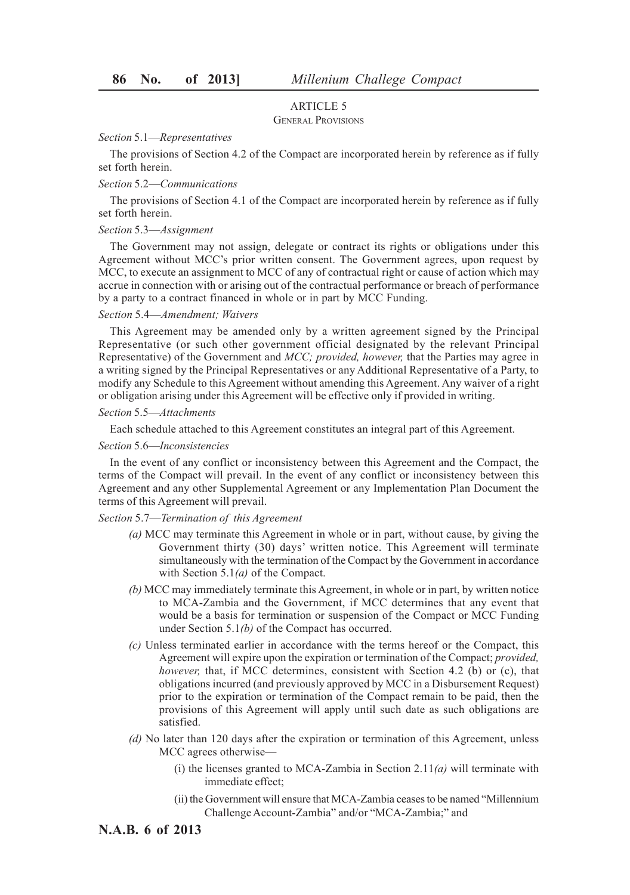#### ARTICLE 5

#### GENERAL PROVISIONS

#### *Section* 5.1—*Representatives*

The provisions of Section 4.2 of the Compact are incorporated herein by reference as if fully set forth herein.

## *Section* 5.2—*Communications*

The provisions of Section 4.1 of the Compact are incorporated herein by reference as if fully set forth herein.

#### *Section* 5.3—*Assignment*

The Government may not assign, delegate or contract its rights or obligations under this Agreement without MCC's prior written consent. The Government agrees, upon request by MCC, to execute an assignment to MCC of any of contractual right or cause of action which may accrue in connection with or arising out of the contractual performance or breach of performance by a party to a contract financed in whole or in part by MCC Funding.

#### *Section* 5.4—*Amendment; Waivers*

This Agreement may be amended only by a written agreement signed by the Principal Representative (or such other government official designated by the relevant Principal Representative) of the Government and *MCC; provided, however,* that the Parties may agree in a writing signed by the Principal Representatives or any Additional Representative of a Party, to modify any Schedule to this Agreement without amending this Agreement. Any waiver of a right or obligation arising under this Agreement will be effective only if provided in writing.

#### *Section* 5.5—*Attachments*

Each schedule attached to this Agreement constitutes an integral part of this Agreement.

#### *Section* 5.6—*Inconsistencies*

In the event of any conflict or inconsistency between this Agreement and the Compact, the terms of the Compact will prevail. In the event of any conflict or inconsistency between this Agreement and any other Supplemental Agreement or any Implementation Plan Document the terms of this Agreement will prevail.

#### *Section* 5.7—*Termination of this Agreement*

- *(a)* MCC may terminate this Agreement in whole or in part, without cause, by giving the Government thirty (30) days' written notice. This Agreement will terminate simultaneously with the termination of the Compact by the Government in accordance with Section 5.1*(a)* of the Compact.
- *(b)* MCC may immediately terminate this Agreement, in whole or in part, by written notice to MCA-Zambia and the Government, if MCC determines that any event that would be a basis for termination or suspension of the Compact or MCC Funding under Section 5.1*(b)* of the Compact has occurred.
- *(c)* Unless terminated earlier in accordance with the terms hereof or the Compact, this Agreement will expire upon the expiration or termination of the Compact; *provided, however*, that, if MCC determines, consistent with Section 4.2 (b) or (c), that obligations incurred (and previously approved by MCC in a Disbursement Request) prior to the expiration or termination of the Compact remain to be paid, then the provisions of this Agreement will apply until such date as such obligations are satisfied.
- *(d)* No later than 120 days after the expiration or termination of this Agreement, unless MCC agrees otherwise—
	- (i) the licenses granted to MCA-Zambia in Section 2.11*(a)* will terminate with immediate effect;
	- (ii) the Government will ensure that MCA-Zambia ceases to be named "Millennium Challenge Account-Zambia" and/or "MCA-Zambia;" and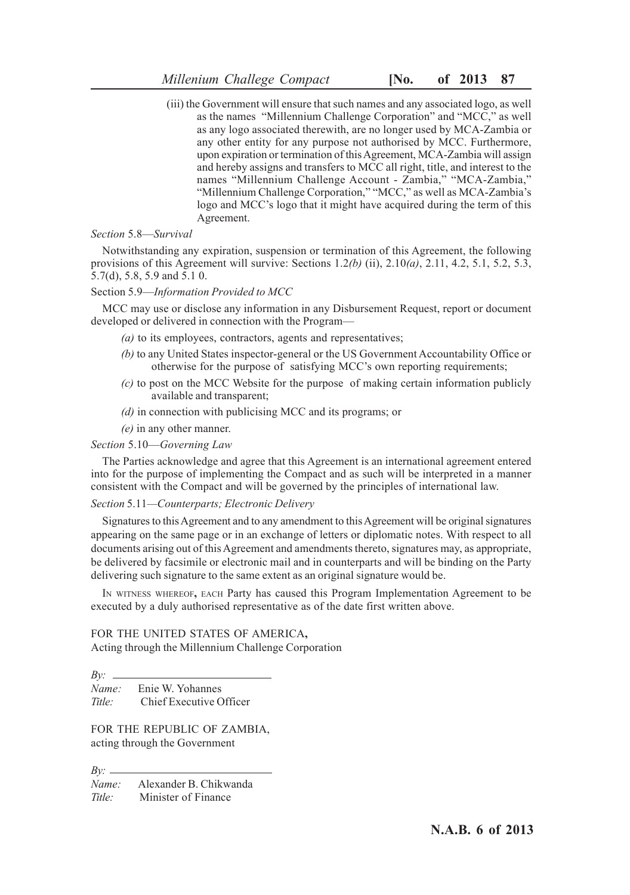(iii) the Government will ensure that such names and any associated logo, as well as the names "Millennium Challenge Corporation" and "MCC," as well as any logo associated therewith, are no longer used by MCA-Zambia or any other entity for any purpose not authorised by MCC. Furthermore, upon expiration or termination of this Agreement, MCA-Zambia will assign and hereby assigns and transfers to MCC all right, title, and interest to the names "Millennium Challenge Account - Zambia," "MCA-Zambia," "Millennium Challenge Corporation," "MCC," as well as MCA-Zambia's logo and MCC's logo that it might have acquired during the term of this Agreement.

#### *Section* 5.8—*Survival*

Notwithstanding any expiration, suspension or termination of this Agreement, the following provisions of this Agreement will survive: Sections 1.2*(b)* (ii), 2.10*(a)*, 2.11, 4.2, 5.1, 5.2, 5.3, 5.7(d), 5.8, 5.9 and 5.1 0.

#### Section 5.9—*Information Provided to MCC*

MCC may use or disclose any information in any Disbursement Request, report or document developed or delivered in connection with the Program—

- *(a)* to its employees, contractors, agents and representatives;
- *(b)* to any United States inspector-general or the US Government Accountability Office or otherwise for the purpose of satisfying MCC's own reporting requirements;
- *(c)* to post on the MCC Website for the purpose of making certain information publicly available and transparent;
- *(d)* in connection with publicising MCC and its programs; or
- *(e)* in any other manner.

#### *Section* 5.10—*Governing Law*

The Parties acknowledge and agree that this Agreement is an international agreement entered into for the purpose of implementing the Compact and as such will be interpreted in a manner consistent with the Compact and will be governed by the principles of international law.

#### *Section* 5.11*—Counterparts; Electronic Delivery*

Signatures to this Agreement and to any amendment to this Agreement will be original signatures appearing on the same page or in an exchange of letters or diplomatic notes. With respect to all documents arising out of this Agreement and amendments thereto, signatures may, as appropriate, be delivered by facsimile or electronic mail and in counterparts and will be binding on the Party delivering such signature to the same extent as an original signature would be.

IN WITNESS WHEREOF**,** EACH Party has caused this Program Implementation Agreement to be executed by a duly authorised representative as of the date first written above.

FOR THE UNITED STATES OF AMERICA**,** Acting through the Millennium Challenge Corporation

*By: Name:* Enie W. Yohannes *Title:* Chief Executive Officer

FOR THE REPUBLIC OF ZAMBIA, acting through the Government

*By: Name:* Alexander B. Chikwanda *Title:* Minister of Finance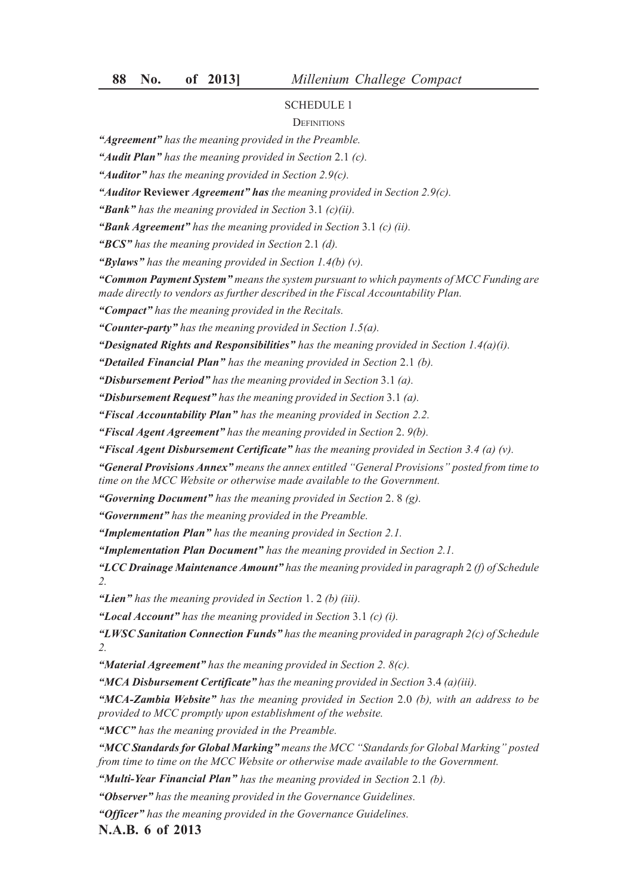#### **DEFINITIONS**

*"Agreement" has the meaning provided in the Preamble.*

*"Audit Plan" has the meaning provided in Section* 2.1 *(c).*

*"Auditor" has the meaning provided in Section 2.9(c).*

*"Auditor* **Reviewer** *Agreement" has the meaning provided in Section 2.9(c).*

*"Bank" has the meaning provided in Section* 3.1 *(c)(ii).*

*"Bank Agreement" has the meaning provided in Section* 3.1 *(c) (ii).*

*"BCS" has the meaning provided in Section* 2.1 *(d).*

*"Bylaws" has the meaning provided in Section 1.4(b) (v).*

*"Common Payment System" means the system pursuant to which payments of MCC Funding are made directly to vendors as further described in the Fiscal Accountability Plan.*

*"Compact" has the meaning provided in the Recitals.*

*"Counter-party" has the meaning provided in Section 1.5(a).*

*"Designated Rights and Responsibilities" has the meaning provided in Section 1.4(a)(i).*

*"Detailed Financial Plan" has the meaning provided in Section* 2.1 *(b).*

*"Disbursement Period" has the meaning provided in Section* 3.1 *(a).*

*"Disbursement Request" has the meaning provided in Section* 3.1 *(a).*

*"Fiscal Accountability Plan" has the meaning provided in Section 2.2.*

*"Fiscal Agent Agreement" has the meaning provided in Section* 2. *9(b).*

*"Fiscal Agent Disbursement Certificate" has the meaning provided in Section 3.4 (a) (v).*

*"General Provisions Annex" means the annex entitled "General Provisions" posted from time to time on the MCC Website or otherwise made available to the Government.*

*"Governing Document" has the meaning provided in Section* 2. 8 *(g).*

*"Government" has the meaning provided in the Preamble.*

*"Implementation Plan" has the meaning provided in Section 2.1.*

*"Implementation Plan Document" has the meaning provided in Section 2.1.*

*"LCC Drainage Maintenance Amount" has the meaning provided in paragraph* 2 *(f) of Schedule 2.*

*"Lien" has the meaning provided in Section* 1. 2 *(b) (iii).*

*"Local Account" has the meaning provided in Section* 3.1 *(c) (i).*

*"LWSC Sanitation Connection Funds" has the meaning provided in paragraph 2(c) of Schedule 2.*

*"Material Agreement" has the meaning provided in Section 2. 8(c).*

*"MCA Disbursement Certificate" has the meaning provided in Section* 3.4 *(a)(iii).*

*"MCA-Zambia Website" has the meaning provided in Section* 2.0 *(b), with an address to be provided to MCC promptly upon establishment of the website.*

*"MCC" has the meaning provided in the Preamble.*

*"MCC Standards for Global Marking" means the MCC "Standards for Global Marking" posted from time to time on the MCC Website or otherwise made available to the Government.*

*"Multi-Year Financial Plan" has the meaning provided in Section* 2.1 *(b).*

*"Observer" has the meaning provided in the Governance Guidelines.*

*"Officer" has the meaning provided in the Governance Guidelines.*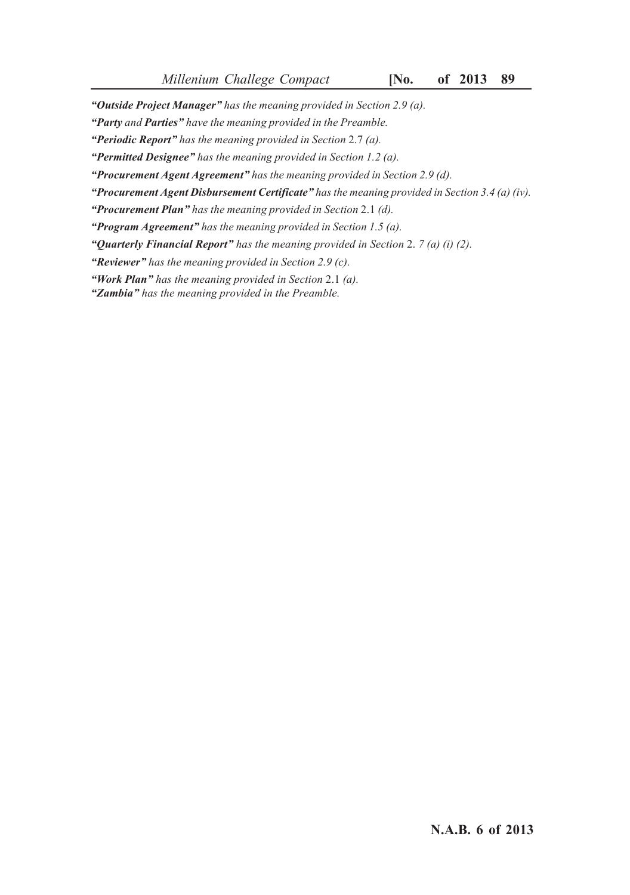*"Outside Project Manager" has the meaning provided in Section 2.9 (a).*

*"Party and Parties" have the meaning provided in the Preamble.*

*"Periodic Report" has the meaning provided in Section* 2.7 *(a).*

*"Permitted Designee" has the meaning provided in Section 1.2 (a).*

*"Procurement Agent Agreement" has the meaning provided in Section 2.9 (d).*

*"Procurement Agent Disbursement Certificate" has the meaning provided in Section 3.4 (a) (iv).*

*"Procurement Plan" has the meaning provided in Section* 2.1 *(d).*

*"Program Agreement" has the meaning provided in Section 1.5 (a).*

*"Quarterly Financial Report" has the meaning provided in Section* 2. *7 (a) (i) (2).*

*"Reviewer" has the meaning provided in Section 2.9 (c).*

*"Work Plan" has the meaning provided in Section* 2.1 *(a).*

*"Zambia" has the meaning provided in the Preamble.*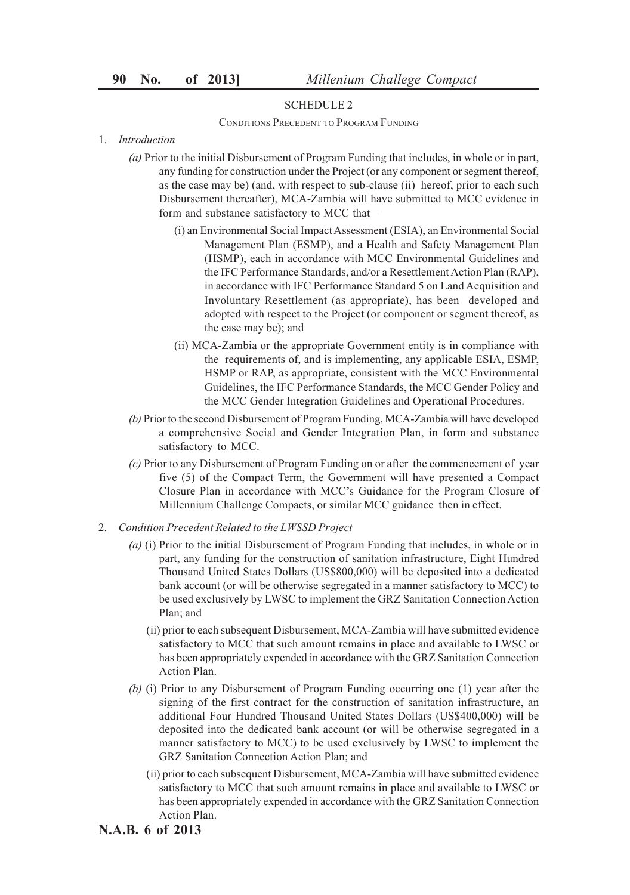CONDITIONS PRECEDENT TO PROGRAM FUNDING

- 1. *Introduction*
	- *(a)* Prior to the initial Disbursement of Program Funding that includes, in whole or in part, any funding for construction under the Project (or any component or segment thereof, as the case may be) (and, with respect to sub-clause (ii) hereof, prior to each such Disbursement thereafter), MCA-Zambia will have submitted to MCC evidence in form and substance satisfactory to MCC that—
		- (i) an Environmental Social Impact Assessment (ESIA), an Environmental Social Management Plan (ESMP), and a Health and Safety Management Plan (HSMP), each in accordance with MCC Environmental Guidelines and the IFC Performance Standards, and/or a Resettlement Action Plan (RAP), in accordance with IFC Performance Standard 5 on Land Acquisition and Involuntary Resettlement (as appropriate), has been developed and adopted with respect to the Project (or component or segment thereof, as the case may be); and
		- (ii) MCA-Zambia or the appropriate Government entity is in compliance with the requirements of, and is implementing, any applicable ESIA, ESMP, HSMP or RAP, as appropriate, consistent with the MCC Environmental Guidelines, the IFC Performance Standards, the MCC Gender Policy and the MCC Gender Integration Guidelines and Operational Procedures.
	- *(b)* Prior to the second Disbursement of Program Funding, MCA-Zambia will have developed a comprehensive Social and Gender Integration Plan, in form and substance satisfactory to MCC.
	- *(c)* Prior to any Disbursement of Program Funding on or after the commencement of year five (5) of the Compact Term, the Government will have presented a Compact Closure Plan in accordance with MCC's Guidance for the Program Closure of Millennium Challenge Compacts, or similar MCC guidance then in effect.
- 2. *Condition Precedent Related to the LWSSD Project*
	- *(a)* (i) Prior to the initial Disbursement of Program Funding that includes, in whole or in part, any funding for the construction of sanitation infrastructure, Eight Hundred Thousand United States Dollars (US\$800,000) will be deposited into a dedicated bank account (or will be otherwise segregated in a manner satisfactory to MCC) to be used exclusively by LWSC to implement the GRZ Sanitation Connection Action Plan; and
		- (ii) prior to each subsequent Disbursement, MCA-Zambia will have submitted evidence satisfactory to MCC that such amount remains in place and available to LWSC or has been appropriately expended in accordance with the GRZ Sanitation Connection Action Plan.
	- *(b)* (i) Prior to any Disbursement of Program Funding occurring one (1) year after the signing of the first contract for the construction of sanitation infrastructure, an additional Four Hundred Thousand United States Dollars (US\$400,000) will be deposited into the dedicated bank account (or will be otherwise segregated in a manner satisfactory to MCC) to be used exclusively by LWSC to implement the GRZ Sanitation Connection Action Plan; and
		- (ii) prior to each subsequent Disbursement, MCA-Zambia will have submitted evidence satisfactory to MCC that such amount remains in place and available to LWSC or has been appropriately expended in accordance with the GRZ Sanitation Connection Action Plan.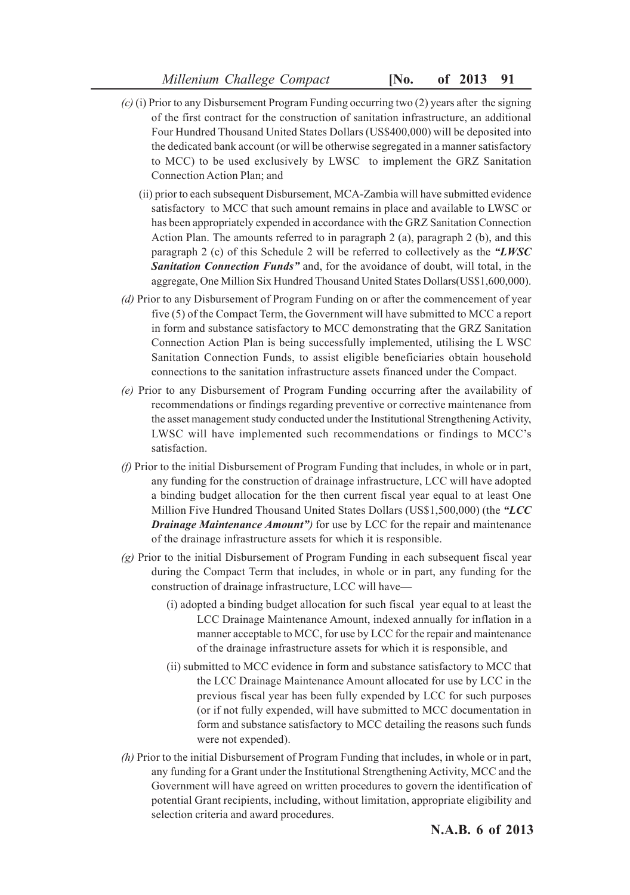- *(c)* (i) Prior to any Disbursement Program Funding occurring two (2) years after the signing of the first contract for the construction of sanitation infrastructure, an additional Four Hundred Thousand United States Dollars (US\$400,000) will be deposited into the dedicated bank account (or will be otherwise segregated in a manner satisfactory to MCC) to be used exclusively by LWSC to implement the GRZ Sanitation Connection Action Plan; and
	- (ii) prior to each subsequent Disbursement, MCA-Zambia will have submitted evidence satisfactory to MCC that such amount remains in place and available to LWSC or has been appropriately expended in accordance with the GRZ Sanitation Connection Action Plan. The amounts referred to in paragraph 2 (a), paragraph 2 (b), and this paragraph 2 (c) of this Schedule 2 will be referred to collectively as the *"LWSC Sanitation Connection Funds"* and, for the avoidance of doubt, will total, in the aggregate, One Million Six Hundred Thousand United States Dollars(US\$1,600,000).
- *(d)* Prior to any Disbursement of Program Funding on or after the commencement of year five (5) of the Compact Term, the Government will have submitted to MCC a report in form and substance satisfactory to MCC demonstrating that the GRZ Sanitation Connection Action Plan is being successfully implemented, utilising the L WSC Sanitation Connection Funds, to assist eligible beneficiaries obtain household connections to the sanitation infrastructure assets financed under the Compact.
- *(e)* Prior to any Disbursement of Program Funding occurring after the availability of recommendations or findings regarding preventive or corrective maintenance from the asset management study conducted under the Institutional Strengthening Activity, LWSC will have implemented such recommendations or findings to MCC's satisfaction.
- *(f)* Prior to the initial Disbursement of Program Funding that includes, in whole or in part, any funding for the construction of drainage infrastructure, LCC will have adopted a binding budget allocation for the then current fiscal year equal to at least One Million Five Hundred Thousand United States Dollars (US\$1,500,000) (the *"LCC Drainage Maintenance Amount")* for use by LCC for the repair and maintenance of the drainage infrastructure assets for which it is responsible.
- *(g)* Prior to the initial Disbursement of Program Funding in each subsequent fiscal year during the Compact Term that includes, in whole or in part, any funding for the construction of drainage infrastructure, LCC will have—
	- (i) adopted a binding budget allocation for such fiscal year equal to at least the LCC Drainage Maintenance Amount, indexed annually for inflation in a manner acceptable to MCC, for use by LCC for the repair and maintenance of the drainage infrastructure assets for which it is responsible, and
	- (ii) submitted to MCC evidence in form and substance satisfactory to MCC that the LCC Drainage Maintenance Amount allocated for use by LCC in the previous fiscal year has been fully expended by LCC for such purposes (or if not fully expended, will have submitted to MCC documentation in form and substance satisfactory to MCC detailing the reasons such funds were not expended).
- *(h)* Prior to the initial Disbursement of Program Funding that includes, in whole or in part, any funding for a Grant under the Institutional Strengthening Activity, MCC and the Government will have agreed on written procedures to govern the identification of potential Grant recipients, including, without limitation, appropriate eligibility and selection criteria and award procedures.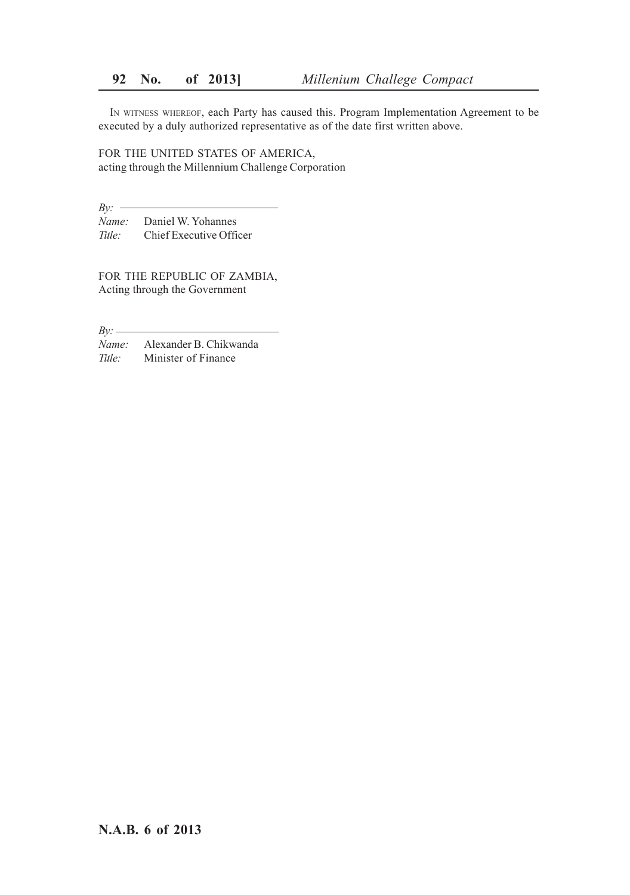IN WITNESS WHEREOF, each Party has caused this. Program Implementation Agreement to be executed by a duly authorized representative as of the date first written above.

FOR THE UNITED STATES OF AMERICA, acting through the Millennium Challenge Corporation

*By: Name:* Daniel W. Yohannes *Title:* Chief Executive Officer

FOR THE REPUBLIC OF ZAMBIA, Acting through the Government

*By: Name:* Alexander B. Chikwanda *Title:* Minister of Finance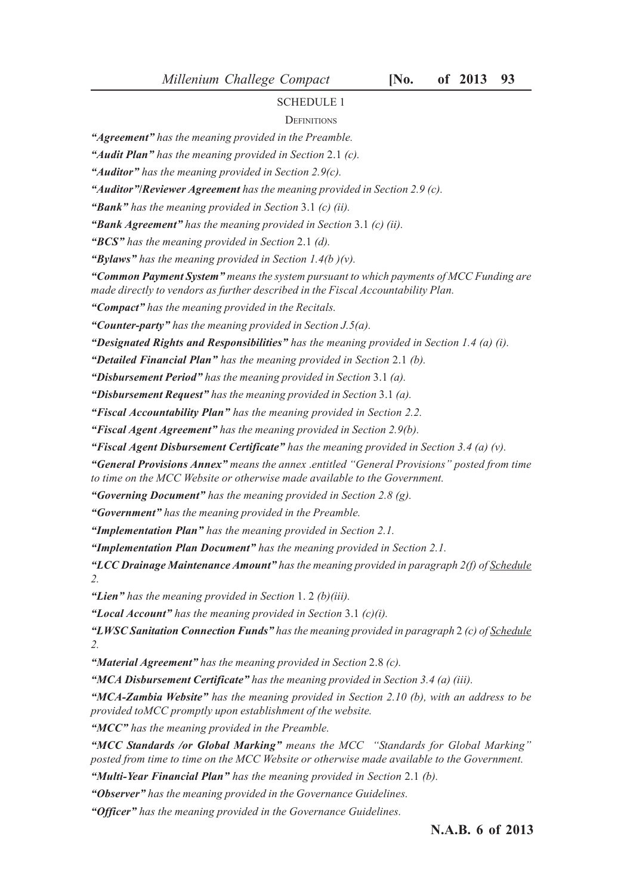#### **DEFINITIONS**

*"Agreement" has the meaning provided in the Preamble.*

*"Audit Plan" has the meaning provided in Section* 2.1 *(c).*

*"Auditor" has the meaning provided in Section 2.9(c).*

*"Auditor"***/***Reviewer Agreement has the meaning provided in Section 2.9 (c).*

*"Bank" has the meaning provided in Section* 3.1 *(c) (ii).*

*"Bank Agreement" has the meaning provided in Section* 3.1 *(c) (ii).*

*"BCS" has the meaning provided in Section* 2.1 *(d).*

*"Bylaws" has the meaning provided in Section 1.4(b )(v).*

*"Common Payment System" means the system pursuant to which payments of MCC Funding are made directly to vendors as further described in the Fiscal Accountability Plan.*

*"Compact" has the meaning provided in the Recitals.*

*"Counter-party" has the meaning provided in Section J.5(a).*

*"Designated Rights and Responsibilities" has the meaning provided in Section 1.4 (a) (i).*

*"Detailed Financial Plan" has the meaning provided in Section* 2.1 *(b).*

*"Disbursement Period" has the meaning provided in Section* 3.1 *(a).*

*"Disbursement Request" has the meaning provided in Section* 3.1 *(a).*

*"Fiscal Accountability Plan" has the meaning provided in Section 2.2.*

*"Fiscal Agent Agreement" has the meaning provided in Section 2.9(b).*

*"Fiscal Agent Disbursement Certificate" has the meaning provided in Section 3.4 (a) (v).*

*"General Provisions Annex" means the annex* .*entitled "General Provisions" posted from time to time on the MCC Website or otherwise made available to the Government.*

*"Governing Document" has the meaning provided in Section 2.8 (g).*

*"Government" has the meaning provided in the Preamble.*

*"Implementation Plan" has the meaning provided in Section 2.1.*

*"Implementation Plan Document" has the meaning provided in Section 2.1.*

*"LCC Drainage Maintenance Amount" has the meaning provided in paragraph 2(f) of Schedule 2.*

*"Lien" has the meaning provided in Section* 1. 2 *(b)(iii).*

*"Local Account" has the meaning provided in Section* 3.1 *(c)(i).*

*"LWSC Sanitation Connection Funds" has the meaning provided in paragraph* 2 *(c) of Schedule 2.*

*"Material Agreement" has the meaning provided in Section* 2.8 *(c).*

*"MCA Disbursement Certificate" has the meaning provided in Section 3.4 (a) (iii).*

*"MCA-Zambia Website" has the meaning provided in Section 2.10 (b), with an address to be provided toMCC promptly upon establishment of the website.*

*"MCC" has the meaning provided in the Preamble.*

*"MCC Standards /or Global Marking" means the MCC "Standards for Global Marking" posted from time to time on the MCC Website or otherwise made available to the Government.*

*"Multi-Year Financial Plan" has the meaning provided in Section* 2.1 *(b).*

*"Observer" has the meaning provided in the Governance Guidelines.*

*"Officer" has the meaning provided in the Governance Guidelines.*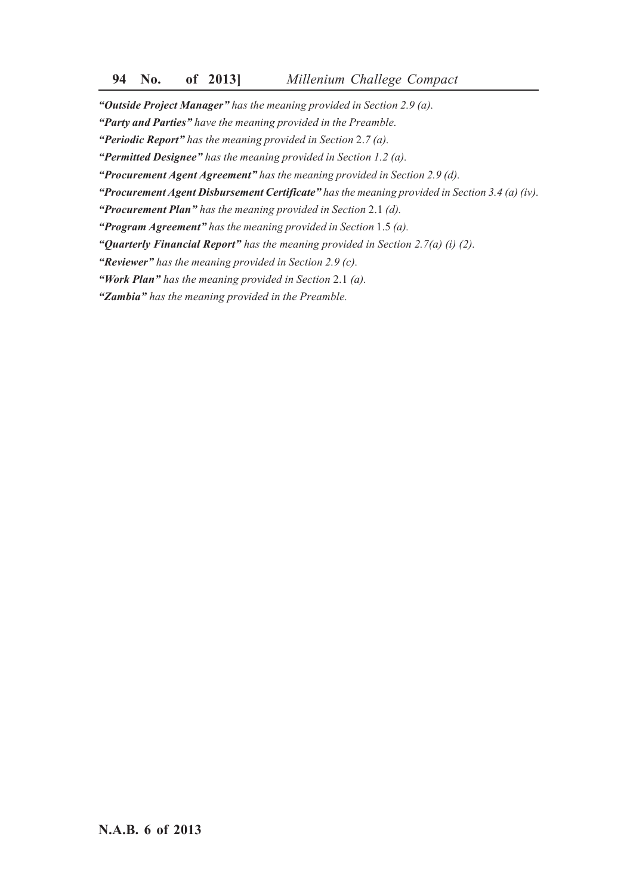*"Outside Project Manager" has the meaning provided in Section 2.9 (a).*

*"Party and Parties" have the meaning provided in the Preamble.*

*"Periodic Report" has the meaning provided in Section* 2.*7 (a).*

*"Permitted Designee" has the meaning provided in Section 1.2 (a).*

*"Procurement Agent Agreement" has the meaning provided in Section 2.9 (d).*

*"Procurement Agent Disbursement Certificate" has the meaning provided in Section 3.4 (a) (iv).*

*"Procurement Plan" has the meaning provided in Section* 2.1 *(d).*

*"Program Agreement" has the meaning provided in Section* 1.5 *(a).*

*"Quarterly Financial Report" has the meaning provided in Section 2.7(a) (i) (2).*

*"Reviewer" has the meaning provided in Section 2.9 (c).*

*"Work Plan" has the meaning provided in Section* 2.1 *(a).*

*"Zambia" has the meaning provided in the Preamble.*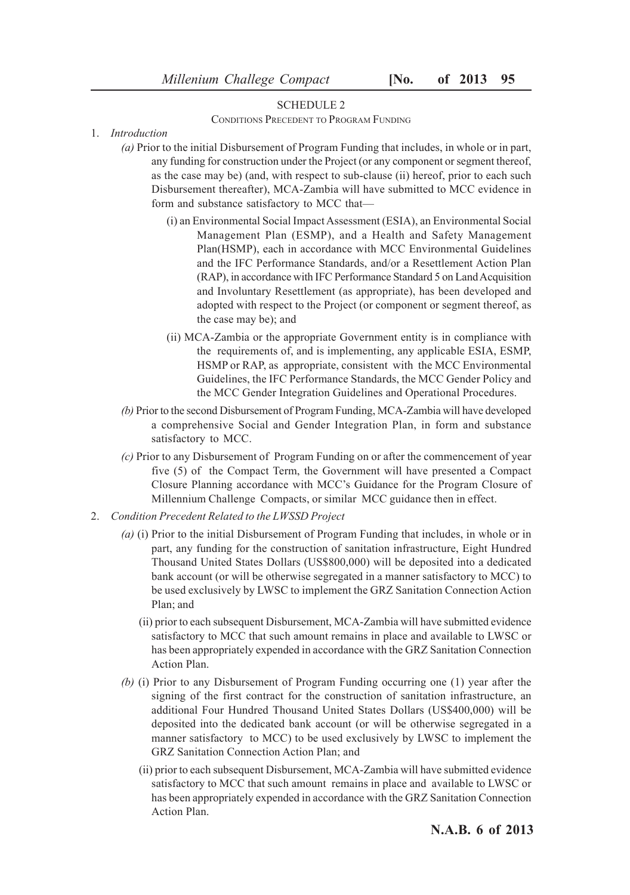CONDITIONS PRECEDENT TO PROGRAM FUNDING

- 1. *Introduction*
	- *(a)* Prior to the initial Disbursement of Program Funding that includes, in whole or in part, any funding for construction under the Project (or any component or segment thereof, as the case may be) (and, with respect to sub-clause (ii) hereof, prior to each such Disbursement thereafter), MCA-Zambia will have submitted to MCC evidence in form and substance satisfactory to MCC that—
		- (i) an Environmental Social Impact Assessment (ESIA), an Environmental Social Management Plan (ESMP), and a Health and Safety Management Plan(HSMP), each in accordance with MCC Environmental Guidelines and the IFC Performance Standards, and/or a Resettlement Action Plan (RAP), in accordance with IFC Performance Standard 5 on Land Acquisition and Involuntary Resettlement (as appropriate), has been developed and adopted with respect to the Project (or component or segment thereof, as the case may be); and
		- (ii) MCA-Zambia or the appropriate Government entity is in compliance with the requirements of, and is implementing, any applicable ESIA, ESMP, HSMP or RAP, as appropriate, consistent with the MCC Environmental Guidelines, the IFC Performance Standards, the MCC Gender Policy and the MCC Gender Integration Guidelines and Operational Procedures.
	- *(b)* Prior to the second Disbursement of Program Funding, MCA-Zambia will have developed a comprehensive Social and Gender Integration Plan, in form and substance satisfactory to MCC.
	- *(c)* Prior to any Disbursement of Program Funding on or after the commencement of year five (5) of the Compact Term, the Government will have presented a Compact Closure Planning accordance with MCC's Guidance for the Program Closure of Millennium Challenge Compacts, or similar MCC guidance then in effect.
- 2. *Condition Precedent Related to the LWSSD Project*
	- *(a)* (i) Prior to the initial Disbursement of Program Funding that includes, in whole or in part, any funding for the construction of sanitation infrastructure, Eight Hundred Thousand United States Dollars (US\$800,000) will be deposited into a dedicated bank account (or will be otherwise segregated in a manner satisfactory to MCC) to be used exclusively by LWSC to implement the GRZ Sanitation Connection Action Plan; and
		- (ii) prior to each subsequent Disbursement, MCA-Zambia will have submitted evidence satisfactory to MCC that such amount remains in place and available to LWSC or has been appropriately expended in accordance with the GRZ Sanitation Connection Action Plan.
	- *(b)* (i) Prior to any Disbursement of Program Funding occurring one (1) year after the signing of the first contract for the construction of sanitation infrastructure, an additional Four Hundred Thousand United States Dollars (US\$400,000) will be deposited into the dedicated bank account (or will be otherwise segregated in a manner satisfactory to MCC) to be used exclusively by LWSC to implement the GRZ Sanitation Connection Action Plan; and
		- (ii) prior to each subsequent Disbursement, MCA-Zambia will have submitted evidence satisfactory to MCC that such amount remains in place and available to LWSC or has been appropriately expended in accordance with the GRZ Sanitation Connection Action Plan.